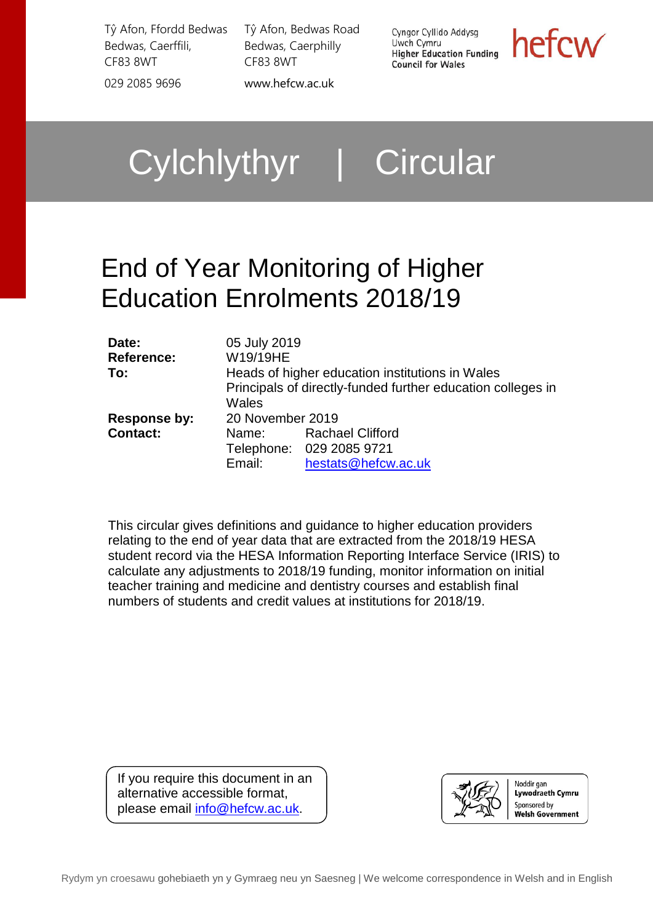Tŷ Afon, Ffordd Bedwas Bedwas, Caerffili, CF83 8WT 029 2085 9696 [www.hefcw.ac.uk](http://www.hefcw.ac.uk/)

Tŷ Afon, Bedwas Road Bedwas, Caerphilly CF83 8WT

Cyngor Cyllido Addysg Uwch Cymru **Higher Education Funding Council for Wales** 

hefcw

Cylchlythyr | Circular

# End of Year Monitoring of Higher Education Enrolments 2018/19

| Date:<br><b>Reference:</b><br>To:      | 05 July 2019<br>W19/19HE<br>Wales   | Heads of higher education institutions in Wales<br>Principals of directly-funded further education colleges in |
|----------------------------------------|-------------------------------------|----------------------------------------------------------------------------------------------------------------|
| <b>Response by:</b><br><b>Contact:</b> | 20 November 2019<br>Name:<br>Email: | <b>Rachael Clifford</b><br>Telephone: 029 2085 9721<br>hestats@hefcw.ac.uk                                     |

This circular gives definitions and guidance to higher education providers relating to the end of year data that are extracted from the 2018/19 HESA student record via the HESA Information Reporting Interface Service (IRIS) to calculate any adjustments to 2018/19 funding, monitor information on initial teacher training and medicine and dentistry courses and establish final numbers of students and credit values at institutions for 2018/19.

If you require this document in an alternative accessible format, please email [info@hefcw.ac.uk.](mailto:info@hefcw.ac.uk)

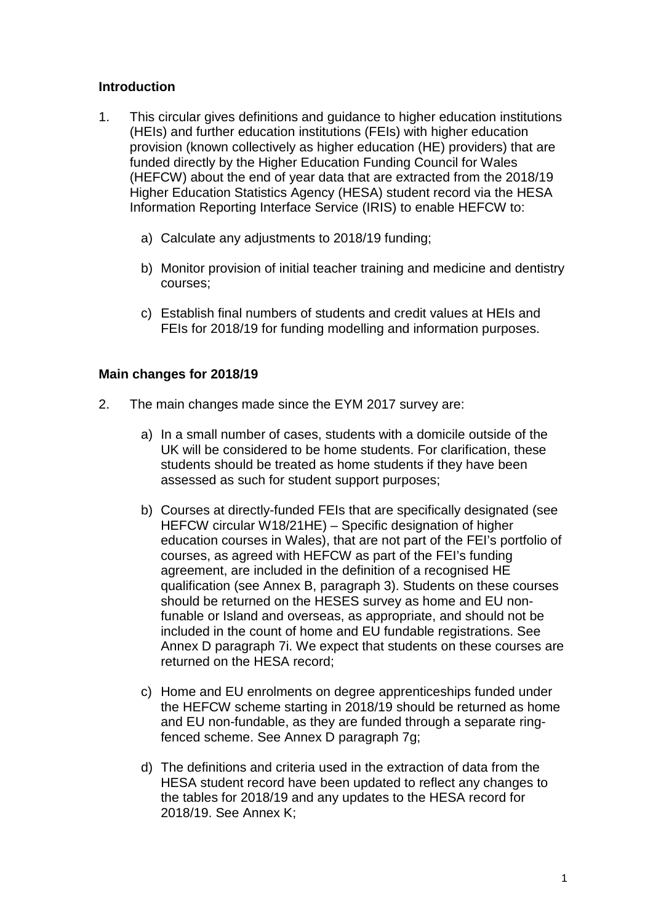#### **Introduction**

- 1. This circular gives definitions and guidance to higher education institutions (HEIs) and further education institutions (FEIs) with higher education provision (known collectively as higher education (HE) providers) that are funded directly by the Higher Education Funding Council for Wales (HEFCW) about the end of year data that are extracted from the 2018/19 Higher Education Statistics Agency (HESA) student record via the HESA Information Reporting Interface Service (IRIS) to enable HEFCW to:
	- a) Calculate any adjustments to 2018/19 funding;
	- b) Monitor provision of initial teacher training and medicine and dentistry courses;
	- c) Establish final numbers of students and credit values at HEIs and FEIs for 2018/19 for funding modelling and information purposes.

#### **Main changes for 2018/19**

- 2. The main changes made since the EYM 2017 survey are:
	- a) In a small number of cases, students with a domicile outside of the UK will be considered to be home students. For clarification, these students should be treated as home students if they have been assessed as such for student support purposes;
	- b) Courses at directly-funded FEIs that are specifically designated (see HEFCW circular W18/21HE) – Specific designation of higher education courses in Wales), that are not part of the FEI's portfolio of courses, as agreed with HEFCW as part of the FEI's funding agreement, are included in the definition of a recognised HE qualification (see Annex B, paragraph 3). Students on these courses should be returned on the HESES survey as home and EU nonfunable or Island and overseas, as appropriate, and should not be included in the count of home and EU fundable registrations. See Annex D paragraph 7i. We expect that students on these courses are returned on the HESA record;
	- c) Home and EU enrolments on degree apprenticeships funded under the HEFCW scheme starting in 2018/19 should be returned as home and EU non-fundable, as they are funded through a separate ringfenced scheme. See Annex D paragraph 7g;
	- d) The definitions and criteria used in the extraction of data from the HESA student record have been updated to reflect any changes to the tables for 2018/19 and any updates to the HESA record for 2018/19. See Annex K;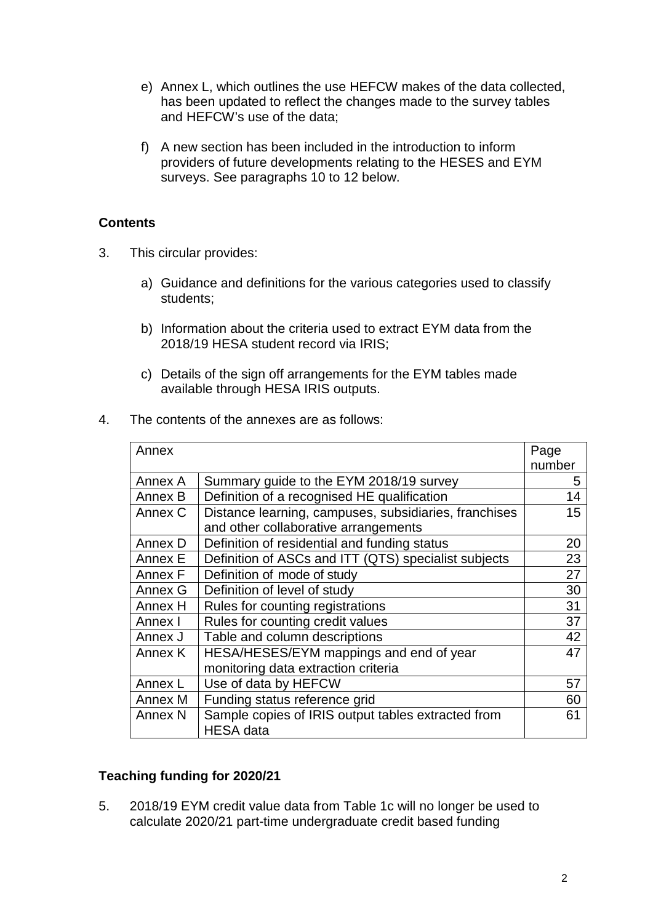- e) Annex L, which outlines the use HEFCW makes of the data collected, has been updated to reflect the changes made to the survey tables and HEFCW's use of the data;
- f) A new section has been included in the introduction to inform providers of future developments relating to the HESES and EYM surveys. See paragraphs 10 to 12 below.

### **Contents**

- 3. This circular provides:
	- a) Guidance and definitions for the various categories used to classify students;
	- b) Information about the criteria used to extract EYM data from the 2018/19 HESA student record via IRIS;
	- c) Details of the sign off arrangements for the EYM tables made available through HESA IRIS outputs.
- 4. The contents of the annexes are as follows:

| Annex              |                                                                        | Page<br>number |
|--------------------|------------------------------------------------------------------------|----------------|
| Annex A            | Summary guide to the EYM 2018/19 survey                                | 5              |
| Annex B            | Definition of a recognised HE qualification                            | 14             |
| Annex C            | Distance learning, campuses, subsidiaries, franchises                  | 15             |
|                    | and other collaborative arrangements                                   |                |
| Annex D            | Definition of residential and funding status                           | 20             |
| Annex E            | Definition of ASCs and ITT (QTS) specialist subjects                   | 23             |
| Annex F            | Definition of mode of study                                            | 27             |
| Annex G            | Definition of level of study                                           | 30             |
| Annex H            | Rules for counting registrations                                       | 31             |
| Annex I            | Rules for counting credit values                                       | 37             |
| Annex J            | Table and column descriptions                                          | 42             |
| Annex K            | HESA/HESES/EYM mappings and end of year                                | 47             |
|                    | monitoring data extraction criteria                                    |                |
| Annex L            | Use of data by HEFCW                                                   | 57             |
| Annex M            | Funding status reference grid                                          | 60             |
| Annex <sub>N</sub> | Sample copies of IRIS output tables extracted from<br><b>HESA</b> data | 61             |

#### **Teaching funding for 2020/21**

5. 2018/19 EYM credit value data from Table 1c will no longer be used to calculate 2020/21 part-time undergraduate credit based funding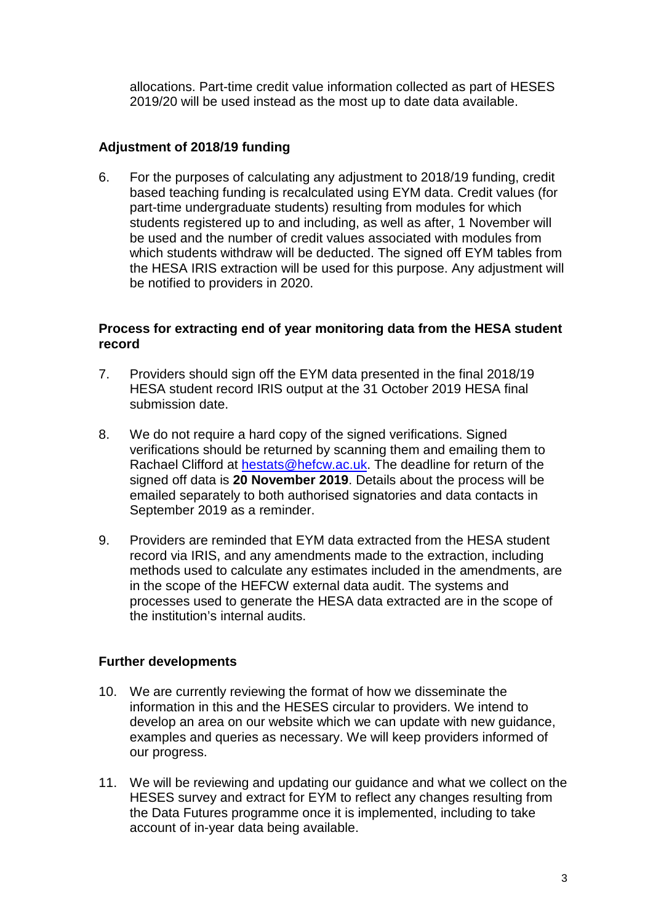allocations. Part-time credit value information collected as part of HESES 2019/20 will be used instead as the most up to date data available.

#### **Adjustment of 2018/19 funding**

6. For the purposes of calculating any adjustment to 2018/19 funding, credit based teaching funding is recalculated using EYM data. Credit values (for part-time undergraduate students) resulting from modules for which students registered up to and including, as well as after, 1 November will be used and the number of credit values associated with modules from which students withdraw will be deducted. The signed off EYM tables from the HESA IRIS extraction will be used for this purpose. Any adjustment will be notified to providers in 2020.

#### **Process for extracting end of year monitoring data from the HESA student record**

- 7. Providers should sign off the EYM data presented in the final 2018/19 HESA student record IRIS output at the 31 October 2019 HESA final submission date.
- 8. We do not require a hard copy of the signed verifications. Signed verifications should be returned by scanning them and emailing them to Rachael Clifford at [hestats@hefcw.ac.uk.](mailto:hestats@hefcw.ac.uk) The deadline for return of the signed off data is **20 November 2019**. Details about the process will be emailed separately to both authorised signatories and data contacts in September 2019 as a reminder.
- 9. Providers are reminded that EYM data extracted from the HESA student record via IRIS, and any amendments made to the extraction, including methods used to calculate any estimates included in the amendments, are in the scope of the HEFCW external data audit. The systems and processes used to generate the HESA data extracted are in the scope of the institution's internal audits.

#### **Further developments**

- 10. We are currently reviewing the format of how we disseminate the information in this and the HESES circular to providers. We intend to develop an area on our website which we can update with new guidance, examples and queries as necessary. We will keep providers informed of our progress.
- 11. We will be reviewing and updating our guidance and what we collect on the HESES survey and extract for EYM to reflect any changes resulting from the Data Futures programme once it is implemented, including to take account of in-year data being available.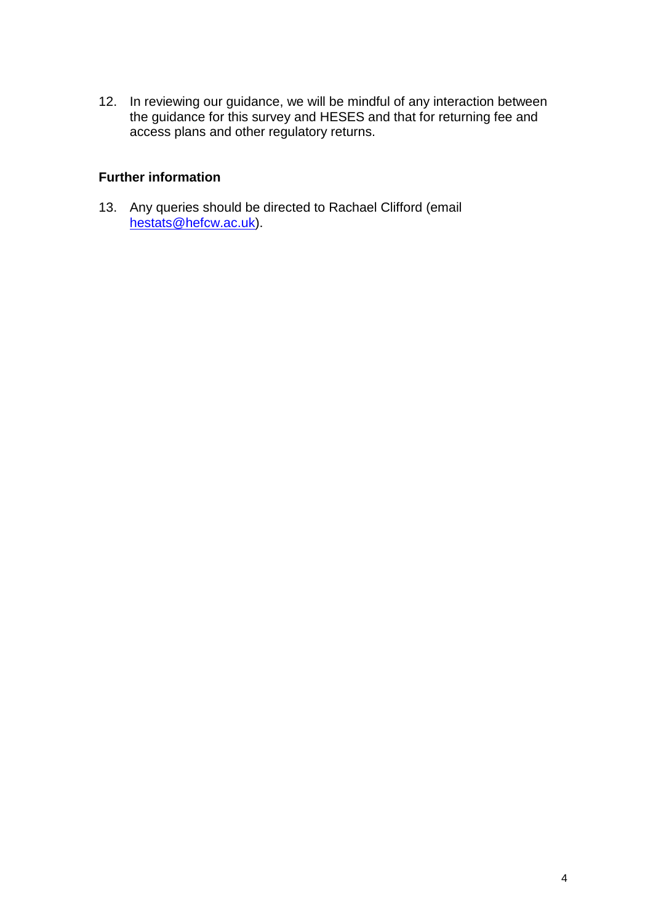12. In reviewing our guidance, we will be mindful of any interaction between the guidance for this survey and HESES and that for returning fee and access plans and other regulatory returns.

#### **Further information**

13. Any queries should be directed to Rachael Clifford (email [hestats@hefcw.ac.uk\)](mailto:hestats@hefcw.ac.uk).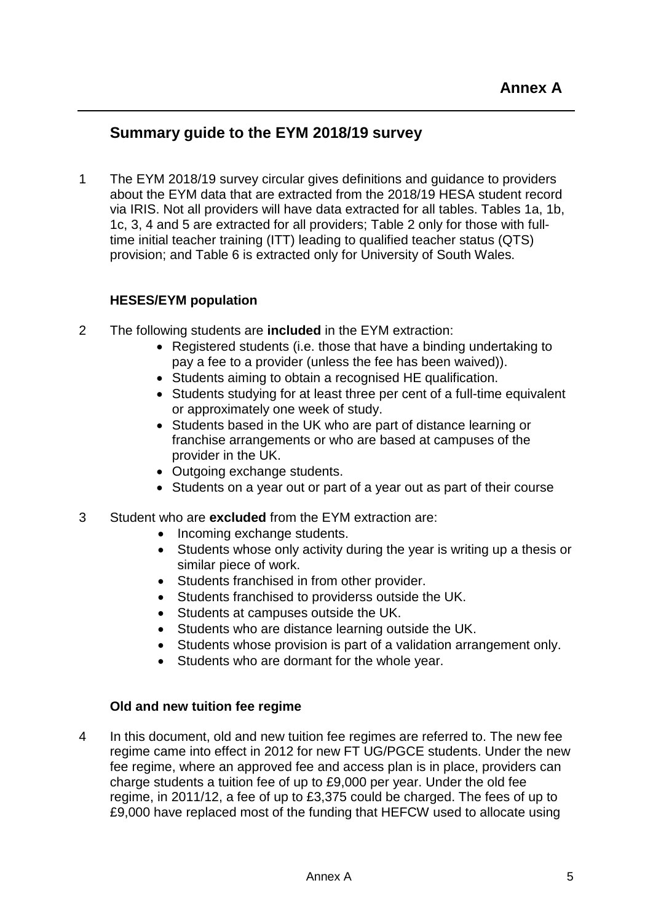## **Summary guide to the EYM 2018/19 survey**

1 The EYM 2018/19 survey circular gives definitions and guidance to providers about the EYM data that are extracted from the 2018/19 HESA student record via IRIS. Not all providers will have data extracted for all tables. Tables 1a, 1b, 1c, 3, 4 and 5 are extracted for all providers; Table 2 only for those with fulltime initial teacher training (ITT) leading to qualified teacher status (QTS) provision; and Table 6 is extracted only for University of South Wales.

### **HESES/EYM population**

- 2 The following students are **included** in the EYM extraction:
	- Registered students (i.e. those that have a binding undertaking to pay a fee to a provider (unless the fee has been waived)).
	- Students aiming to obtain a recognised HE qualification.
	- Students studying for at least three per cent of a full-time equivalent or approximately one week of study.
	- Students based in the UK who are part of distance learning or franchise arrangements or who are based at campuses of the provider in the UK.
	- Outgoing exchange students.
	- Students on a year out or part of a year out as part of their course
- 3 Student who are **excluded** from the EYM extraction are:
	- Incoming exchange students.
	- Students whose only activity during the year is writing up a thesis or similar piece of work.
	- Students franchised in from other provider.
	- Students franchised to providerss outside the UK.
	- Students at campuses outside the UK.
	- Students who are distance learning outside the UK.
	- Students whose provision is part of a validation arrangement only.
	- Students who are dormant for the whole year.

#### **Old and new tuition fee regime**

4 In this document, old and new tuition fee regimes are referred to. The new fee regime came into effect in 2012 for new FT UG/PGCE students. Under the new fee regime, where an approved fee and access plan is in place, providers can charge students a tuition fee of up to £9,000 per year. Under the old fee regime, in 2011/12, a fee of up to £3,375 could be charged. The fees of up to £9,000 have replaced most of the funding that HEFCW used to allocate using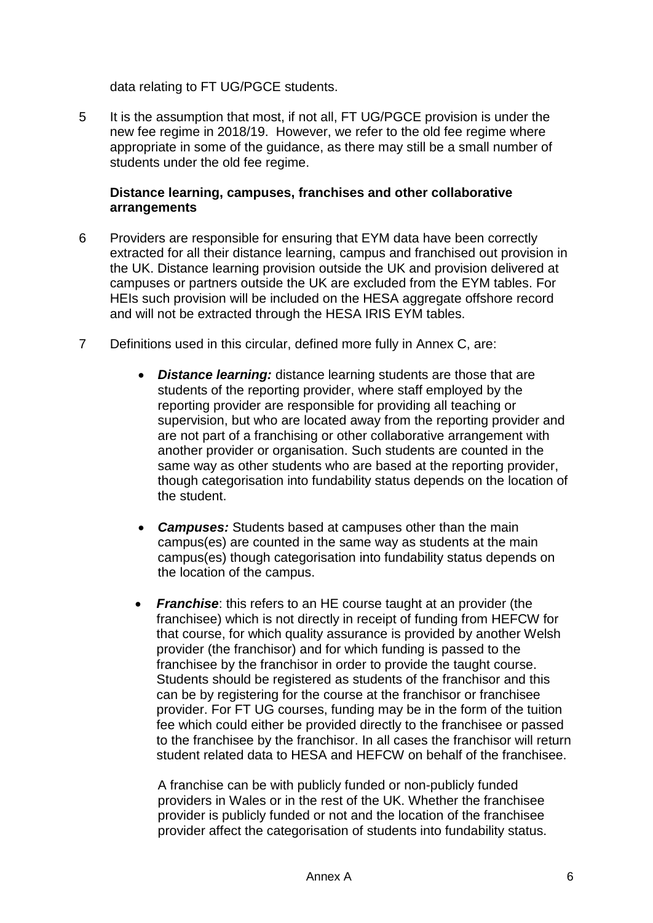data relating to FT UG/PGCE students.

5 It is the assumption that most, if not all, FT UG/PGCE provision is under the new fee regime in 2018/19. However, we refer to the old fee regime where appropriate in some of the guidance, as there may still be a small number of students under the old fee regime.

#### **Distance learning, campuses, franchises and other collaborative arrangements**

- 6 Providers are responsible for ensuring that EYM data have been correctly extracted for all their distance learning, campus and franchised out provision in the UK. Distance learning provision outside the UK and provision delivered at campuses or partners outside the UK are excluded from the EYM tables. For HEIs such provision will be included on the HESA aggregate offshore record and will not be extracted through the HESA IRIS EYM tables.
- 7 Definitions used in this circular, defined more fully in Annex C, are:
	- *Distance learning:* distance learning students are those that are students of the reporting provider, where staff employed by the reporting provider are responsible for providing all teaching or supervision, but who are located away from the reporting provider and are not part of a franchising or other collaborative arrangement with another provider or organisation. Such students are counted in the same way as other students who are based at the reporting provider, though categorisation into fundability status depends on the location of the student.
	- *Campuses:* Students based at campuses other than the main campus(es) are counted in the same way as students at the main campus(es) though categorisation into fundability status depends on the location of the campus.
	- *Franchise*: this refers to an HE course taught at an provider (the franchisee) which is not directly in receipt of funding from HEFCW for that course, for which quality assurance is provided by another Welsh provider (the franchisor) and for which funding is passed to the franchisee by the franchisor in order to provide the taught course. Students should be registered as students of the franchisor and this can be by registering for the course at the franchisor or franchisee provider. For FT UG courses, funding may be in the form of the tuition fee which could either be provided directly to the franchisee or passed to the franchisee by the franchisor. In all cases the franchisor will return student related data to HESA and HEFCW on behalf of the franchisee.

A franchise can be with publicly funded or non-publicly funded providers in Wales or in the rest of the UK. Whether the franchisee provider is publicly funded or not and the location of the franchisee provider affect the categorisation of students into fundability status.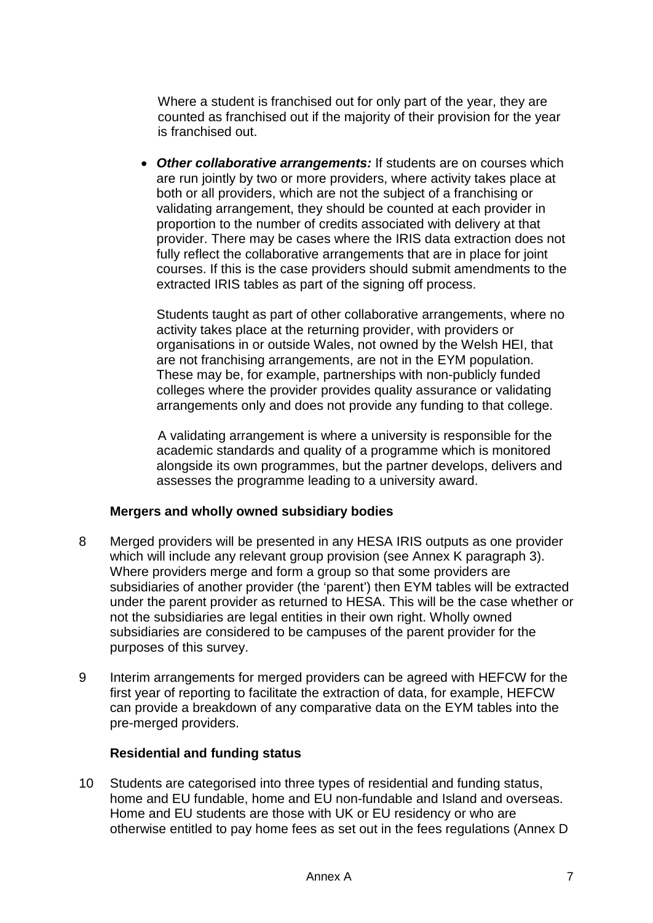Where a student is franchised out for only part of the year, they are counted as franchised out if the majority of their provision for the year is franchised out.

• *Other collaborative arrangements:* If students are on courses which are run jointly by two or more providers, where activity takes place at both or all providers, which are not the subject of a franchising or validating arrangement, they should be counted at each provider in proportion to the number of credits associated with delivery at that provider. There may be cases where the IRIS data extraction does not fully reflect the collaborative arrangements that are in place for joint courses. If this is the case providers should submit amendments to the extracted IRIS tables as part of the signing off process.

Students taught as part of other collaborative arrangements, where no activity takes place at the returning provider, with providers or organisations in or outside Wales, not owned by the Welsh HEI, that are not franchising arrangements, are not in the EYM population. These may be, for example, partnerships with non-publicly funded colleges where the provider provides quality assurance or validating arrangements only and does not provide any funding to that college.

A validating arrangement is where a university is responsible for the academic standards and quality of a programme which is monitored alongside its own programmes, but the partner develops, delivers and assesses the programme leading to a university award.

#### **Mergers and wholly owned subsidiary bodies**

- 8 Merged providers will be presented in any HESA IRIS outputs as one provider which will include any relevant group provision (see Annex K paragraph 3). Where providers merge and form a group so that some providers are subsidiaries of another provider (the 'parent') then EYM tables will be extracted under the parent provider as returned to HESA. This will be the case whether or not the subsidiaries are legal entities in their own right. Wholly owned subsidiaries are considered to be campuses of the parent provider for the purposes of this survey.
- 9 Interim arrangements for merged providers can be agreed with HEFCW for the first year of reporting to facilitate the extraction of data, for example, HEFCW can provide a breakdown of any comparative data on the EYM tables into the pre-merged providers.

#### **Residential and funding status**

10 Students are categorised into three types of residential and funding status, home and EU fundable, home and EU non-fundable and Island and overseas. Home and EU students are those with UK or EU residency or who are otherwise entitled to pay home fees as set out in the fees regulations (Annex D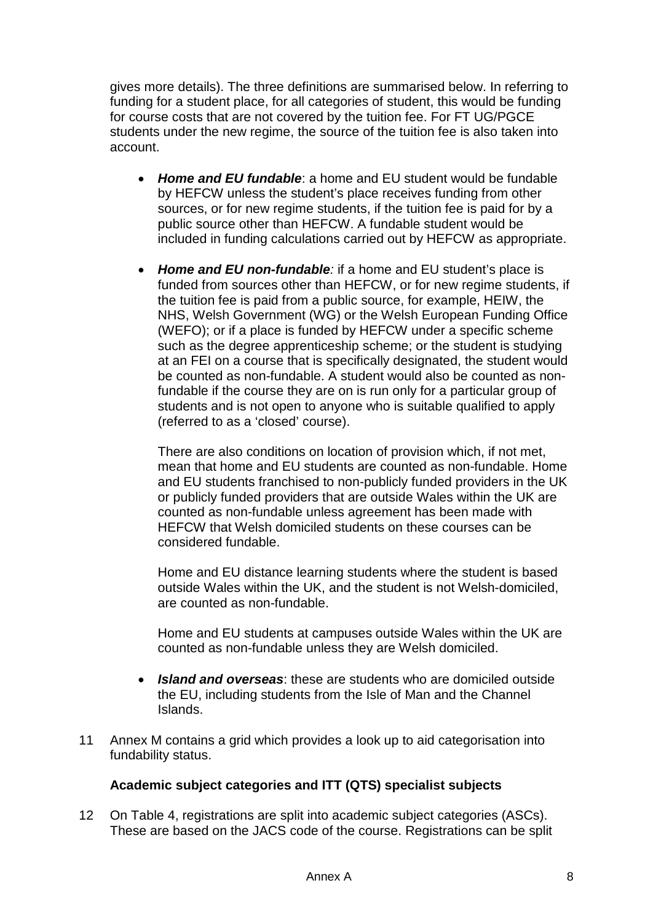gives more details). The three definitions are summarised below. In referring to funding for a student place, for all categories of student, this would be funding for course costs that are not covered by the tuition fee. For FT UG/PGCE students under the new regime, the source of the tuition fee is also taken into account.

- *Home and EU fundable*: a home and EU student would be fundable by HEFCW unless the student's place receives funding from other sources, or for new regime students, if the tuition fee is paid for by a public source other than HEFCW. A fundable student would be included in funding calculations carried out by HEFCW as appropriate.
- *Home and EU non-fundable:* if a home and EU student's place is funded from sources other than HEFCW, or for new regime students, if the tuition fee is paid from a public source, for example, HEIW, the NHS, Welsh Government (WG) or the Welsh European Funding Office (WEFO); or if a place is funded by HEFCW under a specific scheme such as the degree apprenticeship scheme; or the student is studying at an FEI on a course that is specifically designated, the student would be counted as non-fundable. A student would also be counted as nonfundable if the course they are on is run only for a particular group of students and is not open to anyone who is suitable qualified to apply (referred to as a 'closed' course).

There are also conditions on location of provision which, if not met, mean that home and EU students are counted as non-fundable. Home and EU students franchised to non-publicly funded providers in the UK or publicly funded providers that are outside Wales within the UK are counted as non-fundable unless agreement has been made with HEFCW that Welsh domiciled students on these courses can be considered fundable.

Home and EU distance learning students where the student is based outside Wales within the UK, and the student is not Welsh-domiciled, are counted as non-fundable.

Home and EU students at campuses outside Wales within the UK are counted as non-fundable unless they are Welsh domiciled.

- *Island and overseas*: these are students who are domiciled outside the EU, including students from the Isle of Man and the Channel Islands.
- 11 Annex M contains a grid which provides a look up to aid categorisation into fundability status.

### **Academic subject categories and ITT (QTS) specialist subjects**

12 On Table 4, registrations are split into academic subject categories (ASCs). These are based on the JACS code of the course. Registrations can be split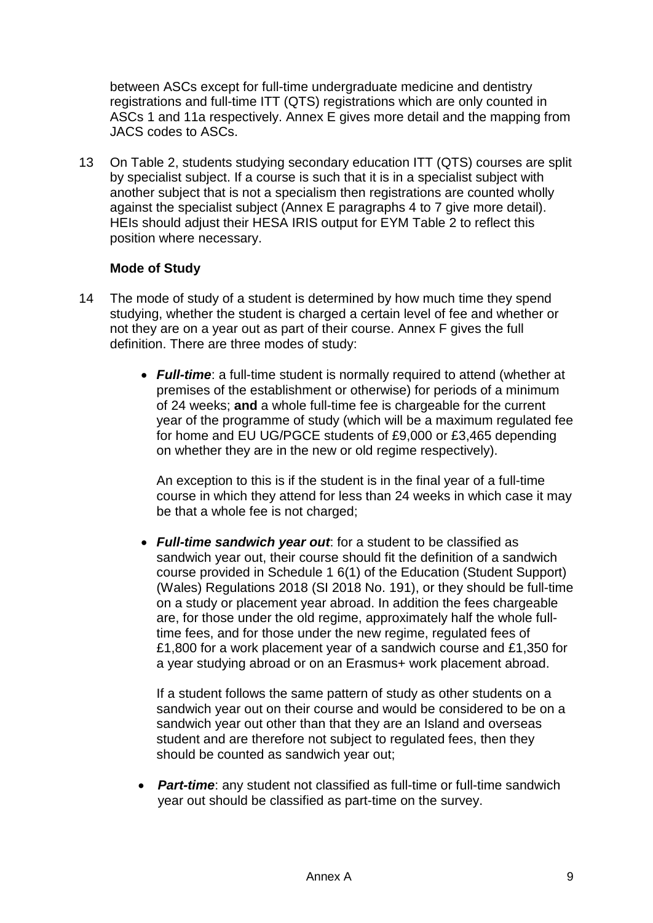between ASCs except for full-time undergraduate medicine and dentistry registrations and full-time ITT (QTS) registrations which are only counted in ASCs 1 and 11a respectively. Annex E gives more detail and the mapping from JACS codes to ASCs.

13 On Table 2, students studying secondary education ITT (QTS) courses are split by specialist subject. If a course is such that it is in a specialist subject with another subject that is not a specialism then registrations are counted wholly against the specialist subject (Annex E paragraphs 4 to 7 give more detail). HEIs should adjust their HESA IRIS output for EYM Table 2 to reflect this position where necessary.

#### **Mode of Study**

- 14 The mode of study of a student is determined by how much time they spend studying, whether the student is charged a certain level of fee and whether or not they are on a year out as part of their course. Annex F gives the full definition. There are three modes of study:
	- *Full-time*: a full-time student is normally required to attend (whether at premises of the establishment or otherwise) for periods of a minimum of 24 weeks; **and** a whole full-time fee is chargeable for the current year of the programme of study (which will be a maximum regulated fee for home and EU UG/PGCE students of £9,000 or £3,465 depending on whether they are in the new or old regime respectively).

An exception to this is if the student is in the final year of a full-time course in which they attend for less than 24 weeks in which case it may be that a whole fee is not charged;

• *Full-time sandwich year out*: for a student to be classified as sandwich year out, their course should fit the definition of a sandwich course provided in Schedule 1 6(1) of the Education (Student Support) (Wales) Regulations 2018 (SI 2018 No. 191), or they should be full-time on a study or placement year abroad. In addition the fees chargeable are, for those under the old regime, approximately half the whole fulltime fees, and for those under the new regime, regulated fees of £1,800 for a work placement year of a sandwich course and £1,350 for a year studying abroad or on an Erasmus+ work placement abroad.

If a student follows the same pattern of study as other students on a sandwich year out on their course and would be considered to be on a sandwich year out other than that they are an Island and overseas student and are therefore not subject to regulated fees, then they should be counted as sandwich year out;

• *Part-time*: any student not classified as full-time or full-time sandwich year out should be classified as part-time on the survey.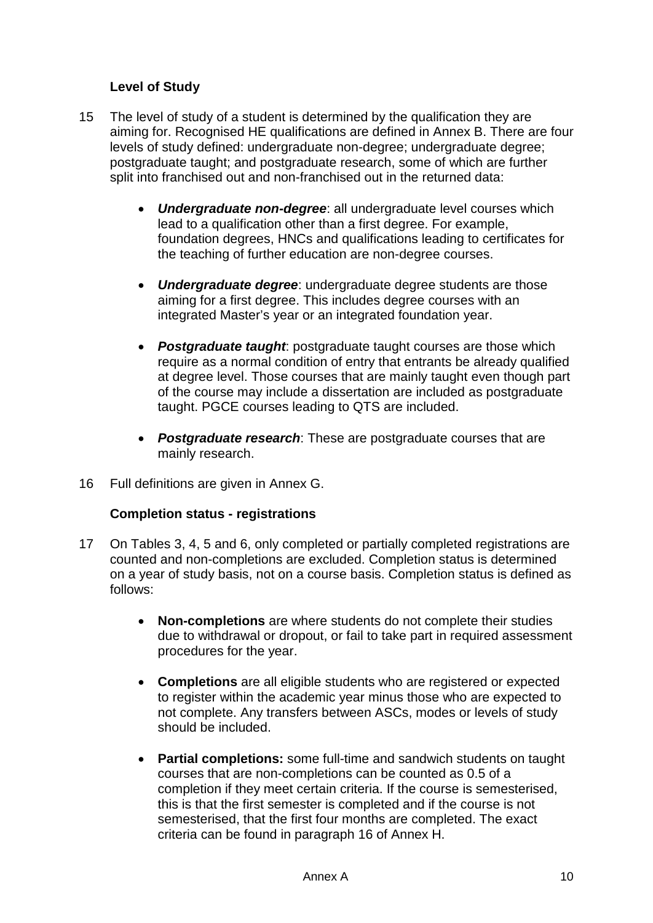### **Level of Study**

- 15 The level of study of a student is determined by the qualification they are aiming for. Recognised HE qualifications are defined in Annex B. There are four levels of study defined: undergraduate non-degree; undergraduate degree; postgraduate taught; and postgraduate research, some of which are further split into franchised out and non-franchised out in the returned data:
	- *Undergraduate non-degree*: all undergraduate level courses which lead to a qualification other than a first degree. For example, foundation degrees, HNCs and qualifications leading to certificates for the teaching of further education are non-degree courses.
	- *Undergraduate degree*: undergraduate degree students are those aiming for a first degree. This includes degree courses with an integrated Master's year or an integrated foundation year.
	- *Postgraduate taught*: postgraduate taught courses are those which require as a normal condition of entry that entrants be already qualified at degree level. Those courses that are mainly taught even though part of the course may include a dissertation are included as postgraduate taught. PGCE courses leading to QTS are included.
	- *Postgraduate research*: These are postgraduate courses that are mainly research.
- 16 Full definitions are given in Annex G.

#### **Completion status - registrations**

- 17 On Tables 3, 4, 5 and 6, only completed or partially completed registrations are counted and non-completions are excluded. Completion status is determined on a year of study basis, not on a course basis. Completion status is defined as follows:
	- **Non-completions** are where students do not complete their studies due to withdrawal or dropout, or fail to take part in required assessment procedures for the year.
	- **Completions** are all eligible students who are registered or expected to register within the academic year minus those who are expected to not complete. Any transfers between ASCs, modes or levels of study should be included.
	- **Partial completions:** some full-time and sandwich students on taught courses that are non-completions can be counted as 0.5 of a completion if they meet certain criteria. If the course is semesterised, this is that the first semester is completed and if the course is not semesterised, that the first four months are completed. The exact criteria can be found in paragraph 16 of Annex H.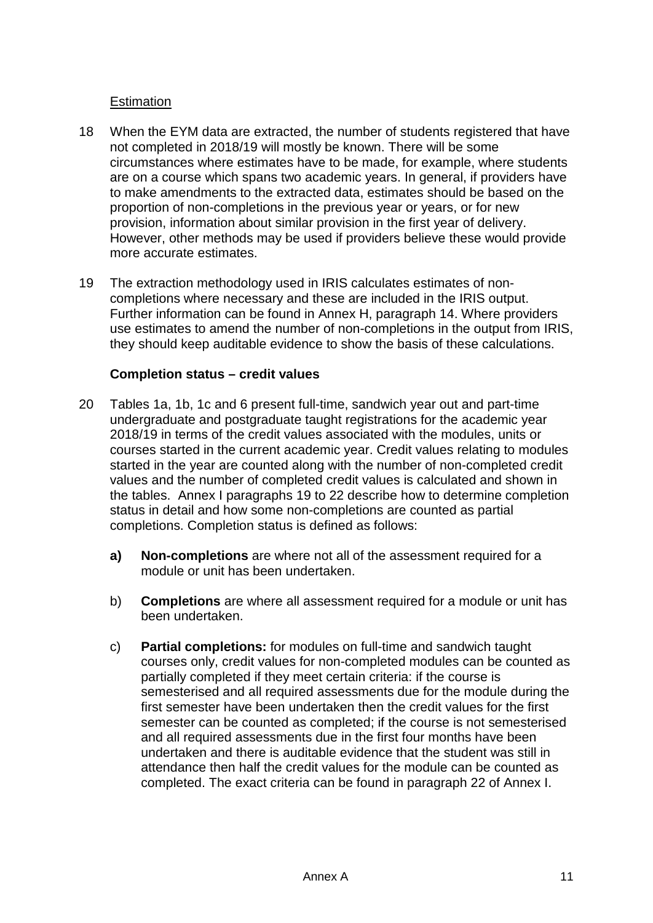#### **Estimation**

- 18 When the EYM data are extracted, the number of students registered that have not completed in 2018/19 will mostly be known. There will be some circumstances where estimates have to be made, for example, where students are on a course which spans two academic years. In general, if providers have to make amendments to the extracted data, estimates should be based on the proportion of non-completions in the previous year or years, or for new provision, information about similar provision in the first year of delivery. However, other methods may be used if providers believe these would provide more accurate estimates.
- 19 The extraction methodology used in IRIS calculates estimates of noncompletions where necessary and these are included in the IRIS output. Further information can be found in Annex H, paragraph 14. Where providers use estimates to amend the number of non-completions in the output from IRIS, they should keep auditable evidence to show the basis of these calculations.

#### **Completion status – credit values**

- 20 Tables 1a, 1b, 1c and 6 present full-time, sandwich year out and part-time undergraduate and postgraduate taught registrations for the academic year 2018/19 in terms of the credit values associated with the modules, units or courses started in the current academic year. Credit values relating to modules started in the year are counted along with the number of non-completed credit values and the number of completed credit values is calculated and shown in the tables. Annex I paragraphs 19 to 22 describe how to determine completion status in detail and how some non-completions are counted as partial completions. Completion status is defined as follows:
	- **a) Non-completions** are where not all of the assessment required for a module or unit has been undertaken.
	- b) **Completions** are where all assessment required for a module or unit has been undertaken.
	- c) **Partial completions:** for modules on full-time and sandwich taught courses only, credit values for non-completed modules can be counted as partially completed if they meet certain criteria: if the course is semesterised and all required assessments due for the module during the first semester have been undertaken then the credit values for the first semester can be counted as completed; if the course is not semesterised and all required assessments due in the first four months have been undertaken and there is auditable evidence that the student was still in attendance then half the credit values for the module can be counted as completed. The exact criteria can be found in paragraph 22 of Annex I.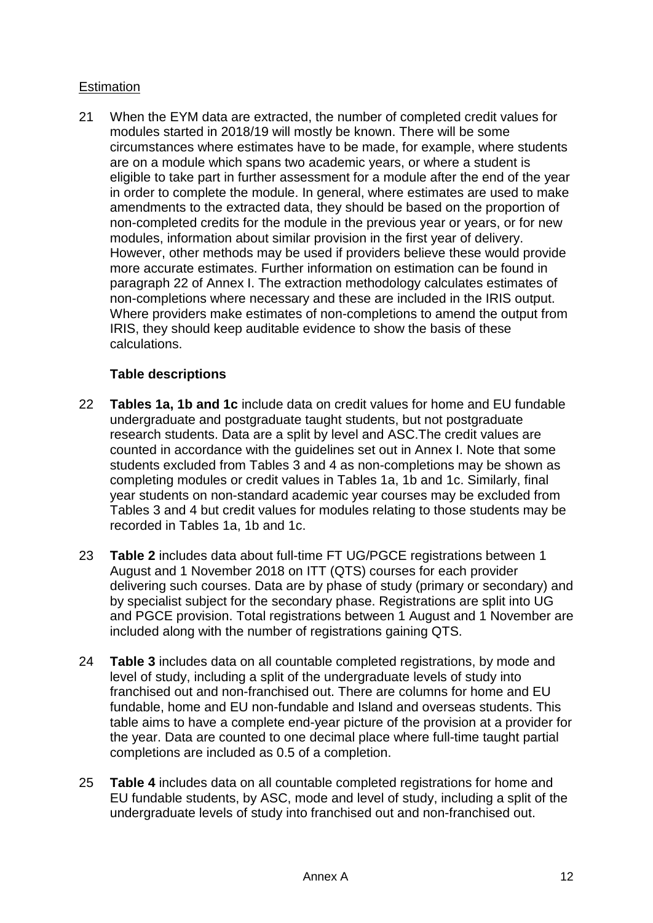### **Estimation**

21 When the EYM data are extracted, the number of completed credit values for modules started in 2018/19 will mostly be known. There will be some circumstances where estimates have to be made, for example, where students are on a module which spans two academic years, or where a student is eligible to take part in further assessment for a module after the end of the year in order to complete the module. In general, where estimates are used to make amendments to the extracted data, they should be based on the proportion of non-completed credits for the module in the previous year or years, or for new modules, information about similar provision in the first year of delivery. However, other methods may be used if providers believe these would provide more accurate estimates. Further information on estimation can be found in paragraph 22 of Annex I. The extraction methodology calculates estimates of non-completions where necessary and these are included in the IRIS output. Where providers make estimates of non-completions to amend the output from IRIS, they should keep auditable evidence to show the basis of these calculations.

## **Table descriptions**

- 22 **Tables 1a, 1b and 1c** include data on credit values for home and EU fundable undergraduate and postgraduate taught students, but not postgraduate research students. Data are a split by level and ASC.The credit values are counted in accordance with the guidelines set out in Annex I. Note that some students excluded from Tables 3 and 4 as non-completions may be shown as completing modules or credit values in Tables 1a, 1b and 1c. Similarly, final year students on non-standard academic year courses may be excluded from Tables 3 and 4 but credit values for modules relating to those students may be recorded in Tables 1a, 1b and 1c.
- 23 **Table 2** includes data about full-time FT UG/PGCE registrations between 1 August and 1 November 2018 on ITT (QTS) courses for each provider delivering such courses. Data are by phase of study (primary or secondary) and by specialist subject for the secondary phase. Registrations are split into UG and PGCE provision. Total registrations between 1 August and 1 November are included along with the number of registrations gaining QTS.
- 24 **Table 3** includes data on all countable completed registrations, by mode and level of study, including a split of the undergraduate levels of study into franchised out and non-franchised out. There are columns for home and EU fundable, home and EU non-fundable and Island and overseas students. This table aims to have a complete end-year picture of the provision at a provider for the year. Data are counted to one decimal place where full-time taught partial completions are included as 0.5 of a completion.
- 25 **Table 4** includes data on all countable completed registrations for home and EU fundable students, by ASC, mode and level of study, including a split of the undergraduate levels of study into franchised out and non-franchised out.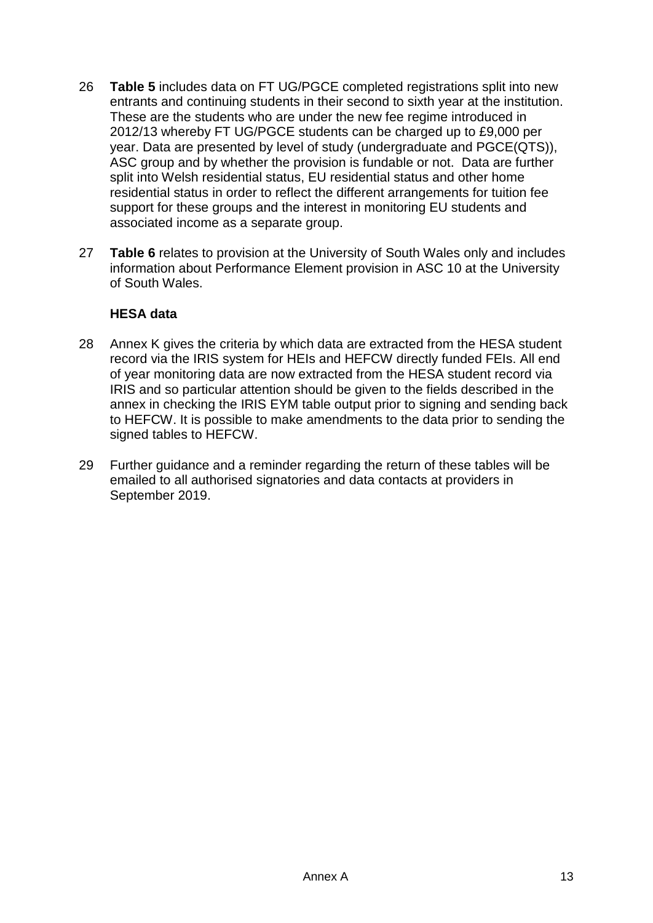- 26 **Table 5** includes data on FT UG/PGCE completed registrations split into new entrants and continuing students in their second to sixth year at the institution. These are the students who are under the new fee regime introduced in 2012/13 whereby FT UG/PGCE students can be charged up to £9,000 per year. Data are presented by level of study (undergraduate and PGCE(QTS)), ASC group and by whether the provision is fundable or not. Data are further split into Welsh residential status, EU residential status and other home residential status in order to reflect the different arrangements for tuition fee support for these groups and the interest in monitoring EU students and associated income as a separate group.
- 27 **Table 6** relates to provision at the University of South Wales only and includes information about Performance Element provision in ASC 10 at the University of South Wales.

#### **HESA data**

- 28 Annex K gives the criteria by which data are extracted from the HESA student record via the IRIS system for HEIs and HEFCW directly funded FEIs. All end of year monitoring data are now extracted from the HESA student record via IRIS and so particular attention should be given to the fields described in the annex in checking the IRIS EYM table output prior to signing and sending back to HEFCW. It is possible to make amendments to the data prior to sending the signed tables to HEFCW.
- 29 Further guidance and a reminder regarding the return of these tables will be emailed to all authorised signatories and data contacts at providers in September 2019.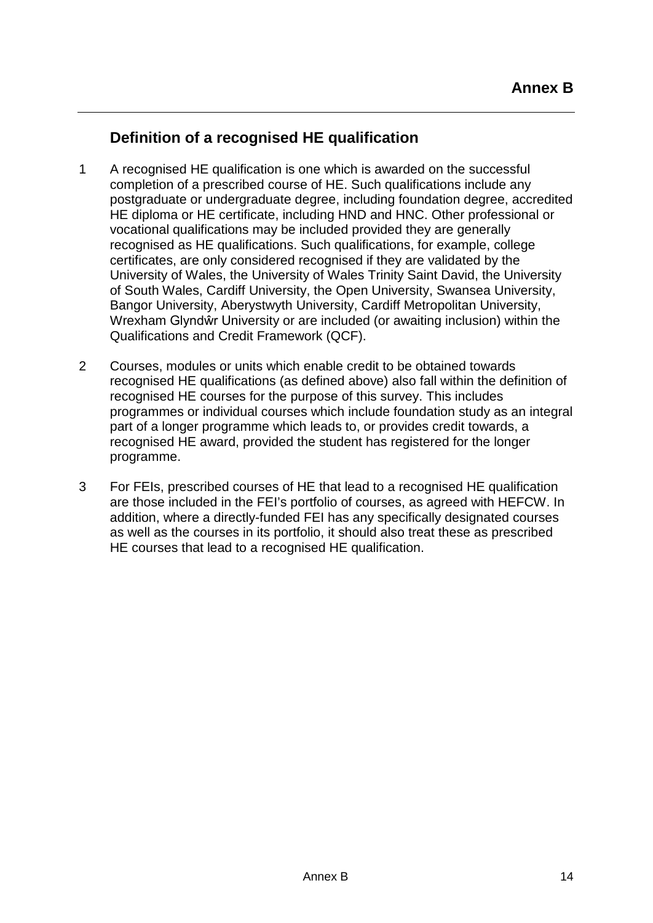## **Definition of a recognised HE qualification**

- 1 A recognised HE qualification is one which is awarded on the successful completion of a prescribed course of HE. Such qualifications include any postgraduate or undergraduate degree, including foundation degree, accredited HE diploma or HE certificate, including HND and HNC. Other professional or vocational qualifications may be included provided they are generally recognised as HE qualifications. Such qualifications, for example, college certificates, are only considered recognised if they are validated by the University of Wales, the University of Wales Trinity Saint David, the University of South Wales, Cardiff University, the Open University, Swansea University, Bangor University, Aberystwyth University, Cardiff Metropolitan University, Wrexham Glyndŵr University or are included (or awaiting inclusion) within the Qualifications and Credit Framework (QCF).
- 2 Courses, modules or units which enable credit to be obtained towards recognised HE qualifications (as defined above) also fall within the definition of recognised HE courses for the purpose of this survey. This includes programmes or individual courses which include foundation study as an integral part of a longer programme which leads to, or provides credit towards, a recognised HE award, provided the student has registered for the longer programme.
- 3 For FEIs, prescribed courses of HE that lead to a recognised HE qualification are those included in the FEI's portfolio of courses, as agreed with HEFCW. In addition, where a directly-funded FEI has any specifically designated courses as well as the courses in its portfolio, it should also treat these as prescribed HE courses that lead to a recognised HE qualification.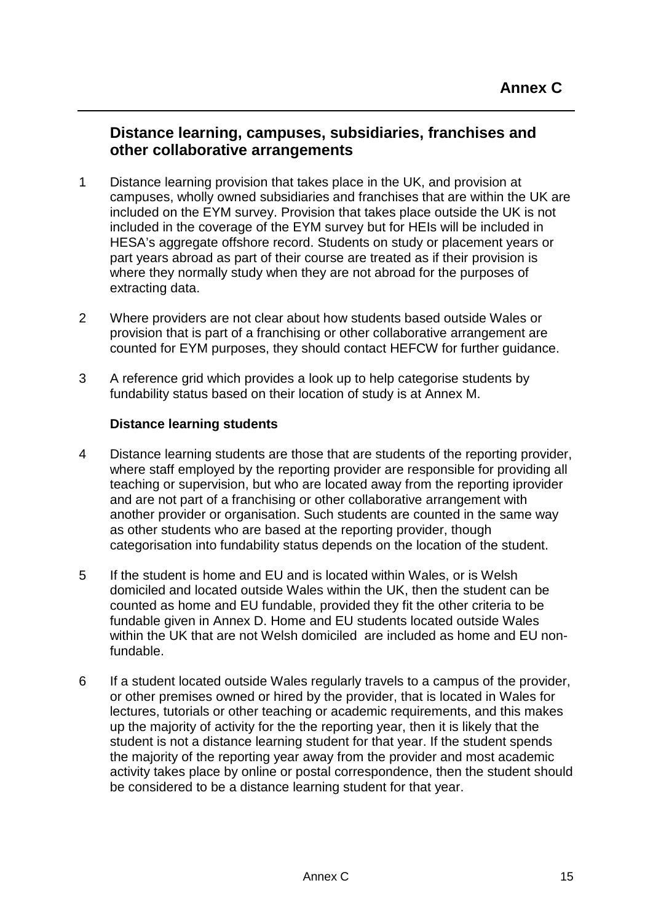## **Distance learning, campuses, subsidiaries, franchises and other collaborative arrangements**

- 1 Distance learning provision that takes place in the UK, and provision at campuses, wholly owned subsidiaries and franchises that are within the UK are included on the EYM survey. Provision that takes place outside the UK is not included in the coverage of the EYM survey but for HEIs will be included in HESA's aggregate offshore record. Students on study or placement years or part years abroad as part of their course are treated as if their provision is where they normally study when they are not abroad for the purposes of extracting data.
- 2 Where providers are not clear about how students based outside Wales or provision that is part of a franchising or other collaborative arrangement are counted for EYM purposes, they should contact HEFCW for further guidance.
- 3 A reference grid which provides a look up to help categorise students by fundability status based on their location of study is at Annex M.

#### **Distance learning students**

- 4 Distance learning students are those that are students of the reporting provider, where staff employed by the reporting provider are responsible for providing all teaching or supervision, but who are located away from the reporting iprovider and are not part of a franchising or other collaborative arrangement with another provider or organisation. Such students are counted in the same way as other students who are based at the reporting provider, though categorisation into fundability status depends on the location of the student.
- 5 If the student is home and EU and is located within Wales, or is Welsh domiciled and located outside Wales within the UK, then the student can be counted as home and EU fundable, provided they fit the other criteria to be fundable given in Annex D. Home and EU students located outside Wales within the UK that are not Welsh domiciled are included as home and EU nonfundable.
- 6 If a student located outside Wales regularly travels to a campus of the provider, or other premises owned or hired by the provider, that is located in Wales for lectures, tutorials or other teaching or academic requirements, and this makes up the majority of activity for the the reporting year, then it is likely that the student is not a distance learning student for that year. If the student spends the majority of the reporting year away from the provider and most academic activity takes place by online or postal correspondence, then the student should be considered to be a distance learning student for that year.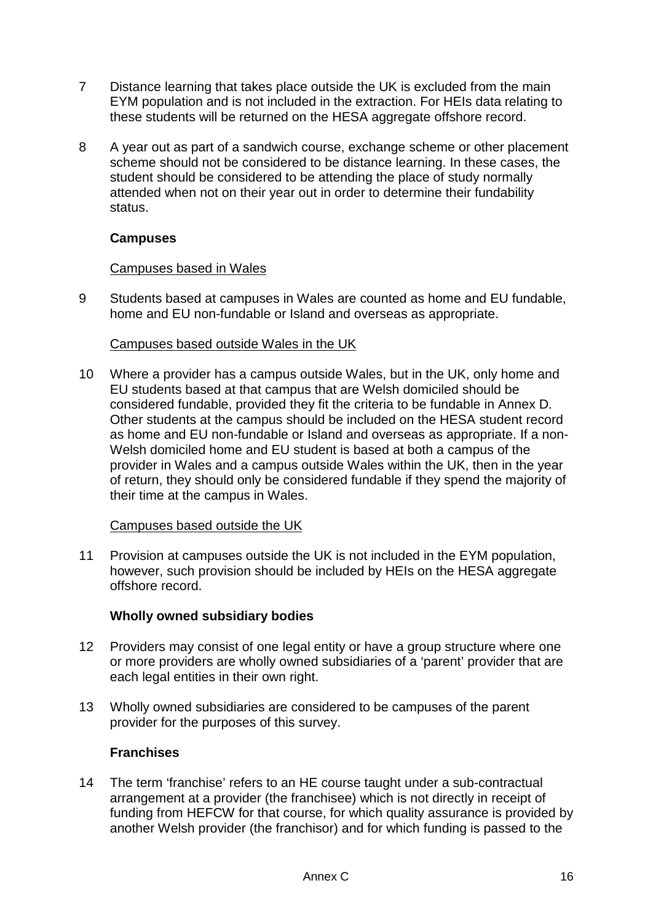- 7 Distance learning that takes place outside the UK is excluded from the main EYM population and is not included in the extraction. For HEIs data relating to these students will be returned on the HESA aggregate offshore record.
- 8 A year out as part of a sandwich course, exchange scheme or other placement scheme should not be considered to be distance learning. In these cases, the student should be considered to be attending the place of study normally attended when not on their year out in order to determine their fundability status.

### **Campuses**

#### Campuses based in Wales

9 Students based at campuses in Wales are counted as home and EU fundable, home and EU non-fundable or Island and overseas as appropriate.

#### Campuses based outside Wales in the UK

10 Where a provider has a campus outside Wales, but in the UK, only home and EU students based at that campus that are Welsh domiciled should be considered fundable, provided they fit the criteria to be fundable in Annex D. Other students at the campus should be included on the HESA student record as home and EU non-fundable or Island and overseas as appropriate. If a non-Welsh domiciled home and EU student is based at both a campus of the provider in Wales and a campus outside Wales within the UK, then in the year of return, they should only be considered fundable if they spend the majority of their time at the campus in Wales.

#### Campuses based outside the UK

11 Provision at campuses outside the UK is not included in the EYM population, however, such provision should be included by HEIs on the HESA aggregate offshore record.

#### **Wholly owned subsidiary bodies**

- 12 Providers may consist of one legal entity or have a group structure where one or more providers are wholly owned subsidiaries of a 'parent' provider that are each legal entities in their own right.
- 13 Wholly owned subsidiaries are considered to be campuses of the parent provider for the purposes of this survey.

### **Franchises**

14 The term 'franchise' refers to an HE course taught under a sub-contractual arrangement at a provider (the franchisee) which is not directly in receipt of funding from HEFCW for that course, for which quality assurance is provided by another Welsh provider (the franchisor) and for which funding is passed to the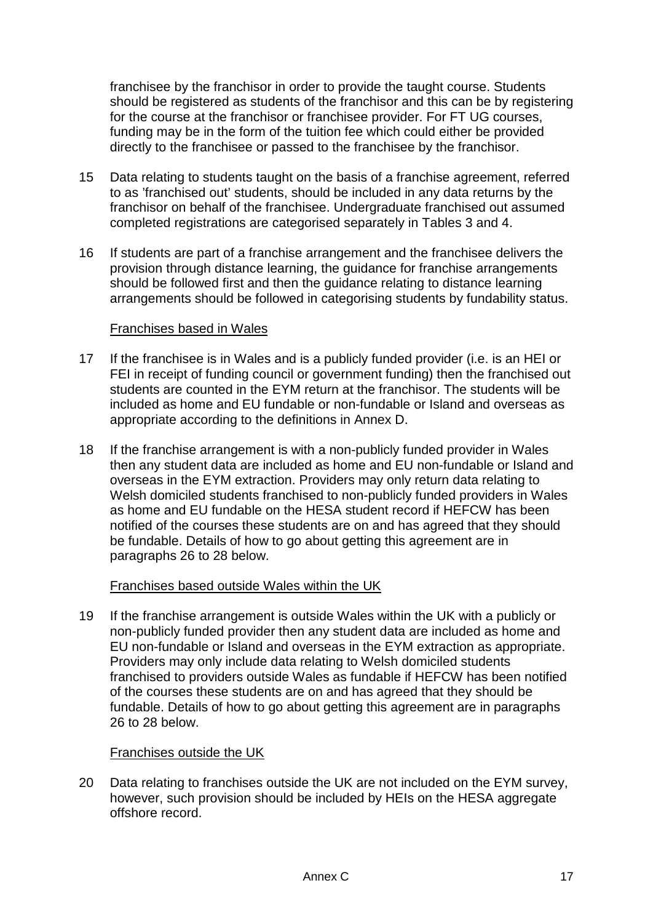franchisee by the franchisor in order to provide the taught course. Students should be registered as students of the franchisor and this can be by registering for the course at the franchisor or franchisee provider. For FT UG courses, funding may be in the form of the tuition fee which could either be provided directly to the franchisee or passed to the franchisee by the franchisor.

- 15 Data relating to students taught on the basis of a franchise agreement, referred to as 'franchised out' students, should be included in any data returns by the franchisor on behalf of the franchisee. Undergraduate franchised out assumed completed registrations are categorised separately in Tables 3 and 4.
- 16 If students are part of a franchise arrangement and the franchisee delivers the provision through distance learning, the guidance for franchise arrangements should be followed first and then the guidance relating to distance learning arrangements should be followed in categorising students by fundability status.

#### Franchises based in Wales

- 17 If the franchisee is in Wales and is a publicly funded provider (i.e. is an HEI or FEI in receipt of funding council or government funding) then the franchised out students are counted in the EYM return at the franchisor. The students will be included as home and EU fundable or non-fundable or Island and overseas as appropriate according to the definitions in Annex D.
- 18 If the franchise arrangement is with a non-publicly funded provider in Wales then any student data are included as home and EU non-fundable or Island and overseas in the EYM extraction. Providers may only return data relating to Welsh domiciled students franchised to non-publicly funded providers in Wales as home and EU fundable on the HESA student record if HEFCW has been notified of the courses these students are on and has agreed that they should be fundable. Details of how to go about getting this agreement are in paragraphs 26 to 28 below.

#### Franchises based outside Wales within the UK

19 If the franchise arrangement is outside Wales within the UK with a publicly or non-publicly funded provider then any student data are included as home and EU non-fundable or Island and overseas in the EYM extraction as appropriate. Providers may only include data relating to Welsh domiciled students franchised to providers outside Wales as fundable if HEFCW has been notified of the courses these students are on and has agreed that they should be fundable. Details of how to go about getting this agreement are in paragraphs 26 to 28 below.

#### Franchises outside the UK

20 Data relating to franchises outside the UK are not included on the EYM survey, however, such provision should be included by HEIs on the HESA aggregate offshore record.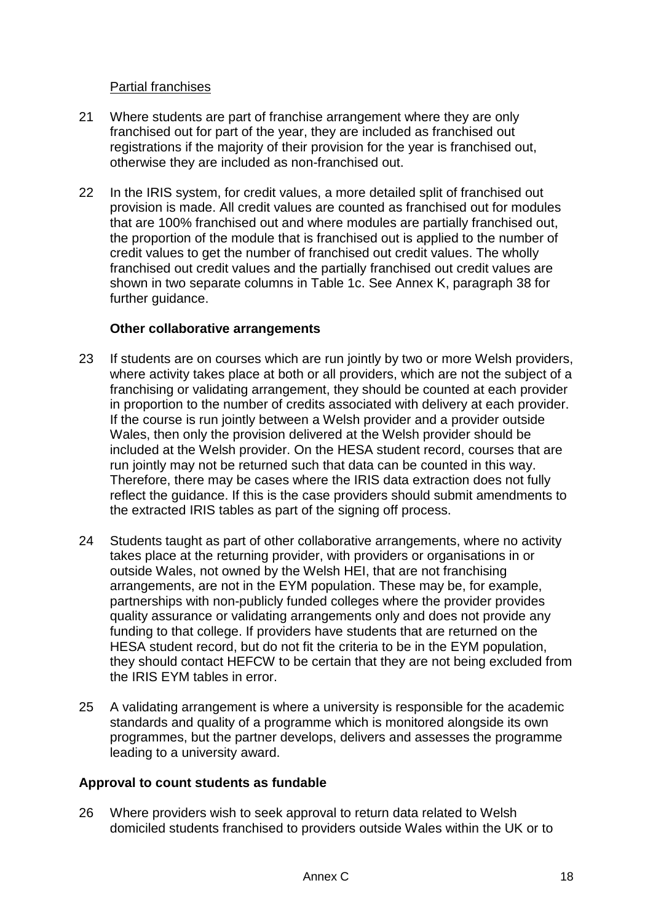### Partial franchises

- 21 Where students are part of franchise arrangement where they are only franchised out for part of the year, they are included as franchised out registrations if the majority of their provision for the year is franchised out, otherwise they are included as non-franchised out.
- 22 In the IRIS system, for credit values, a more detailed split of franchised out provision is made. All credit values are counted as franchised out for modules that are 100% franchised out and where modules are partially franchised out, the proportion of the module that is franchised out is applied to the number of credit values to get the number of franchised out credit values. The wholly franchised out credit values and the partially franchised out credit values are shown in two separate columns in Table 1c. See Annex K, paragraph 38 for further guidance.

#### **Other collaborative arrangements**

- 23 If students are on courses which are run jointly by two or more Welsh providers, where activity takes place at both or all providers, which are not the subject of a franchising or validating arrangement, they should be counted at each provider in proportion to the number of credits associated with delivery at each provider. If the course is run jointly between a Welsh provider and a provider outside Wales, then only the provision delivered at the Welsh provider should be included at the Welsh provider. On the HESA student record, courses that are run jointly may not be returned such that data can be counted in this way. Therefore, there may be cases where the IRIS data extraction does not fully reflect the guidance. If this is the case providers should submit amendments to the extracted IRIS tables as part of the signing off process.
- 24 Students taught as part of other collaborative arrangements, where no activity takes place at the returning provider, with providers or organisations in or outside Wales, not owned by the Welsh HEI, that are not franchising arrangements, are not in the EYM population. These may be, for example, partnerships with non-publicly funded colleges where the provider provides quality assurance or validating arrangements only and does not provide any funding to that college. If providers have students that are returned on the HESA student record, but do not fit the criteria to be in the EYM population, they should contact HEFCW to be certain that they are not being excluded from the IRIS EYM tables in error.
- 25 A validating arrangement is where a university is responsible for the academic standards and quality of a programme which is monitored alongside its own programmes, but the partner develops, delivers and assesses the programme leading to a university award.

### **Approval to count students as fundable**

26 Where providers wish to seek approval to return data related to Welsh domiciled students franchised to providers outside Wales within the UK or to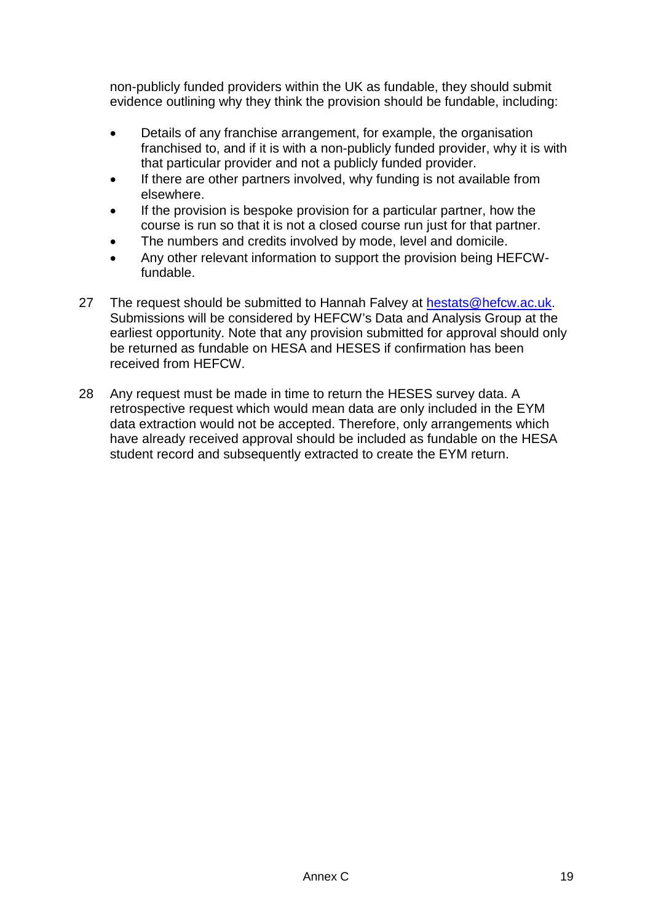non-publicly funded providers within the UK as fundable, they should submit evidence outlining why they think the provision should be fundable, including:

- Details of any franchise arrangement, for example, the organisation franchised to, and if it is with a non-publicly funded provider, why it is with that particular provider and not a publicly funded provider.
- If there are other partners involved, why funding is not available from elsewhere.
- If the provision is bespoke provision for a particular partner, how the course is run so that it is not a closed course run just for that partner.
- The numbers and credits involved by mode, level and domicile.
- Any other relevant information to support the provision being HEFCWfundable.
- 27 The request should be submitted to Hannah Falvey at [hestats@hefcw.ac.uk.](mailto:hestats@hefcw.ac.uk) Submissions will be considered by HEFCW's Data and Analysis Group at the earliest opportunity. Note that any provision submitted for approval should only be returned as fundable on HESA and HESES if confirmation has been received from HEFCW.
- 28 Any request must be made in time to return the HESES survey data. A retrospective request which would mean data are only included in the EYM data extraction would not be accepted. Therefore, only arrangements which have already received approval should be included as fundable on the HESA student record and subsequently extracted to create the EYM return.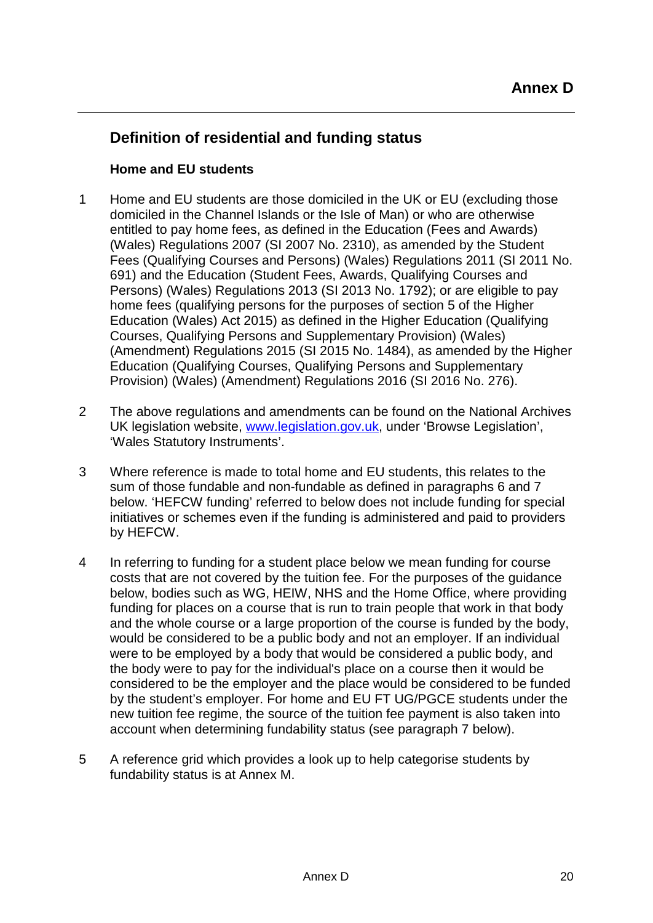## **Definition of residential and funding status**

### **Home and EU students**

- 1 Home and EU students are those domiciled in the UK or EU (excluding those domiciled in the Channel Islands or the Isle of Man) or who are otherwise entitled to pay home fees, as defined in the Education (Fees and Awards) (Wales) Regulations 2007 (SI 2007 No. 2310), as amended by the Student Fees (Qualifying Courses and Persons) (Wales) Regulations 2011 (SI 2011 No. 691) and the Education (Student Fees, Awards, Qualifying Courses and Persons) (Wales) Regulations 2013 (SI 2013 No. 1792); or are eligible to pay home fees (qualifying persons for the purposes of section 5 of the Higher Education (Wales) Act 2015) as defined in the Higher Education (Qualifying Courses, Qualifying Persons and Supplementary Provision) (Wales) (Amendment) Regulations 2015 (SI 2015 No. 1484), as amended by the Higher Education (Qualifying Courses, Qualifying Persons and Supplementary Provision) (Wales) (Amendment) Regulations 2016 (SI 2016 No. 276).
- 2 The above regulations and amendments can be found on the National Archives UK legislation website, [www.legislation.gov.uk,](file://hefcwnas2/HE_DAS/HEStats/HE_CIRCS/HESES15/Circular/www.legislation.gov.uk) under 'Browse Legislation', 'Wales Statutory Instruments'.
- 3 Where reference is made to total home and EU students, this relates to the sum of those fundable and non-fundable as defined in paragraphs 6 and 7 below. 'HEFCW funding' referred to below does not include funding for special initiatives or schemes even if the funding is administered and paid to providers by HEFCW.
- 4 In referring to funding for a student place below we mean funding for course costs that are not covered by the tuition fee. For the purposes of the guidance below, bodies such as WG, HEIW, NHS and the Home Office, where providing funding for places on a course that is run to train people that work in that body and the whole course or a large proportion of the course is funded by the body, would be considered to be a public body and not an employer. If an individual were to be employed by a body that would be considered a public body, and the body were to pay for the individual's place on a course then it would be considered to be the employer and the place would be considered to be funded by the student's employer. For home and EU FT UG/PGCE students under the new tuition fee regime, the source of the tuition fee payment is also taken into account when determining fundability status (see paragraph 7 below).
- 5 A reference grid which provides a look up to help categorise students by fundability status is at Annex M.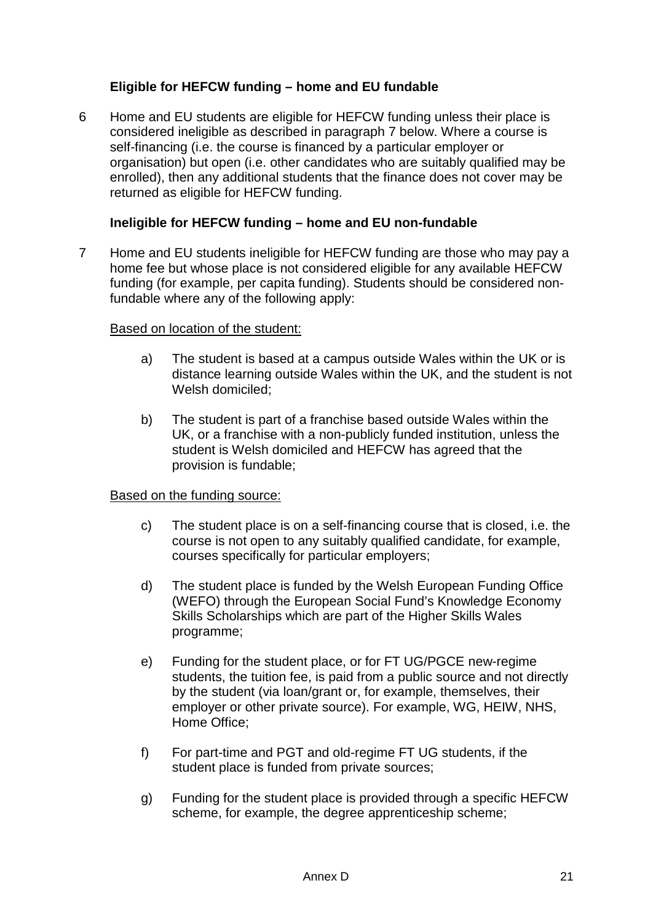### **Eligible for HEFCW funding – home and EU fundable**

6 Home and EU students are eligible for HEFCW funding unless their place is considered ineligible as described in paragraph 7 below. Where a course is self-financing (i.e. the course is financed by a particular employer or organisation) but open (i.e. other candidates who are suitably qualified may be enrolled), then any additional students that the finance does not cover may be returned as eligible for HEFCW funding.

#### **Ineligible for HEFCW funding – home and EU non-fundable**

7 Home and EU students ineligible for HEFCW funding are those who may pay a home fee but whose place is not considered eligible for any available HEFCW funding (for example, per capita funding). Students should be considered nonfundable where any of the following apply:

#### Based on location of the student:

- a) The student is based at a campus outside Wales within the UK or is distance learning outside Wales within the UK, and the student is not Welsh domiciled;
- b) The student is part of a franchise based outside Wales within the UK, or a franchise with a non-publicly funded institution, unless the student is Welsh domiciled and HEFCW has agreed that the provision is fundable;

#### Based on the funding source:

- c) The student place is on a self-financing course that is closed, i.e. the course is not open to any suitably qualified candidate, for example, courses specifically for particular employers;
- d) The student place is funded by the Welsh European Funding Office (WEFO) through the European Social Fund's Knowledge Economy Skills Scholarships which are part of the Higher Skills Wales programme;
- e) Funding for the student place, or for FT UG/PGCE new-regime students, the tuition fee, is paid from a public source and not directly by the student (via loan/grant or, for example, themselves, their employer or other private source). For example, WG, HEIW, NHS, Home Office;
- f) For part-time and PGT and old-regime FT UG students, if the student place is funded from private sources;
- g) Funding for the student place is provided through a specific HEFCW scheme, for example, the degree apprenticeship scheme;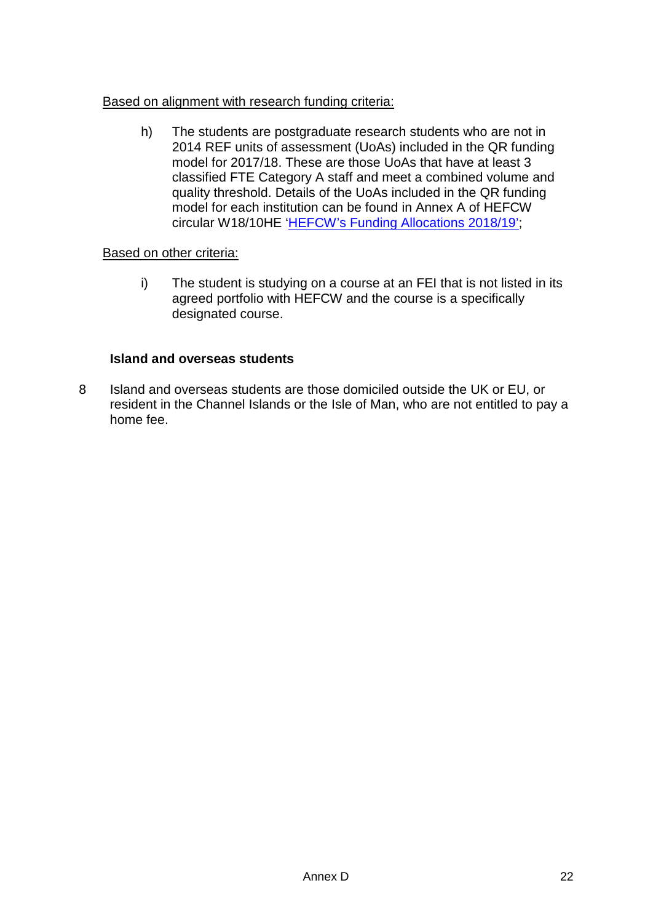#### Based on alignment with research funding criteria:

h) The students are postgraduate research students who are not in 2014 REF units of assessment (UoAs) included in the QR funding model for 2017/18. These are those UoAs that have at least 3 classified FTE Category A staff and meet a combined volume and quality threshold. Details of the UoAs included in the QR funding model for each institution can be found in Annex A of HEFCW circular W18/10HE ['HEFCW's Funding Allocations 2018/19';](https://www.hefcw.ac.uk/documents/publications/circulars/circulars_2018/W18%2010HE%20HEFCWs%20Funding%20Allocations%202018_19.pdf)

#### Based on other criteria:

i) The student is studying on a course at an FEI that is not listed in its agreed portfolio with HEFCW and the course is a specifically designated course.

#### **Island and overseas students**

8 Island and overseas students are those domiciled outside the UK or EU, or resident in the Channel Islands or the Isle of Man, who are not entitled to pay a home fee.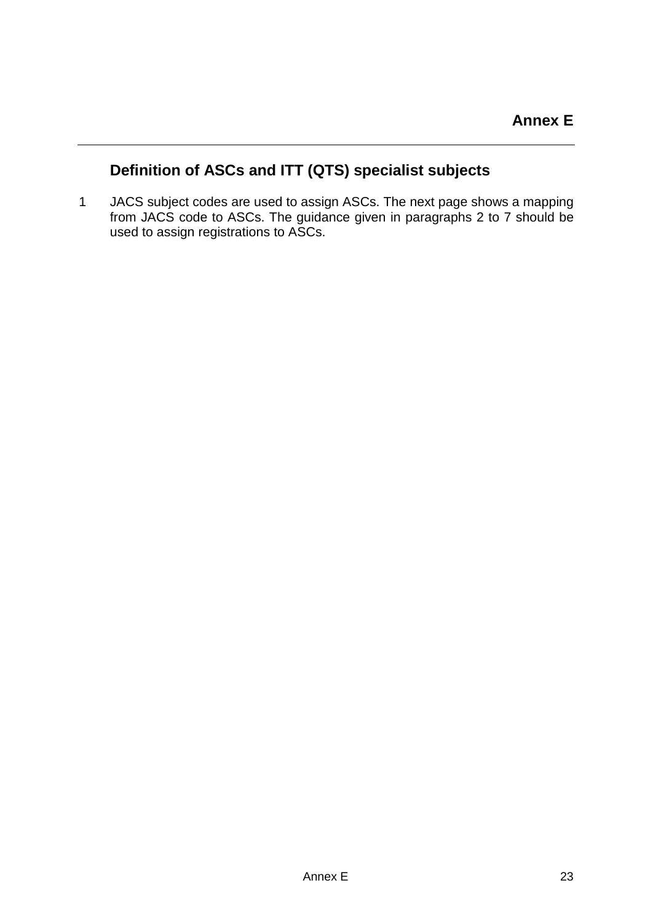## **Definition of ASCs and ITT (QTS) specialist subjects**

1 JACS subject codes are used to assign ASCs. The next page shows a mapping from JACS code to ASCs. The guidance given in paragraphs 2 to 7 should be used to assign registrations to ASCs.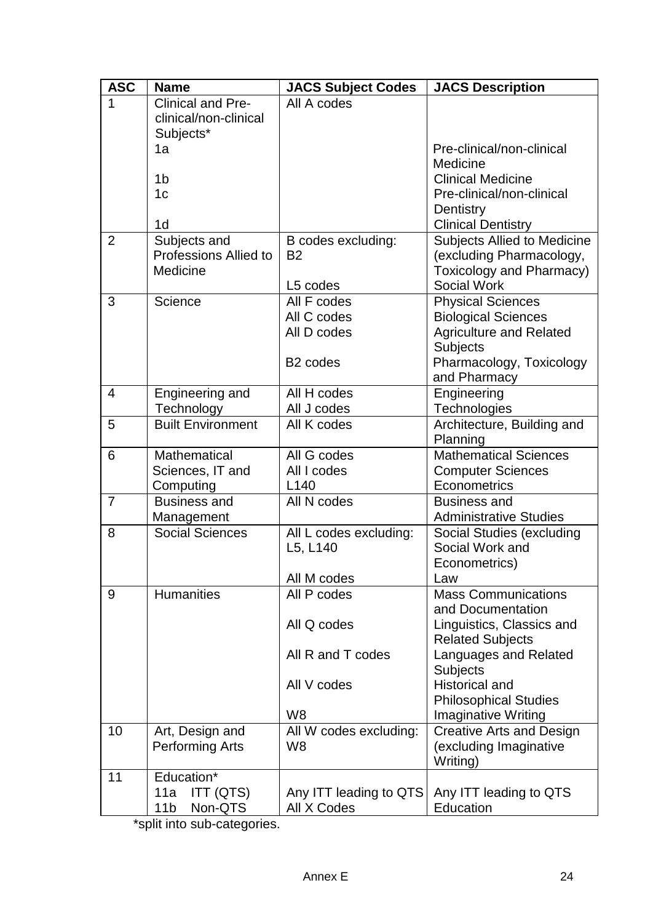| <b>ASC</b>     | <b>Name</b>                                    | <b>JACS Subject Codes</b>             | <b>JACS Description</b>                              |
|----------------|------------------------------------------------|---------------------------------------|------------------------------------------------------|
|                | Clinical and Pre-                              | All A codes                           |                                                      |
|                | clinical/non-clinical                          |                                       |                                                      |
|                | Subjects*                                      |                                       |                                                      |
|                | 1a                                             |                                       | Pre-clinical/non-clinical                            |
|                |                                                |                                       | Medicine                                             |
|                | 1b                                             |                                       | <b>Clinical Medicine</b>                             |
|                | 1 <sub>c</sub>                                 |                                       | Pre-clinical/non-clinical                            |
|                | 1 <sub>d</sub>                                 |                                       | Dentistry<br><b>Clinical Dentistry</b>               |
| $\overline{2}$ | Subjects and                                   | B codes excluding:                    | <b>Subjects Allied to Medicine</b>                   |
|                | <b>Professions Allied to</b>                   | <b>B2</b>                             | (excluding Pharmacology,                             |
|                | Medicine                                       |                                       | <b>Toxicology and Pharmacy)</b>                      |
|                |                                                | L5 codes                              | <b>Social Work</b>                                   |
| 3              | Science                                        | All F codes                           | <b>Physical Sciences</b>                             |
|                |                                                | All C codes                           | <b>Biological Sciences</b>                           |
|                |                                                | All D codes                           | <b>Agriculture and Related</b>                       |
|                |                                                |                                       | <b>Subjects</b>                                      |
|                |                                                | B <sub>2</sub> codes                  | Pharmacology, Toxicology                             |
|                |                                                |                                       | and Pharmacy                                         |
| $\overline{4}$ | Engineering and                                | All H codes                           | Engineering                                          |
|                | Technology                                     | All J codes                           | Technologies                                         |
| 5              | <b>Built Environment</b>                       | All K codes                           | Architecture, Building and                           |
|                |                                                |                                       | Planning                                             |
| 6              | Mathematical                                   | All G codes                           | <b>Mathematical Sciences</b>                         |
|                | Sciences, IT and                               | All I codes                           | <b>Computer Sciences</b>                             |
|                | Computing                                      | L <sub>140</sub>                      | Econometrics                                         |
| $\overline{7}$ | <b>Business and</b><br>Management              | All N codes                           | <b>Business and</b><br><b>Administrative Studies</b> |
| 8              | <b>Social Sciences</b>                         | All L codes excluding:                | Social Studies (excluding                            |
|                |                                                | L5, L140                              | Social Work and                                      |
|                |                                                |                                       | Econometrics)                                        |
|                |                                                | All M codes                           | Law                                                  |
| 9              | <b>Humanities</b>                              | All P codes                           | <b>Mass Communications</b>                           |
|                |                                                |                                       | and Documentation                                    |
|                |                                                | All Q codes                           | Linguistics, Classics and                            |
|                |                                                |                                       | <b>Related Subjects</b>                              |
|                |                                                | All R and T codes                     | Languages and Related                                |
|                |                                                |                                       | <b>Subjects</b>                                      |
|                |                                                | All V codes                           | <b>Historical and</b>                                |
|                |                                                |                                       | <b>Philosophical Studies</b>                         |
|                |                                                | W <sub>8</sub>                        | <b>Imaginative Writing</b>                           |
| 10             | Art, Design and                                | All W codes excluding:                | <b>Creative Arts and Design</b>                      |
|                | <b>Performing Arts</b>                         | W <sub>8</sub>                        | (excluding Imaginative                               |
|                |                                                |                                       | Writing)                                             |
| 11             | Education*                                     |                                       |                                                      |
|                | ITT (QTS)<br>11a<br>Non-QTS<br>11 <sub>b</sub> | Any ITT leading to QTS<br>All X Codes | Any ITT leading to QTS<br>Education                  |
|                |                                                |                                       |                                                      |

\*split into sub-categories.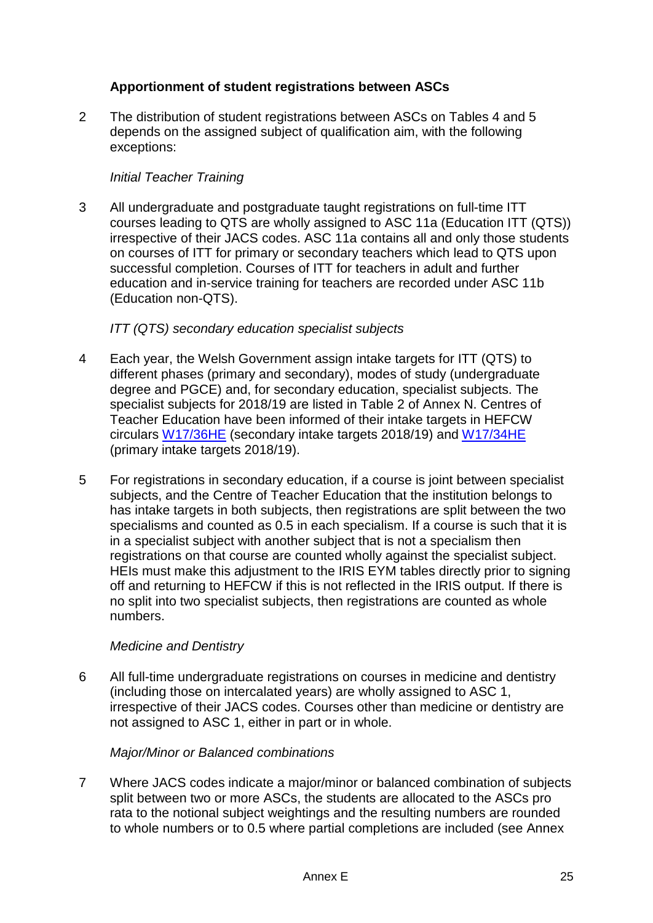### **Apportionment of student registrations between ASCs**

2 The distribution of student registrations between ASCs on Tables 4 and 5 depends on the assigned subject of qualification aim, with the following exceptions:

### *Initial Teacher Training*

3 All undergraduate and postgraduate taught registrations on full-time ITT courses leading to QTS are wholly assigned to ASC 11a (Education ITT (QTS)) irrespective of their JACS codes. ASC 11a contains all and only those students on courses of ITT for primary or secondary teachers which lead to QTS upon successful completion. Courses of ITT for teachers in adult and further education and in-service training for teachers are recorded under ASC 11b (Education non-QTS).

#### *ITT (QTS) secondary education specialist subjects*

- 4 Each year, the Welsh Government assign intake targets for ITT (QTS) to different phases (primary and secondary), modes of study (undergraduate degree and PGCE) and, for secondary education, specialist subjects. The specialist subjects for 2018/19 are listed in Table 2 of Annex N. Centres of Teacher Education have been informed of their intake targets in HEFCW circulars [W17/36HE](https://www.hefcw.ac.uk/documents/publications/circulars/circulars_2017/W17%2036HE%20Secondary%20Initial%20Teacher%20Training%20Intake%20targets%202018_19.pdf) (secondary intake targets 2018/19) and [W17/34HE](https://www.hefcw.ac.uk/documents/publications/circulars/circulars_2017/W17%2034HE%20Primary%20Initial%20Teacher%20Education%20Intake%20targets%202018_19.pdf) (primary intake targets 2018/19).
- 5 For registrations in secondary education, if a course is joint between specialist subjects, and the Centre of Teacher Education that the institution belongs to has intake targets in both subjects, then registrations are split between the two specialisms and counted as 0.5 in each specialism. If a course is such that it is in a specialist subject with another subject that is not a specialism then registrations on that course are counted wholly against the specialist subject. HEIs must make this adjustment to the IRIS EYM tables directly prior to signing off and returning to HEFCW if this is not reflected in the IRIS output. If there is no split into two specialist subjects, then registrations are counted as whole numbers.

### *Medicine and Dentistry*

6 All full-time undergraduate registrations on courses in medicine and dentistry (including those on intercalated years) are wholly assigned to ASC 1, irrespective of their JACS codes. Courses other than medicine or dentistry are not assigned to ASC 1, either in part or in whole.

#### *Major/Minor or Balanced combinations*

7 Where JACS codes indicate a major/minor or balanced combination of subjects split between two or more ASCs, the students are allocated to the ASCs pro rata to the notional subject weightings and the resulting numbers are rounded to whole numbers or to 0.5 where partial completions are included (see Annex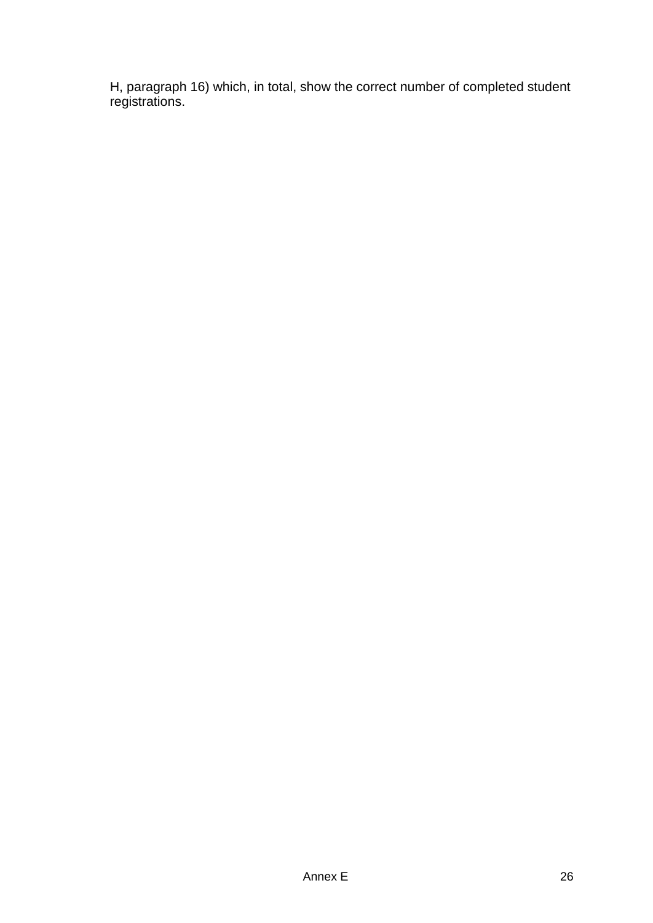H, paragraph 16) which, in total, show the correct number of completed student registrations.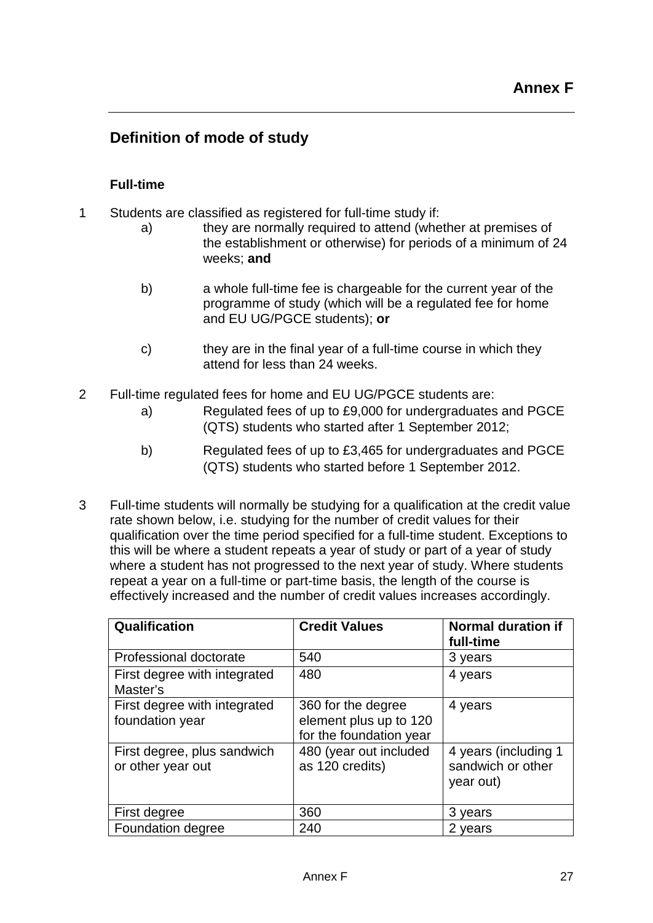## **Definition of mode of study**

### **Full-time**

- 1 Students are classified as registered for full-time study if:
	- a) they are normally required to attend (whether at premises of the establishment or otherwise) for periods of a minimum of 24 weeks; **and**
	- b) a whole full-time fee is chargeable for the current year of the programme of study (which will be a regulated fee for home and EU UG/PGCE students); **or**
	- c) they are in the final year of a full-time course in which they attend for less than 24 weeks.
- 2 Full-time regulated fees for home and EU UG/PGCE students are:
	- a) Regulated fees of up to £9,000 for undergraduates and PGCE (QTS) students who started after 1 September 2012;
	- b) Regulated fees of up to £3,465 for undergraduates and PGCE (QTS) students who started before 1 September 2012.
- 3 Full-time students will normally be studying for a qualification at the credit value rate shown below, i.e. studying for the number of credit values for their qualification over the time period specified for a full-time student. Exceptions to this will be where a student repeats a year of study or part of a year of study where a student has not progressed to the next year of study. Where students repeat a year on a full-time or part-time basis, the length of the course is effectively increased and the number of credit values increases accordingly.

| Qualification                                    | <b>Credit Values</b>                                                    | <b>Normal duration if</b><br>full-time                 |
|--------------------------------------------------|-------------------------------------------------------------------------|--------------------------------------------------------|
| Professional doctorate                           | 540                                                                     | 3 years                                                |
| First degree with integrated<br>Master's         | 480                                                                     | 4 years                                                |
| First degree with integrated<br>foundation year  | 360 for the degree<br>element plus up to 120<br>for the foundation year | 4 years                                                |
| First degree, plus sandwich<br>or other year out | 480 (year out included<br>as 120 credits)                               | 4 years (including 1<br>sandwich or other<br>year out) |
| First degree                                     | 360                                                                     | 3 years                                                |
| Foundation degree                                | 240                                                                     | 2 years                                                |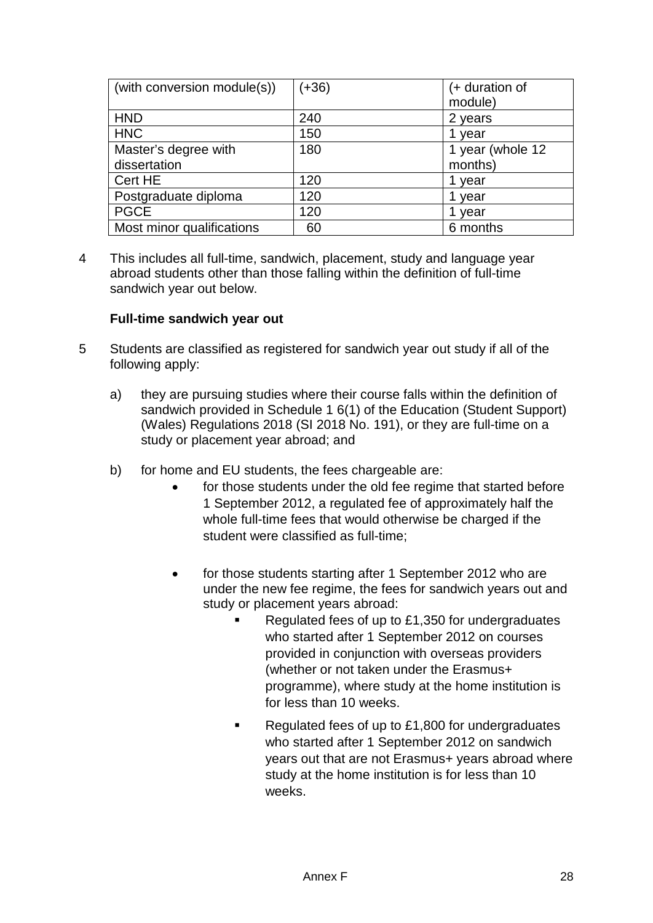| (with conversion module(s)) | $(+36)$ | (+ duration of<br>module) |
|-----------------------------|---------|---------------------------|
| <b>HND</b>                  | 240     | 2 years                   |
| <b>HNC</b>                  | 150     | 1 year                    |
| Master's degree with        | 180     | 1 year (whole 12          |
| dissertation                |         | months)                   |
| Cert HE                     | 120     | 1 year                    |
| Postgraduate diploma        | 120     | year                      |
| <b>PGCE</b>                 | 120     | year                      |
| Most minor qualifications   | 60      | 6 months                  |

4 This includes all full-time, sandwich, placement, study and language year abroad students other than those falling within the definition of full-time sandwich year out below.

#### **Full-time sandwich year out**

- 5 Students are classified as registered for sandwich year out study if all of the following apply:
	- a) they are pursuing studies where their course falls within the definition of sandwich provided in Schedule 1 6(1) of the Education (Student Support) (Wales) Regulations 2018 (SI 2018 No. 191), or they are full-time on a study or placement year abroad; and
	- b) for home and EU students, the fees chargeable are:
		- for those students under the old fee regime that started before 1 September 2012, a regulated fee of approximately half the whole full-time fees that would otherwise be charged if the student were classified as full-time;
		- for those students starting after 1 September 2012 who are under the new fee regime, the fees for sandwich years out and study or placement years abroad:
			- Regulated fees of up to £1,350 for undergraduates who started after 1 September 2012 on courses provided in conjunction with overseas providers (whether or not taken under the Erasmus+ programme), where study at the home institution is for less than 10 weeks.
			- Regulated fees of up to £1,800 for undergraduates who started after 1 September 2012 on sandwich years out that are not Erasmus+ years abroad where study at the home institution is for less than 10 weeks.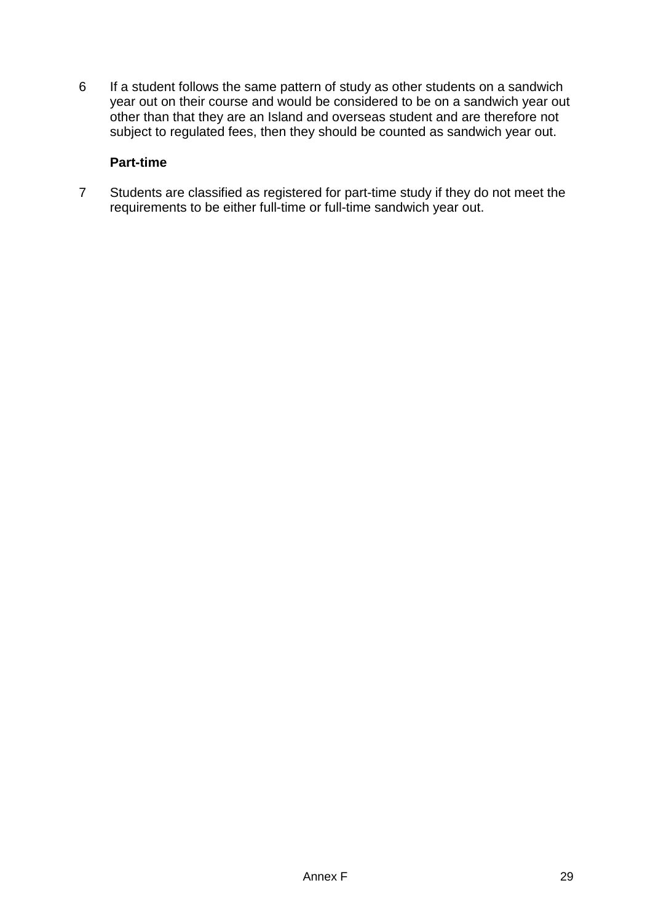6 If a student follows the same pattern of study as other students on a sandwich year out on their course and would be considered to be on a sandwich year out other than that they are an Island and overseas student and are therefore not subject to regulated fees, then they should be counted as sandwich year out.

#### **Part-time**

7 Students are classified as registered for part-time study if they do not meet the requirements to be either full-time or full-time sandwich year out.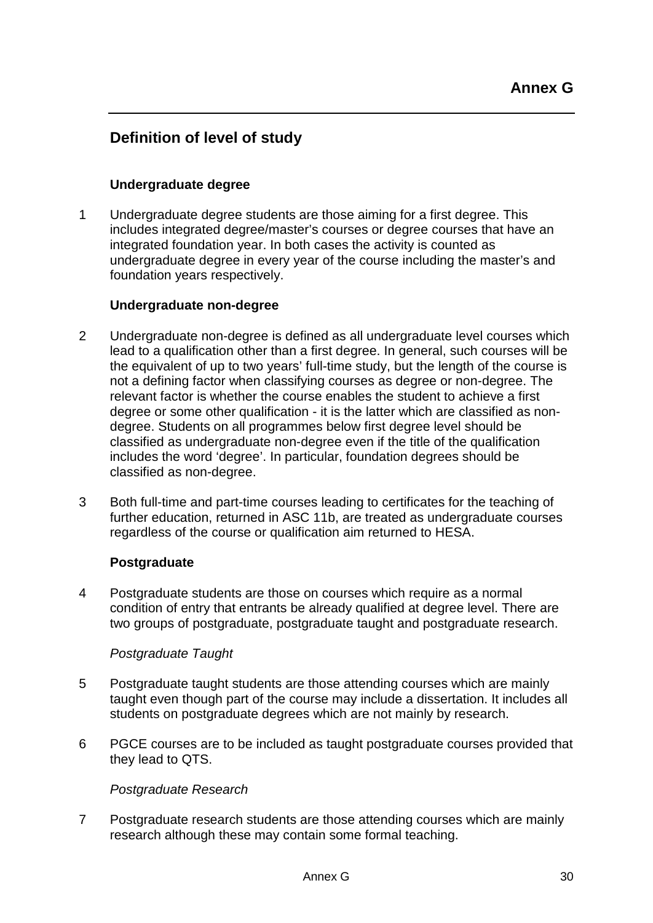## **Definition of level of study**

### **Undergraduate degree**

1 Undergraduate degree students are those aiming for a first degree. This includes integrated degree/master's courses or degree courses that have an integrated foundation year. In both cases the activity is counted as undergraduate degree in every year of the course including the master's and foundation years respectively.

#### **Undergraduate non-degree**

- 2 Undergraduate non-degree is defined as all undergraduate level courses which lead to a qualification other than a first degree. In general, such courses will be the equivalent of up to two years' full-time study, but the length of the course is not a defining factor when classifying courses as degree or non-degree. The relevant factor is whether the course enables the student to achieve a first degree or some other qualification - it is the latter which are classified as nondegree. Students on all programmes below first degree level should be classified as undergraduate non-degree even if the title of the qualification includes the word 'degree'. In particular, foundation degrees should be classified as non-degree.
- 3 Both full-time and part-time courses leading to certificates for the teaching of further education, returned in ASC 11b, are treated as undergraduate courses regardless of the course or qualification aim returned to HESA.

#### **Postgraduate**

4 Postgraduate students are those on courses which require as a normal condition of entry that entrants be already qualified at degree level. There are two groups of postgraduate, postgraduate taught and postgraduate research.

#### *Postgraduate Taught*

- 5 Postgraduate taught students are those attending courses which are mainly taught even though part of the course may include a dissertation. It includes all students on postgraduate degrees which are not mainly by research.
- 6 PGCE courses are to be included as taught postgraduate courses provided that they lead to QTS.

#### *Postgraduate Research*

7 Postgraduate research students are those attending courses which are mainly research although these may contain some formal teaching.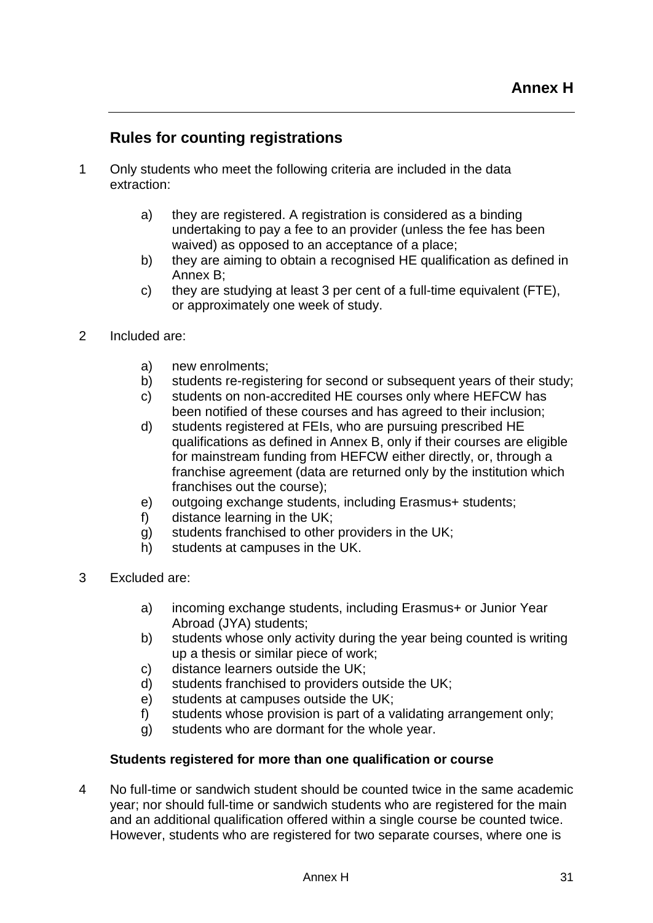## **Rules for counting registrations**

- 1 Only students who meet the following criteria are included in the data extraction:
	- a) they are registered. A registration is considered as a binding undertaking to pay a fee to an provider (unless the fee has been waived) as opposed to an acceptance of a place;
	- b) they are aiming to obtain a recognised HE qualification as defined in Annex B;
	- c) they are studying at least 3 per cent of a full-time equivalent (FTE), or approximately one week of study.
- 2 Included are:
	- a) new enrolments;
	- b) students re-registering for second or subsequent years of their study;
	- c) students on non-accredited HE courses only where HEFCW has been notified of these courses and has agreed to their inclusion;
	- d) students registered at FEIs, who are pursuing prescribed HE qualifications as defined in Annex B, only if their courses are eligible for mainstream funding from HEFCW either directly, or, through a franchise agreement (data are returned only by the institution which franchises out the course);
	- e) outgoing exchange students, including Erasmus+ students;
	- f) distance learning in the UK;
	- g) students franchised to other providers in the UK;
	- h) students at campuses in the UK.
- 3 Excluded are:
	- a) incoming exchange students, including Erasmus+ or Junior Year Abroad (JYA) students;
	- b) students whose only activity during the year being counted is writing up a thesis or similar piece of work;
	- c) distance learners outside the UK;
	- d) students franchised to providers outside the UK;
	- e) students at campuses outside the UK;
	- f) students whose provision is part of a validating arrangement only;
	- g) students who are dormant for the whole year.

#### **Students registered for more than one qualification or course**

4 No full-time or sandwich student should be counted twice in the same academic year; nor should full-time or sandwich students who are registered for the main and an additional qualification offered within a single course be counted twice. However, students who are registered for two separate courses, where one is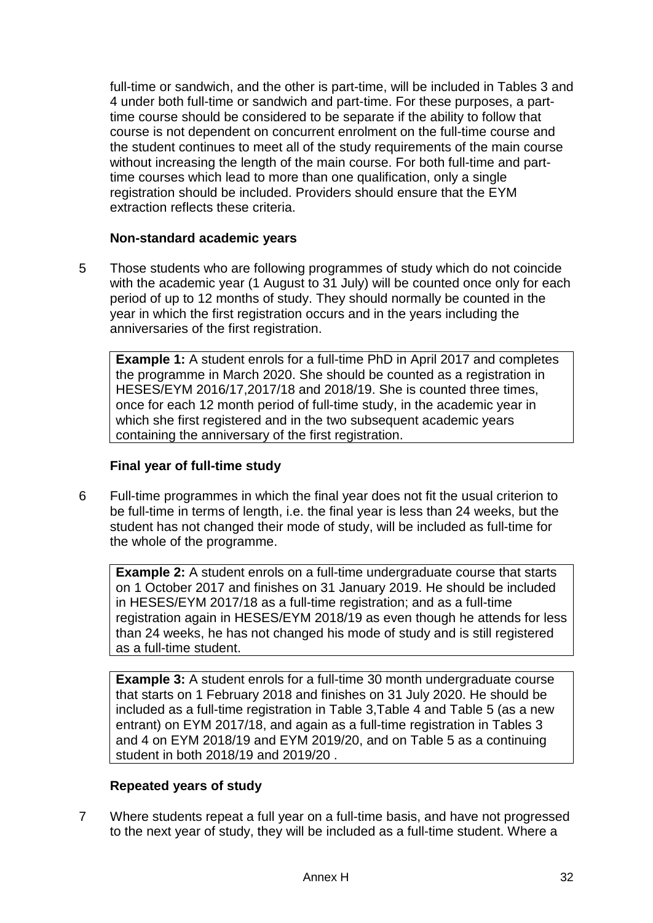full-time or sandwich, and the other is part-time, will be included in Tables 3 and 4 under both full-time or sandwich and part-time. For these purposes, a parttime course should be considered to be separate if the ability to follow that course is not dependent on concurrent enrolment on the full-time course and the student continues to meet all of the study requirements of the main course without increasing the length of the main course. For both full-time and parttime courses which lead to more than one qualification, only a single registration should be included. Providers should ensure that the EYM extraction reflects these criteria.

#### **Non-standard academic years**

5 Those students who are following programmes of study which do not coincide with the academic year (1 August to 31 July) will be counted once only for each period of up to 12 months of study. They should normally be counted in the year in which the first registration occurs and in the years including the anniversaries of the first registration.

**Example 1:** A student enrols for a full-time PhD in April 2017 and completes the programme in March 2020. She should be counted as a registration in HESES/EYM 2016/17,2017/18 and 2018/19. She is counted three times, once for each 12 month period of full-time study, in the academic year in which she first registered and in the two subsequent academic years containing the anniversary of the first registration.

#### **Final year of full-time study**

6 Full-time programmes in which the final year does not fit the usual criterion to be full-time in terms of length, i.e. the final year is less than 24 weeks, but the student has not changed their mode of study, will be included as full-time for the whole of the programme.

**Example 2:** A student enrols on a full-time undergraduate course that starts on 1 October 2017 and finishes on 31 January 2019. He should be included in HESES/EYM 2017/18 as a full-time registration; and as a full-time registration again in HESES/EYM 2018/19 as even though he attends for less than 24 weeks, he has not changed his mode of study and is still registered as a full-time student.

**Example 3:** A student enrols for a full-time 30 month undergraduate course that starts on 1 February 2018 and finishes on 31 July 2020. He should be included as a full-time registration in Table 3,Table 4 and Table 5 (as a new entrant) on EYM 2017/18, and again as a full-time registration in Tables 3 and 4 on EYM 2018/19 and EYM 2019/20, and on Table 5 as a continuing student in both 2018/19 and 2019/20 .

### **Repeated years of study**

7 Where students repeat a full year on a full-time basis, and have not progressed to the next year of study, they will be included as a full-time student. Where a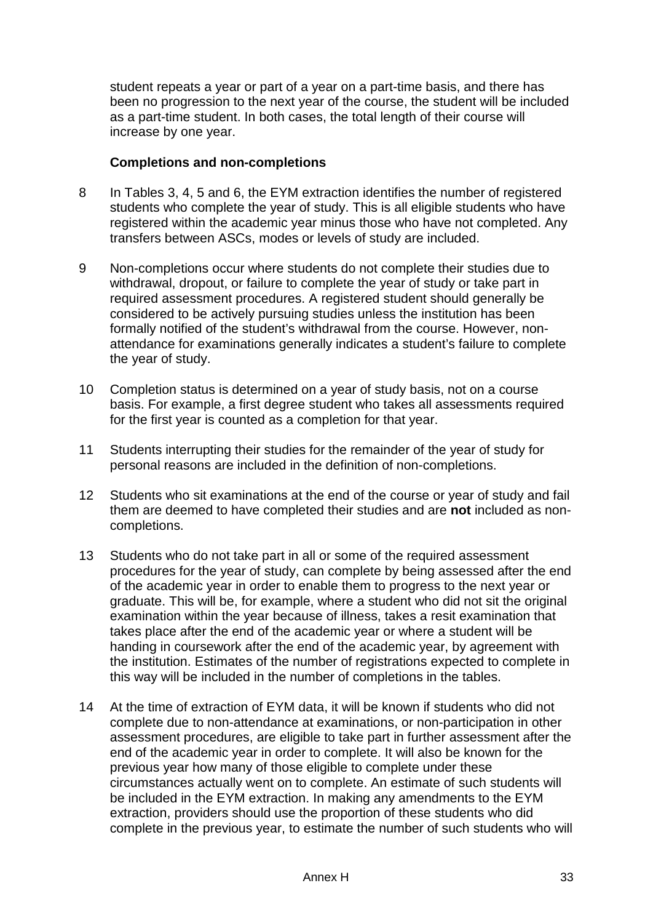student repeats a year or part of a year on a part-time basis, and there has been no progression to the next year of the course, the student will be included as a part-time student. In both cases, the total length of their course will increase by one year.

#### **Completions and non-completions**

- 8 In Tables 3, 4, 5 and 6, the EYM extraction identifies the number of registered students who complete the year of study. This is all eligible students who have registered within the academic year minus those who have not completed. Any transfers between ASCs, modes or levels of study are included.
- 9 Non-completions occur where students do not complete their studies due to withdrawal, dropout, or failure to complete the year of study or take part in required assessment procedures. A registered student should generally be considered to be actively pursuing studies unless the institution has been formally notified of the student's withdrawal from the course. However, nonattendance for examinations generally indicates a student's failure to complete the year of study.
- 10 Completion status is determined on a year of study basis, not on a course basis. For example, a first degree student who takes all assessments required for the first year is counted as a completion for that year.
- 11 Students interrupting their studies for the remainder of the year of study for personal reasons are included in the definition of non-completions.
- 12 Students who sit examinations at the end of the course or year of study and fail them are deemed to have completed their studies and are **not** included as noncompletions.
- 13 Students who do not take part in all or some of the required assessment procedures for the year of study, can complete by being assessed after the end of the academic year in order to enable them to progress to the next year or graduate. This will be, for example, where a student who did not sit the original examination within the year because of illness, takes a resit examination that takes place after the end of the academic year or where a student will be handing in coursework after the end of the academic year, by agreement with the institution. Estimates of the number of registrations expected to complete in this way will be included in the number of completions in the tables.
- 14 At the time of extraction of EYM data, it will be known if students who did not complete due to non-attendance at examinations, or non-participation in other assessment procedures, are eligible to take part in further assessment after the end of the academic year in order to complete. It will also be known for the previous year how many of those eligible to complete under these circumstances actually went on to complete. An estimate of such students will be included in the EYM extraction. In making any amendments to the EYM extraction, providers should use the proportion of these students who did complete in the previous year, to estimate the number of such students who will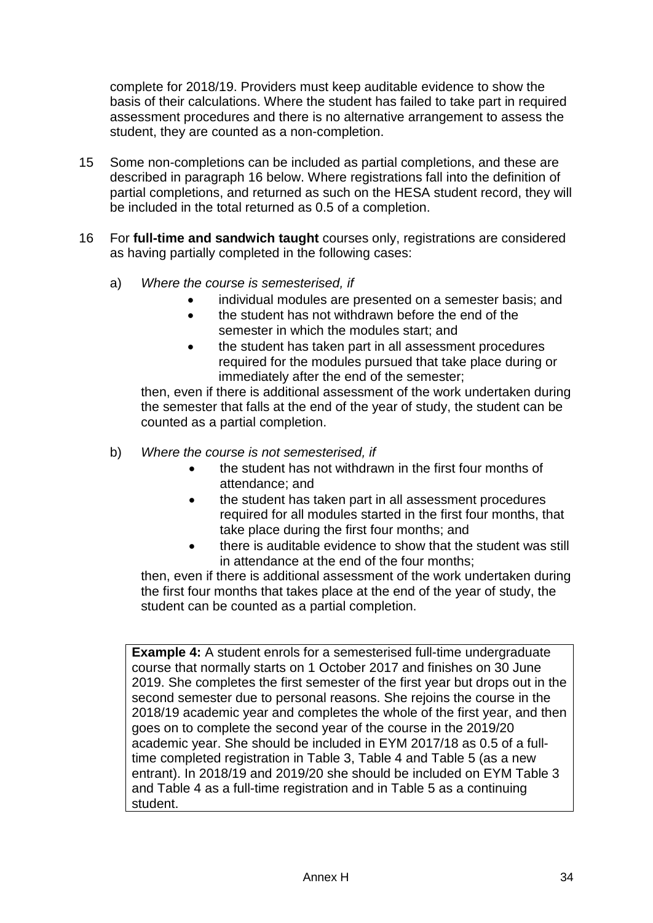complete for 2018/19. Providers must keep auditable evidence to show the basis of their calculations. Where the student has failed to take part in required assessment procedures and there is no alternative arrangement to assess the student, they are counted as a non-completion.

- 15 Some non-completions can be included as partial completions, and these are described in paragraph 16 below. Where registrations fall into the definition of partial completions, and returned as such on the HESA student record, they will be included in the total returned as 0.5 of a completion.
- 16 For **full-time and sandwich taught** courses only, registrations are considered as having partially completed in the following cases:
	- a) *Where the course is semesterised, if*
		- individual modules are presented on a semester basis; and
		- the student has not withdrawn before the end of the semester in which the modules start; and
		- the student has taken part in all assessment procedures required for the modules pursued that take place during or immediately after the end of the semester;

then, even if there is additional assessment of the work undertaken during the semester that falls at the end of the year of study, the student can be counted as a partial completion.

- b) *Where the course is not semesterised, if*
	- the student has not withdrawn in the first four months of attendance; and
	- the student has taken part in all assessment procedures required for all modules started in the first four months, that take place during the first four months; and
	- there is auditable evidence to show that the student was still in attendance at the end of the four months;

then, even if there is additional assessment of the work undertaken during the first four months that takes place at the end of the year of study, the student can be counted as a partial completion.

**Example 4:** A student enrols for a semesterised full-time undergraduate course that normally starts on 1 October 2017 and finishes on 30 June 2019. She completes the first semester of the first year but drops out in the second semester due to personal reasons. She rejoins the course in the 2018/19 academic year and completes the whole of the first year, and then goes on to complete the second year of the course in the 2019/20 academic year. She should be included in EYM 2017/18 as 0.5 of a fulltime completed registration in Table 3, Table 4 and Table 5 (as a new entrant). In 2018/19 and 2019/20 she should be included on EYM Table 3 and Table 4 as a full-time registration and in Table 5 as a continuing student.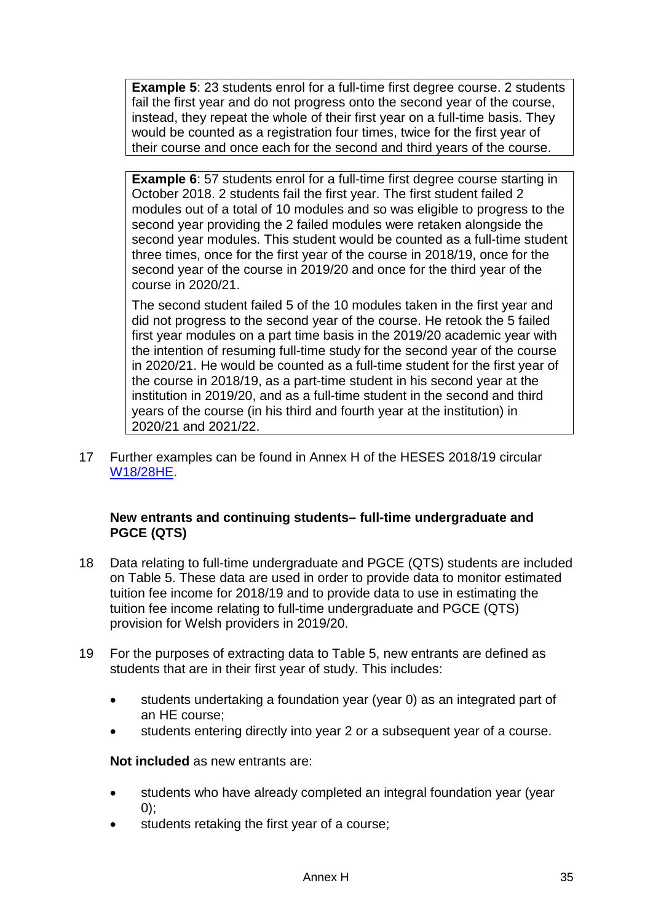**Example 5**: 23 students enrol for a full-time first degree course. 2 students fail the first year and do not progress onto the second year of the course, instead, they repeat the whole of their first year on a full-time basis. They would be counted as a registration four times, twice for the first year of their course and once each for the second and third years of the course.

**Example 6:** 57 students enrol for a full-time first degree course starting in October 2018. 2 students fail the first year. The first student failed 2 modules out of a total of 10 modules and so was eligible to progress to the second year providing the 2 failed modules were retaken alongside the second year modules. This student would be counted as a full-time student three times, once for the first year of the course in 2018/19, once for the second year of the course in 2019/20 and once for the third year of the course in 2020/21.

The second student failed 5 of the 10 modules taken in the first year and did not progress to the second year of the course. He retook the 5 failed first year modules on a part time basis in the 2019/20 academic year with the intention of resuming full-time study for the second year of the course in 2020/21. He would be counted as a full-time student for the first year of the course in 2018/19, as a part-time student in his second year at the institution in 2019/20, and as a full-time student in the second and third years of the course (in his third and fourth year at the institution) in 2020/21 and 2021/22.

17 Further examples can be found in Annex H of the HESES 2018/19 circular [W18/28HE.](https://www.hefcw.ac.uk/documents/publications/circulars/circulars_2018/W18%2028HE%20Higher%20Education%20Students%20Early%20Statistics%20Survey%202018_19.pdf)

### **New entrants and continuing students– full-time undergraduate and PGCE (QTS)**

- 18 Data relating to full-time undergraduate and PGCE (QTS) students are included on Table 5. These data are used in order to provide data to monitor estimated tuition fee income for 2018/19 and to provide data to use in estimating the tuition fee income relating to full-time undergraduate and PGCE (QTS) provision for Welsh providers in 2019/20.
- 19 For the purposes of extracting data to Table 5, new entrants are defined as students that are in their first year of study. This includes:
	- students undertaking a foundation year (year 0) as an integrated part of an HE course;
	- students entering directly into year 2 or a subsequent year of a course.

**Not included** as new entrants are:

- students who have already completed an integral foundation year (year 0);
- students retaking the first year of a course;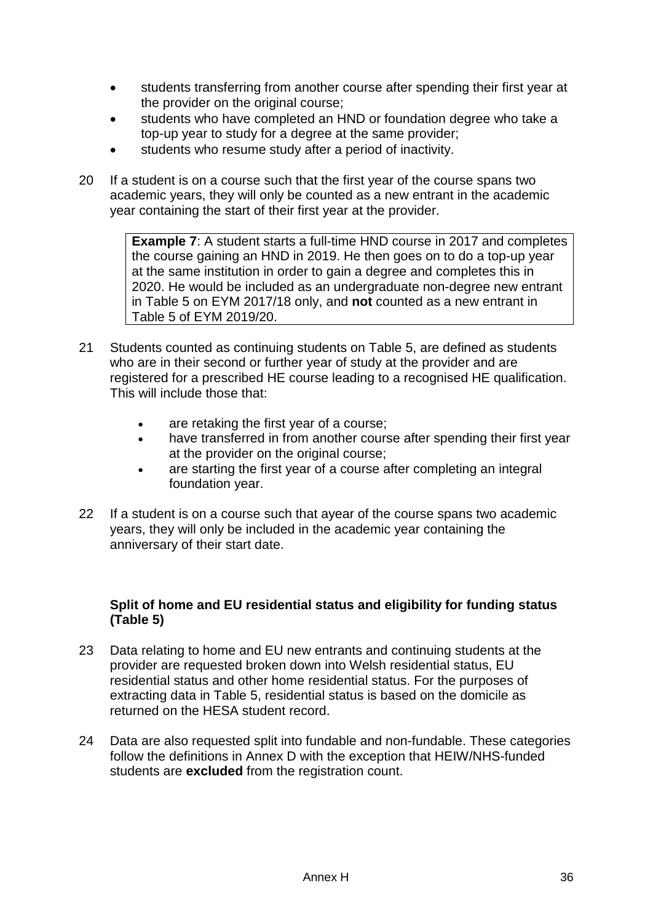- students transferring from another course after spending their first year at the provider on the original course:
- students who have completed an HND or foundation degree who take a top-up year to study for a degree at the same provider;
- students who resume study after a period of inactivity.
- 20 If a student is on a course such that the first year of the course spans two academic years, they will only be counted as a new entrant in the academic year containing the start of their first year at the provider.

**Example 7:** A student starts a full-time HND course in 2017 and completes the course gaining an HND in 2019. He then goes on to do a top-up year at the same institution in order to gain a degree and completes this in 2020. He would be included as an undergraduate non-degree new entrant in Table 5 on EYM 2017/18 only, and **not** counted as a new entrant in Table 5 of EYM 2019/20.

- 21 Students counted as continuing students on Table 5, are defined as students who are in their second or further year of study at the provider and are registered for a prescribed HE course leading to a recognised HE qualification. This will include those that:
	- are retaking the first year of a course;
	- have transferred in from another course after spending their first year at the provider on the original course;
	- are starting the first year of a course after completing an integral foundation year.
- 22 If a student is on a course such that ayear of the course spans two academic years, they will only be included in the academic year containing the anniversary of their start date.

### **Split of home and EU residential status and eligibility for funding status (Table 5)**

- 23 Data relating to home and EU new entrants and continuing students at the provider are requested broken down into Welsh residential status, EU residential status and other home residential status. For the purposes of extracting data in Table 5, residential status is based on the domicile as returned on the HESA student record.
- 24 Data are also requested split into fundable and non-fundable. These categories follow the definitions in Annex D with the exception that HEIW/NHS-funded students are **excluded** from the registration count.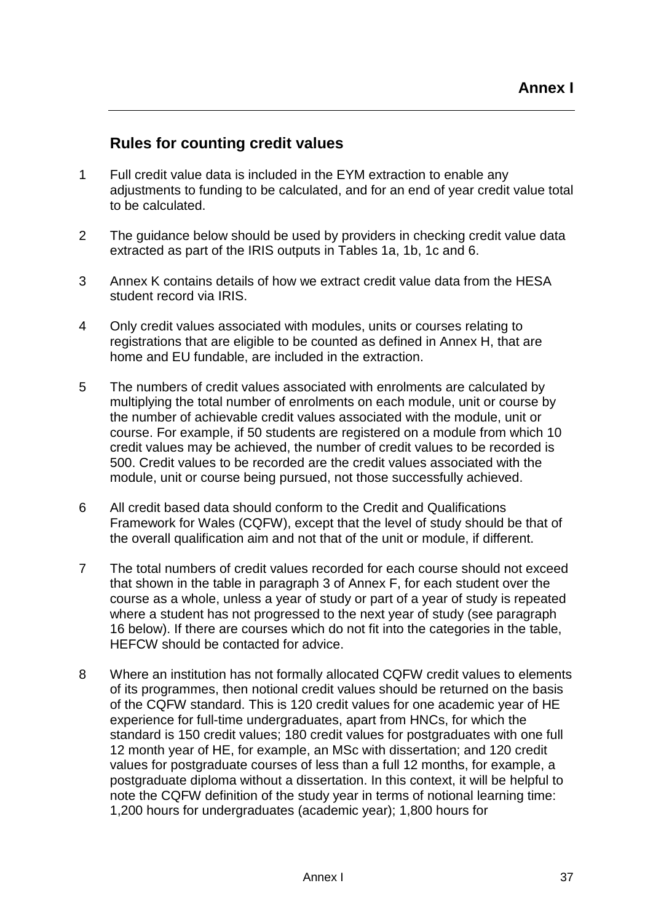## **Rules for counting credit values**

- 1 Full credit value data is included in the EYM extraction to enable any adjustments to funding to be calculated, and for an end of year credit value total to be calculated.
- 2 The guidance below should be used by providers in checking credit value data extracted as part of the IRIS outputs in Tables 1a, 1b, 1c and 6.
- 3 Annex K contains details of how we extract credit value data from the HESA student record via IRIS.
- 4 Only credit values associated with modules, units or courses relating to registrations that are eligible to be counted as defined in Annex H, that are home and EU fundable, are included in the extraction.
- 5 The numbers of credit values associated with enrolments are calculated by multiplying the total number of enrolments on each module, unit or course by the number of achievable credit values associated with the module, unit or course. For example, if 50 students are registered on a module from which 10 credit values may be achieved, the number of credit values to be recorded is 500. Credit values to be recorded are the credit values associated with the module, unit or course being pursued, not those successfully achieved.
- 6 All credit based data should conform to the Credit and Qualifications Framework for Wales (CQFW), except that the level of study should be that of the overall qualification aim and not that of the unit or module, if different.
- 7 The total numbers of credit values recorded for each course should not exceed that shown in the table in paragraph 3 of Annex F, for each student over the course as a whole, unless a year of study or part of a year of study is repeated where a student has not progressed to the next year of study (see paragraph 16 below). If there are courses which do not fit into the categories in the table, HEFCW should be contacted for advice.
- 8 Where an institution has not formally allocated CQFW credit values to elements of its programmes, then notional credit values should be returned on the basis of the CQFW standard. This is 120 credit values for one academic year of HE experience for full-time undergraduates, apart from HNCs, for which the standard is 150 credit values; 180 credit values for postgraduates with one full 12 month year of HE, for example, an MSc with dissertation; and 120 credit values for postgraduate courses of less than a full 12 months, for example, a postgraduate diploma without a dissertation. In this context, it will be helpful to note the CQFW definition of the study year in terms of notional learning time: 1,200 hours for undergraduates (academic year); 1,800 hours for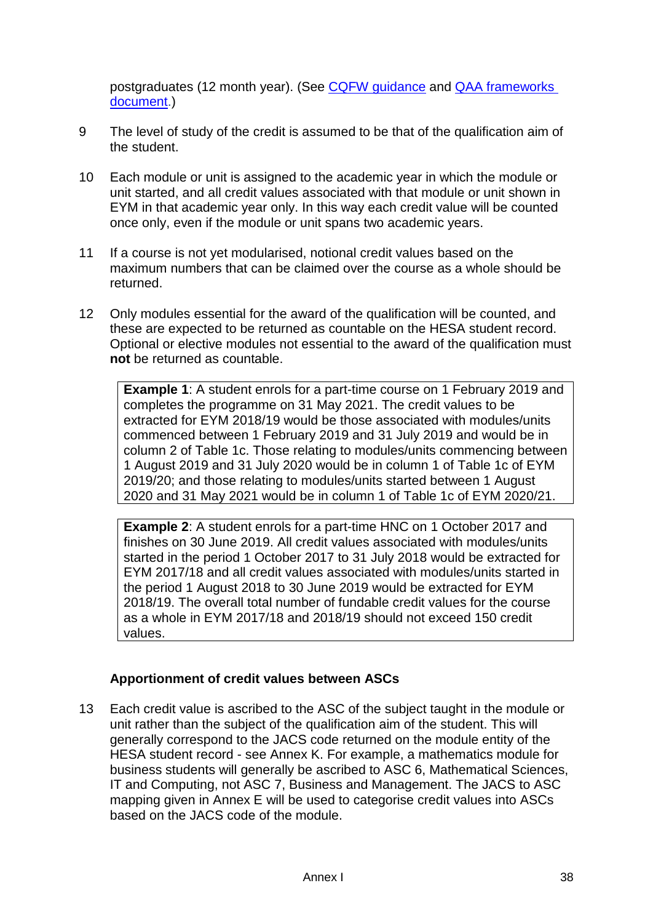postgraduates (12 month year). (See CQFW [guidance](http://gov.wales/docs/dcells/publications/151013-cqfw-brochure-en.pdf) and [QAA frameworks](https://www.qaa.ac.uk/quality-code/qualifications-and-credit-frameworks)  [document.](https://www.qaa.ac.uk/quality-code/qualifications-and-credit-frameworks))

- 9 The level of study of the credit is assumed to be that of the qualification aim of the student.
- 10 Each module or unit is assigned to the academic year in which the module or unit started, and all credit values associated with that module or unit shown in EYM in that academic year only. In this way each credit value will be counted once only, even if the module or unit spans two academic years.
- 11 If a course is not yet modularised, notional credit values based on the maximum numbers that can be claimed over the course as a whole should be returned.
- 12 Only modules essential for the award of the qualification will be counted, and these are expected to be returned as countable on the HESA student record. Optional or elective modules not essential to the award of the qualification must **not** be returned as countable.

**Example 1:** A student enrols for a part-time course on 1 February 2019 and completes the programme on 31 May 2021. The credit values to be extracted for EYM 2018/19 would be those associated with modules/units commenced between 1 February 2019 and 31 July 2019 and would be in column 2 of Table 1c. Those relating to modules/units commencing between 1 August 2019 and 31 July 2020 would be in column 1 of Table 1c of EYM 2019/20; and those relating to modules/units started between 1 August 2020 and 31 May 2021 would be in column 1 of Table 1c of EYM 2020/21.

**Example 2**: A student enrols for a part-time HNC on 1 October 2017 and finishes on 30 June 2019. All credit values associated with modules/units started in the period 1 October 2017 to 31 July 2018 would be extracted for EYM 2017/18 and all credit values associated with modules/units started in the period 1 August 2018 to 30 June 2019 would be extracted for EYM 2018/19. The overall total number of fundable credit values for the course as a whole in EYM 2017/18 and 2018/19 should not exceed 150 credit values.

### **Apportionment of credit values between ASCs**

13 Each credit value is ascribed to the ASC of the subject taught in the module or unit rather than the subject of the qualification aim of the student. This will generally correspond to the JACS code returned on the module entity of the HESA student record - see Annex K. For example, a mathematics module for business students will generally be ascribed to ASC 6, Mathematical Sciences, IT and Computing, not ASC 7, Business and Management. The JACS to ASC mapping given in Annex E will be used to categorise credit values into ASCs based on the JACS code of the module.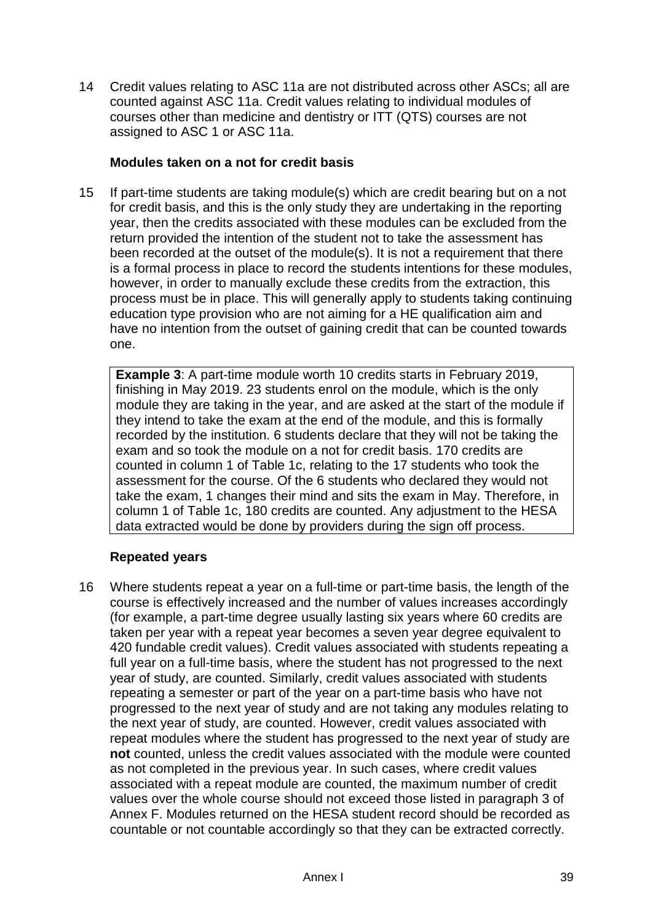14 Credit values relating to ASC 11a are not distributed across other ASCs; all are counted against ASC 11a. Credit values relating to individual modules of courses other than medicine and dentistry or ITT (QTS) courses are not assigned to ASC 1 or ASC 11a.

#### **Modules taken on a not for credit basis**

15 If part-time students are taking module(s) which are credit bearing but on a not for credit basis, and this is the only study they are undertaking in the reporting year, then the credits associated with these modules can be excluded from the return provided the intention of the student not to take the assessment has been recorded at the outset of the module(s). It is not a requirement that there is a formal process in place to record the students intentions for these modules, however, in order to manually exclude these credits from the extraction, this process must be in place. This will generally apply to students taking continuing education type provision who are not aiming for a HE qualification aim and have no intention from the outset of gaining credit that can be counted towards one.

**Example 3**: A part-time module worth 10 credits starts in February 2019, finishing in May 2019. 23 students enrol on the module, which is the only module they are taking in the year, and are asked at the start of the module if they intend to take the exam at the end of the module, and this is formally recorded by the institution. 6 students declare that they will not be taking the exam and so took the module on a not for credit basis. 170 credits are counted in column 1 of Table 1c, relating to the 17 students who took the assessment for the course. Of the 6 students who declared they would not take the exam, 1 changes their mind and sits the exam in May. Therefore, in column 1 of Table 1c, 180 credits are counted. Any adjustment to the HESA data extracted would be done by providers during the sign off process.

### **Repeated years**

16 Where students repeat a year on a full-time or part-time basis, the length of the course is effectively increased and the number of values increases accordingly (for example, a part-time degree usually lasting six years where 60 credits are taken per year with a repeat year becomes a seven year degree equivalent to 420 fundable credit values). Credit values associated with students repeating a full year on a full-time basis, where the student has not progressed to the next year of study, are counted. Similarly, credit values associated with students repeating a semester or part of the year on a part-time basis who have not progressed to the next year of study and are not taking any modules relating to the next year of study, are counted. However, credit values associated with repeat modules where the student has progressed to the next year of study are **not** counted, unless the credit values associated with the module were counted as not completed in the previous year. In such cases, where credit values associated with a repeat module are counted, the maximum number of credit values over the whole course should not exceed those listed in paragraph 3 of Annex F. Modules returned on the HESA student record should be recorded as countable or not countable accordingly so that they can be extracted correctly.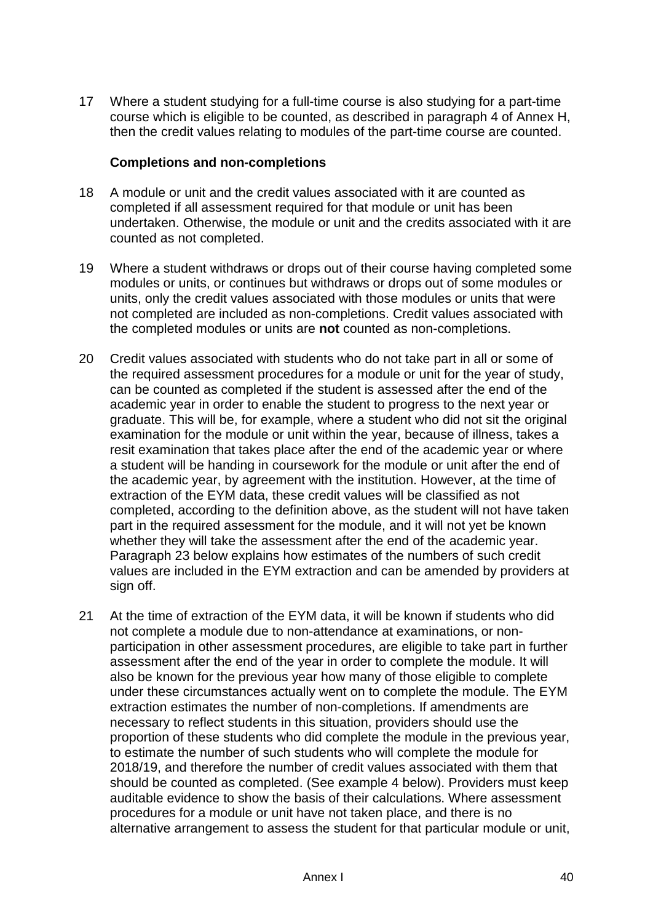17 Where a student studying for a full-time course is also studying for a part-time course which is eligible to be counted, as described in paragraph 4 of Annex H, then the credit values relating to modules of the part-time course are counted.

#### **Completions and non-completions**

- 18 A module or unit and the credit values associated with it are counted as completed if all assessment required for that module or unit has been undertaken. Otherwise, the module or unit and the credits associated with it are counted as not completed.
- 19 Where a student withdraws or drops out of their course having completed some modules or units, or continues but withdraws or drops out of some modules or units, only the credit values associated with those modules or units that were not completed are included as non-completions. Credit values associated with the completed modules or units are **not** counted as non-completions.
- 20 Credit values associated with students who do not take part in all or some of the required assessment procedures for a module or unit for the year of study, can be counted as completed if the student is assessed after the end of the academic year in order to enable the student to progress to the next year or graduate. This will be, for example, where a student who did not sit the original examination for the module or unit within the year, because of illness, takes a resit examination that takes place after the end of the academic year or where a student will be handing in coursework for the module or unit after the end of the academic year, by agreement with the institution. However, at the time of extraction of the EYM data, these credit values will be classified as not completed, according to the definition above, as the student will not have taken part in the required assessment for the module, and it will not yet be known whether they will take the assessment after the end of the academic year. Paragraph 23 below explains how estimates of the numbers of such credit values are included in the EYM extraction and can be amended by providers at sign off.
- 21 At the time of extraction of the EYM data, it will be known if students who did not complete a module due to non-attendance at examinations, or nonparticipation in other assessment procedures, are eligible to take part in further assessment after the end of the year in order to complete the module. It will also be known for the previous year how many of those eligible to complete under these circumstances actually went on to complete the module. The EYM extraction estimates the number of non-completions. If amendments are necessary to reflect students in this situation, providers should use the proportion of these students who did complete the module in the previous year, to estimate the number of such students who will complete the module for 2018/19, and therefore the number of credit values associated with them that should be counted as completed. (See example 4 below). Providers must keep auditable evidence to show the basis of their calculations. Where assessment procedures for a module or unit have not taken place, and there is no alternative arrangement to assess the student for that particular module or unit,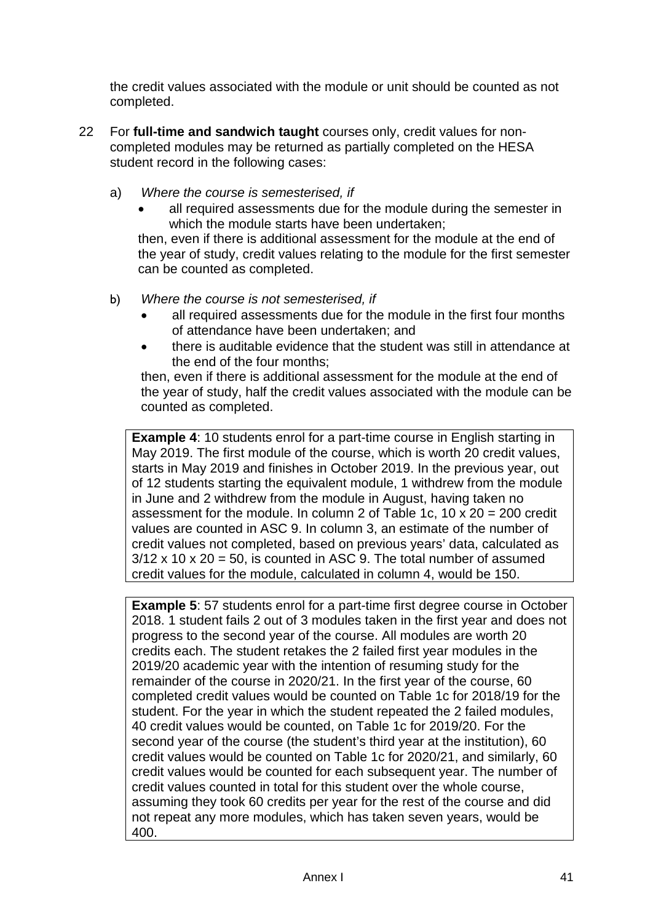the credit values associated with the module or unit should be counted as not completed.

- 22 For **full-time and sandwich taught** courses only, credit values for noncompleted modules may be returned as partially completed on the HESA student record in the following cases:
	- a) *Where the course is semesterised, if*
		- all required assessments due for the module during the semester in which the module starts have been undertaken;

then, even if there is additional assessment for the module at the end of the year of study, credit values relating to the module for the first semester can be counted as completed.

- b) *Where the course is not semesterised, if*
	- all required assessments due for the module in the first four months of attendance have been undertaken; and
	- there is auditable evidence that the student was still in attendance at the end of the four months;

then, even if there is additional assessment for the module at the end of the year of study, half the credit values associated with the module can be counted as completed.

**Example 4: 10 students enrol for a part-time course in English starting in** May 2019. The first module of the course, which is worth 20 credit values, starts in May 2019 and finishes in October 2019. In the previous year, out of 12 students starting the equivalent module, 1 withdrew from the module in June and 2 withdrew from the module in August, having taken no assessment for the module. In column 2 of Table 1c,  $10 \times 20 = 200$  credit values are counted in ASC 9. In column 3, an estimate of the number of credit values not completed, based on previous years' data, calculated as  $3/12 \times 10 \times 20 = 50$ , is counted in ASC 9. The total number of assumed credit values for the module, calculated in column 4, would be 150.

**Example 5**: 57 students enrol for a part-time first degree course in October 2018. 1 student fails 2 out of 3 modules taken in the first year and does not progress to the second year of the course. All modules are worth 20 credits each. The student retakes the 2 failed first year modules in the 2019/20 academic year with the intention of resuming study for the remainder of the course in 2020/21. In the first year of the course, 60 completed credit values would be counted on Table 1c for 2018/19 for the student. For the year in which the student repeated the 2 failed modules, 40 credit values would be counted, on Table 1c for 2019/20. For the second year of the course (the student's third year at the institution), 60 credit values would be counted on Table 1c for 2020/21, and similarly, 60 credit values would be counted for each subsequent year. The number of credit values counted in total for this student over the whole course, assuming they took 60 credits per year for the rest of the course and did not repeat any more modules, which has taken seven years, would be 400.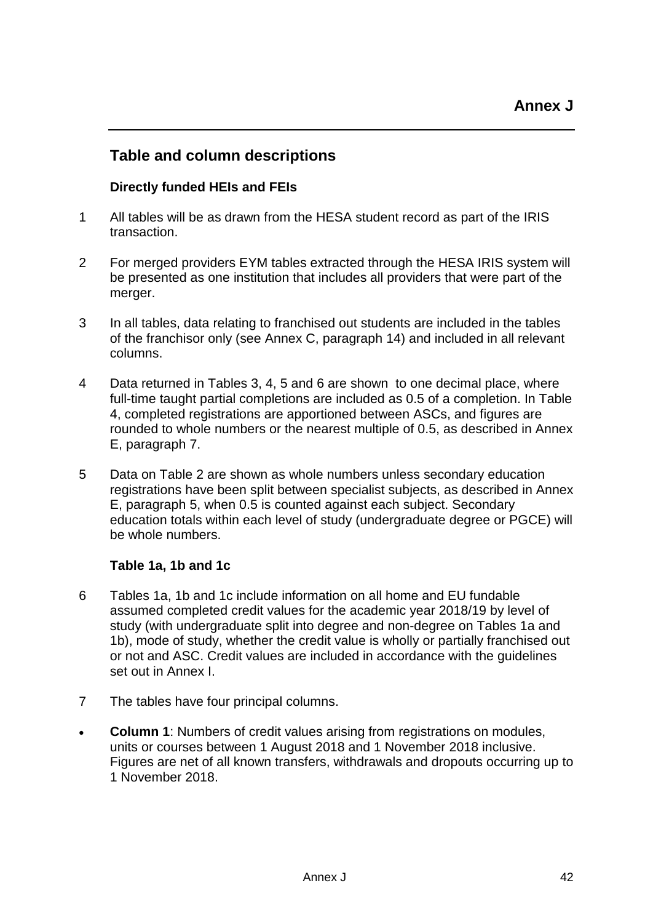## **Table and column descriptions**

### **Directly funded HEIs and FEIs**

- 1 All tables will be as drawn from the HESA student record as part of the IRIS transaction.
- 2 For merged providers EYM tables extracted through the HESA IRIS system will be presented as one institution that includes all providers that were part of the merger.
- 3 In all tables, data relating to franchised out students are included in the tables of the franchisor only (see Annex C, paragraph 14) and included in all relevant columns.
- 4 Data returned in Tables 3, 4, 5 and 6 are shown to one decimal place, where full-time taught partial completions are included as 0.5 of a completion. In Table 4, completed registrations are apportioned between ASCs, and figures are rounded to whole numbers or the nearest multiple of 0.5, as described in Annex E, paragraph 7.
- 5 Data on Table 2 are shown as whole numbers unless secondary education registrations have been split between specialist subjects, as described in Annex E, paragraph 5, when 0.5 is counted against each subject. Secondary education totals within each level of study (undergraduate degree or PGCE) will be whole numbers.

#### **Table 1a, 1b and 1c**

- 6 Tables 1a, 1b and 1c include information on all home and EU fundable assumed completed credit values for the academic year 2018/19 by level of study (with undergraduate split into degree and non-degree on Tables 1a and 1b), mode of study, whether the credit value is wholly or partially franchised out or not and ASC. Credit values are included in accordance with the guidelines set out in Annex I.
- 7 The tables have four principal columns.
- **Column 1**: Numbers of credit values arising from registrations on modules, units or courses between 1 August 2018 and 1 November 2018 inclusive. Figures are net of all known transfers, withdrawals and dropouts occurring up to 1 November 2018.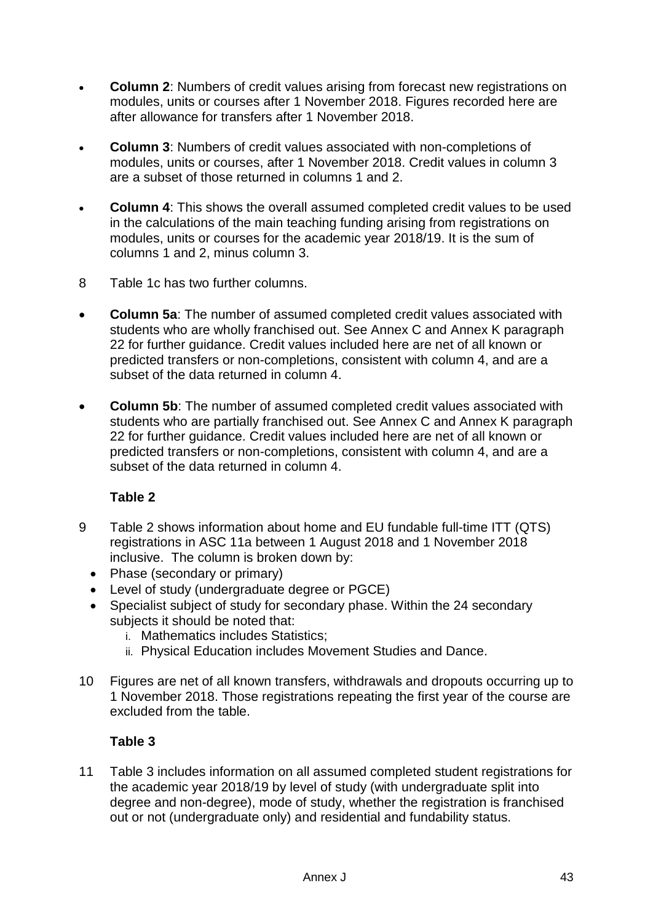- **Column 2**: Numbers of credit values arising from forecast new registrations on modules, units or courses after 1 November 2018. Figures recorded here are after allowance for transfers after 1 November 2018.
- **Column 3**: Numbers of credit values associated with non-completions of modules, units or courses, after 1 November 2018. Credit values in column 3 are a subset of those returned in columns 1 and 2.
- **Column 4:** This shows the overall assumed completed credit values to be used in the calculations of the main teaching funding arising from registrations on modules, units or courses for the academic year 2018/19. It is the sum of columns 1 and 2, minus column 3.
- 8 Table 1c has two further columns.
- **Column 5a**: The number of assumed completed credit values associated with students who are wholly franchised out. See Annex C and Annex K paragraph 22 for further guidance. Credit values included here are net of all known or predicted transfers or non-completions, consistent with column 4, and are a subset of the data returned in column 4.
- **Column 5b**: The number of assumed completed credit values associated with students who are partially franchised out. See Annex C and Annex K paragraph 22 for further guidance. Credit values included here are net of all known or predicted transfers or non-completions, consistent with column 4, and are a subset of the data returned in column 4.

### **Table 2**

- 9 Table 2 shows information about home and EU fundable full-time ITT (QTS) registrations in ASC 11a between 1 August 2018 and 1 November 2018 inclusive. The column is broken down by:
	- Phase (secondary or primary)
	- Level of study (undergraduate degree or PGCE)
	- Specialist subject of study for secondary phase. Within the 24 secondary subjects it should be noted that:
		- i. Mathematics includes Statistics;
		- ii. Physical Education includes Movement Studies and Dance.
- 10 Figures are net of all known transfers, withdrawals and dropouts occurring up to 1 November 2018. Those registrations repeating the first year of the course are excluded from the table.

### **Table 3**

11 Table 3 includes information on all assumed completed student registrations for the academic year 2018/19 by level of study (with undergraduate split into degree and non-degree), mode of study, whether the registration is franchised out or not (undergraduate only) and residential and fundability status.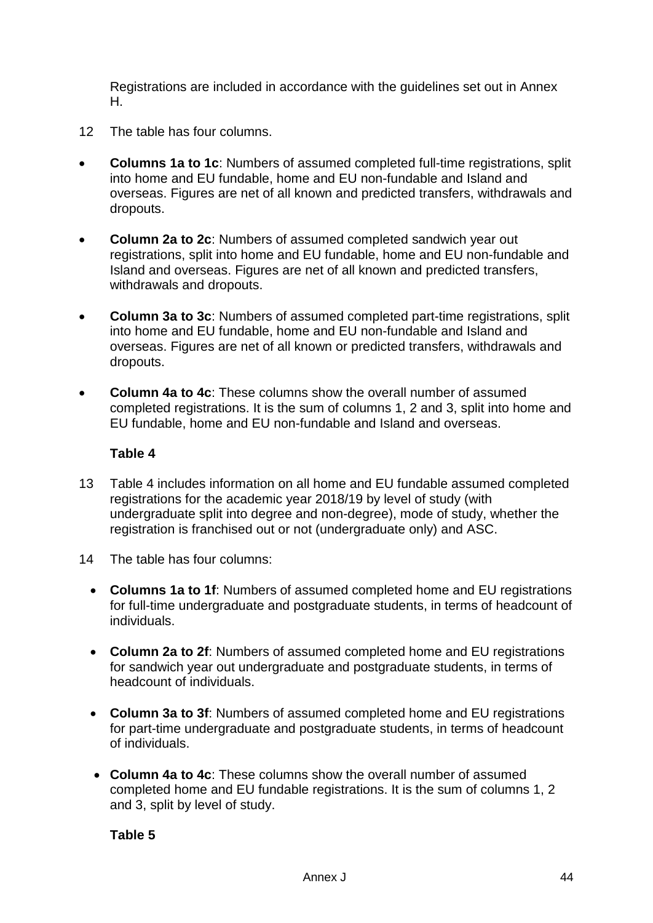Registrations are included in accordance with the guidelines set out in Annex H.

- 12 The table has four columns.
- **Columns 1a to 1c**: Numbers of assumed completed full-time registrations, split into home and EU fundable, home and EU non-fundable and Island and overseas. Figures are net of all known and predicted transfers, withdrawals and dropouts.
- **Column 2a to 2c**: Numbers of assumed completed sandwich year out registrations, split into home and EU fundable, home and EU non-fundable and Island and overseas. Figures are net of all known and predicted transfers, withdrawals and dropouts.
- **Column 3a to 3c**: Numbers of assumed completed part-time registrations, split into home and EU fundable, home and EU non-fundable and Island and overseas. Figures are net of all known or predicted transfers, withdrawals and dropouts.
- **Column 4a to 4c**: These columns show the overall number of assumed completed registrations. It is the sum of columns 1, 2 and 3, split into home and EU fundable, home and EU non-fundable and Island and overseas.

#### **Table 4**

- 13 Table 4 includes information on all home and EU fundable assumed completed registrations for the academic year 2018/19 by level of study (with undergraduate split into degree and non-degree), mode of study, whether the registration is franchised out or not (undergraduate only) and ASC.
- 14 The table has four columns:
	- **Columns 1a to 1f**: Numbers of assumed completed home and EU registrations for full-time undergraduate and postgraduate students, in terms of headcount of individuals.
	- **Column 2a to 2f**: Numbers of assumed completed home and EU registrations for sandwich year out undergraduate and postgraduate students, in terms of headcount of individuals.
	- **Column 3a to 3f**: Numbers of assumed completed home and EU registrations for part-time undergraduate and postgraduate students, in terms of headcount of individuals.
	- **Column 4a to 4c**: These columns show the overall number of assumed completed home and EU fundable registrations. It is the sum of columns 1, 2 and 3, split by level of study.

**Table 5**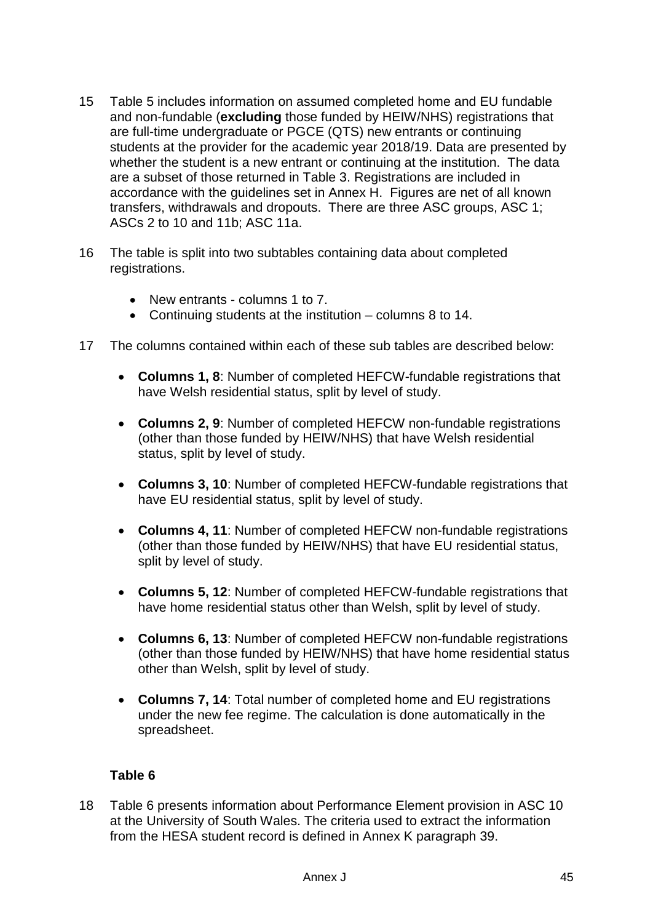- 15 Table 5 includes information on assumed completed home and EU fundable and non-fundable (**excluding** those funded by HEIW/NHS) registrations that are full-time undergraduate or PGCE (QTS) new entrants or continuing students at the provider for the academic year 2018/19. Data are presented by whether the student is a new entrant or continuing at the institution. The data are a subset of those returned in Table 3. Registrations are included in accordance with the guidelines set in Annex H. Figures are net of all known transfers, withdrawals and dropouts. There are three ASC groups, ASC 1; ASCs 2 to 10 and 11b; ASC 11a.
- 16 The table is split into two subtables containing data about completed registrations.
	- New entrants columns 1 to 7.
	- Continuing students at the institution columns 8 to 14.
- 17 The columns contained within each of these sub tables are described below:
	- **Columns 1, 8**: Number of completed HEFCW-fundable registrations that have Welsh residential status, split by level of study.
	- **Columns 2, 9**: Number of completed HEFCW non-fundable registrations (other than those funded by HEIW/NHS) that have Welsh residential status, split by level of study.
	- **Columns 3, 10**: Number of completed HEFCW-fundable registrations that have EU residential status, split by level of study.
	- **Columns 4, 11**: Number of completed HEFCW non-fundable registrations (other than those funded by HEIW/NHS) that have EU residential status, split by level of study.
	- **Columns 5, 12**: Number of completed HEFCW-fundable registrations that have home residential status other than Welsh, split by level of study.
	- **Columns 6, 13**: Number of completed HEFCW non-fundable registrations (other than those funded by HEIW/NHS) that have home residential status other than Welsh, split by level of study.
	- **Columns 7, 14**: Total number of completed home and EU registrations under the new fee regime. The calculation is done automatically in the spreadsheet.

#### **Table 6**

18 Table 6 presents information about Performance Element provision in ASC 10 at the University of South Wales. The criteria used to extract the information from the HESA student record is defined in Annex K paragraph 39.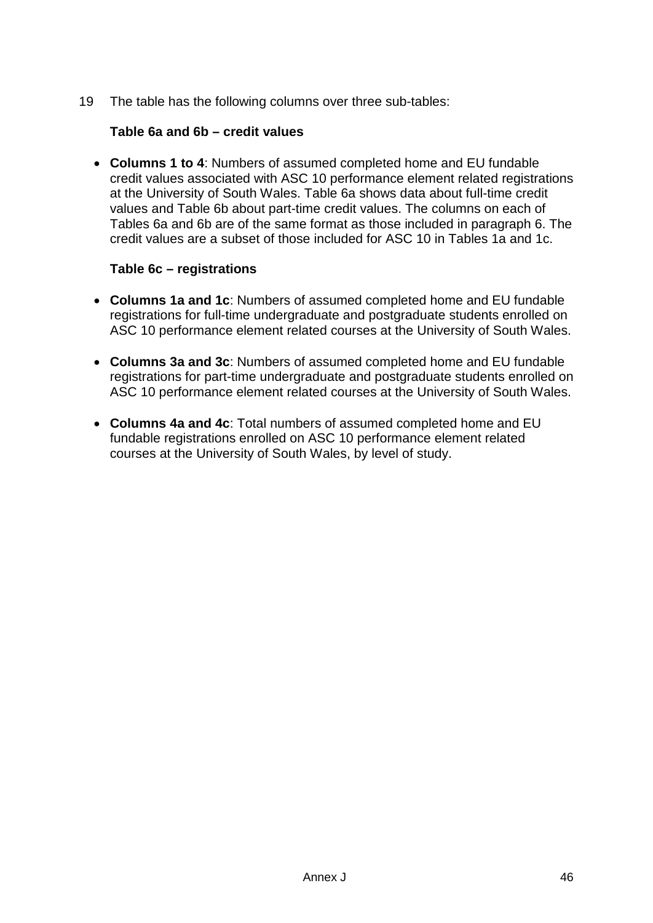19 The table has the following columns over three sub-tables:

### **Table 6a and 6b – credit values**

• **Columns 1 to 4**: Numbers of assumed completed home and EU fundable credit values associated with ASC 10 performance element related registrations at the University of South Wales. Table 6a shows data about full-time credit values and Table 6b about part-time credit values. The columns on each of Tables 6a and 6b are of the same format as those included in paragraph 6. The credit values are a subset of those included for ASC 10 in Tables 1a and 1c.

#### **Table 6c – registrations**

- **Columns 1a and 1c**: Numbers of assumed completed home and EU fundable registrations for full-time undergraduate and postgraduate students enrolled on ASC 10 performance element related courses at the University of South Wales.
- **Columns 3a and 3c**: Numbers of assumed completed home and EU fundable registrations for part-time undergraduate and postgraduate students enrolled on ASC 10 performance element related courses at the University of South Wales.
- **Columns 4a and 4c**: Total numbers of assumed completed home and EU fundable registrations enrolled on ASC 10 performance element related courses at the University of South Wales, by level of study.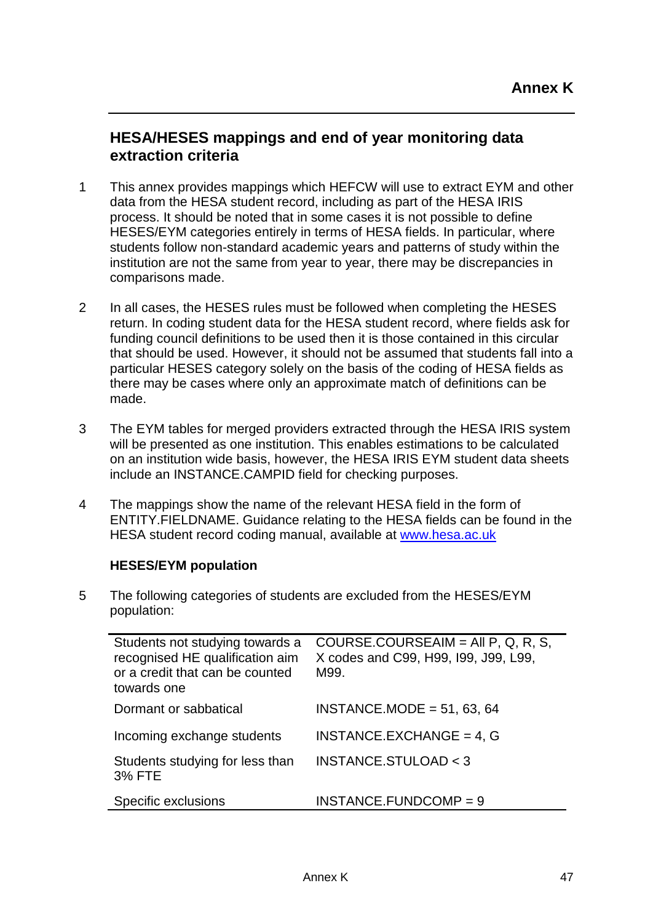## **HESA/HESES mappings and end of year monitoring data extraction criteria**

- 1 This annex provides mappings which HEFCW will use to extract EYM and other data from the HESA student record, including as part of the HESA IRIS process. It should be noted that in some cases it is not possible to define HESES/EYM categories entirely in terms of HESA fields. In particular, where students follow non-standard academic years and patterns of study within the institution are not the same from year to year, there may be discrepancies in comparisons made.
- 2 In all cases, the HESES rules must be followed when completing the HESES return. In coding student data for the HESA student record, where fields ask for funding council definitions to be used then it is those contained in this circular that should be used. However, it should not be assumed that students fall into a particular HESES category solely on the basis of the coding of HESA fields as there may be cases where only an approximate match of definitions can be made.
- 3 The EYM tables for merged providers extracted through the HESA IRIS system will be presented as one institution. This enables estimations to be calculated on an institution wide basis, however, the HESA IRIS EYM student data sheets include an INSTANCE.CAMPID field for checking purposes.
- 4 The mappings show the name of the relevant HESA field in the form of ENTITY.FIELDNAME. Guidance relating to the HESA fields can be found in the HESA student record coding manual, available at [www.hesa.ac.uk](http://www.hesa.ac.uk/)

#### **HESES/EYM population**

5 The following categories of students are excluded from the HESES/EYM population:

| Students not studying towards a<br>recognised HE qualification aim<br>or a credit that can be counted<br>towards one | COURSE.COURSEAIM = AII P, Q, R, S,<br>X codes and C99, H99, I99, J99, L99,<br>M99. |
|----------------------------------------------------------------------------------------------------------------------|------------------------------------------------------------------------------------|
| Dormant or sabbatical                                                                                                | INSTANCE.MODE = $51, 63, 64$                                                       |
| Incoming exchange students                                                                                           | INSTANCE.EXCHANGE = $4, G$                                                         |
| Students studying for less than<br><b>3% FTE</b>                                                                     | <b>INSTANCE.STULOAD &lt; 3</b>                                                     |
| Specific exclusions                                                                                                  | $INSTANCE.FUNDCOMP = 9$                                                            |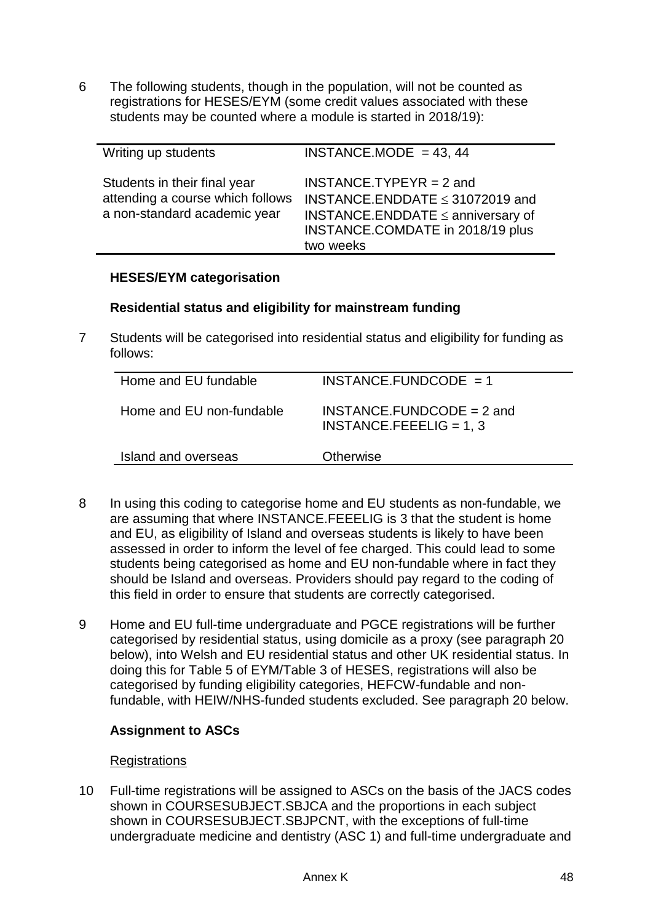6 The following students, though in the population, will not be counted as registrations for HESES/EYM (some credit values associated with these students may be counted where a module is started in 2018/19):

| Writing up students                                                                              | INSTANCE.MODE = $43, 44$                                                                                                                                      |
|--------------------------------------------------------------------------------------------------|---------------------------------------------------------------------------------------------------------------------------------------------------------------|
| Students in their final year<br>attending a course which follows<br>a non-standard academic year | $INSTANCE. TYPEYR = 2$ and<br>INSTANCE.ENDDATE $\leq$ 31072019 and<br>INSTANCE.ENDDATE $\leq$ anniversary of<br>INSTANCE.COMDATE in 2018/19 plus<br>two weeks |

#### **HESES/EYM categorisation**

#### **Residential status and eligibility for mainstream funding**

7 Students will be categorised into residential status and eligibility for funding as follows:

| Home and EU fundable     | $INSTANCE.FUNDCODE = 1$                                  |
|--------------------------|----------------------------------------------------------|
| Home and EU non-fundable | $INSTANCE.FUNDCODE = 2 and$<br>$INSTANCE.FEEELIG = 1, 3$ |
| Island and overseas      | <b>Otherwise</b>                                         |
|                          |                                                          |

- 8 In using this coding to categorise home and EU students as non-fundable, we are assuming that where INSTANCE.FEEELIG is 3 that the student is home and EU, as eligibility of Island and overseas students is likely to have been assessed in order to inform the level of fee charged. This could lead to some students being categorised as home and EU non-fundable where in fact they should be Island and overseas. Providers should pay regard to the coding of this field in order to ensure that students are correctly categorised.
- 9 Home and EU full-time undergraduate and PGCE registrations will be further categorised by residential status, using domicile as a proxy (see paragraph 20 below), into Welsh and EU residential status and other UK residential status. In doing this for Table 5 of EYM/Table 3 of HESES, registrations will also be categorised by funding eligibility categories, HEFCW-fundable and nonfundable, with HEIW/NHS-funded students excluded. See paragraph 20 below.

### **Assignment to ASCs**

#### **Registrations**

10 Full-time registrations will be assigned to ASCs on the basis of the JACS codes shown in COURSESUBJECT.SBJCA and the proportions in each subject shown in COURSESUBJECT.SBJPCNT, with the exceptions of full-time undergraduate medicine and dentistry (ASC 1) and full-time undergraduate and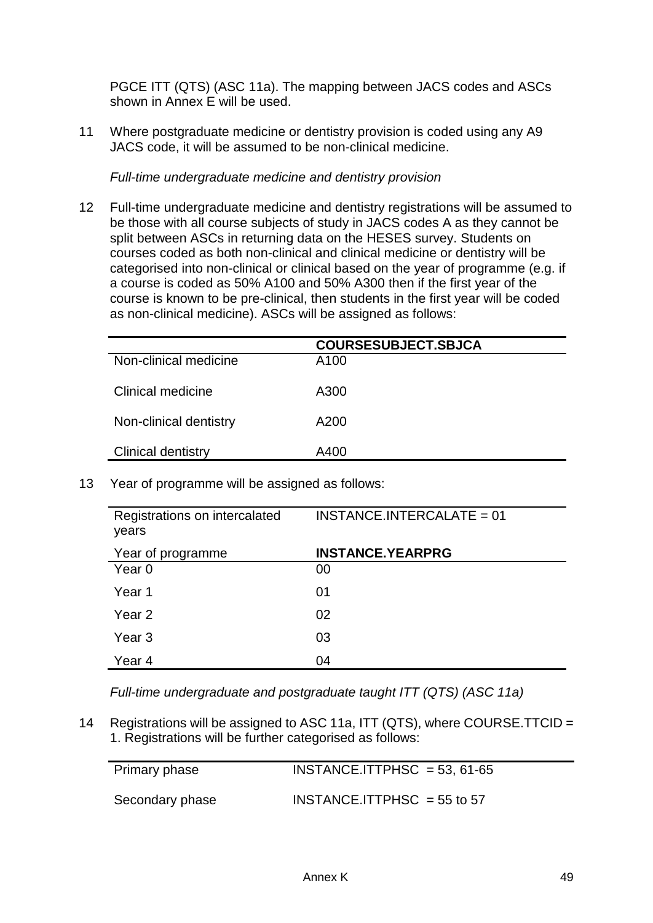PGCE ITT (QTS) (ASC 11a). The mapping between JACS codes and ASCs shown in Annex E will be used.

11 Where postgraduate medicine or dentistry provision is coded using any A9 JACS code, it will be assumed to be non-clinical medicine.

*Full-time undergraduate medicine and dentistry provision*

12 Full-time undergraduate medicine and dentistry registrations will be assumed to be those with all course subjects of study in JACS codes A as they cannot be split between ASCs in returning data on the HESES survey. Students on courses coded as both non-clinical and clinical medicine or dentistry will be categorised into non-clinical or clinical based on the year of programme (e.g. if a course is coded as 50% A100 and 50% A300 then if the first year of the course is known to be pre-clinical, then students in the first year will be coded as non-clinical medicine). ASCs will be assigned as follows:

|                           | <b>COURSESUBJECT.SBJCA</b> |
|---------------------------|----------------------------|
| Non-clinical medicine     | A100                       |
| <b>Clinical medicine</b>  | A300                       |
| Non-clinical dentistry    | A200                       |
| <b>Clinical dentistry</b> | A400                       |

13 Year of programme will be assigned as follows:

| Registrations on intercalated<br>years | $INSTANCE.INTERCALATE = 01$ |
|----------------------------------------|-----------------------------|
| Year of programme                      | <b>INSTANCE.YEARPRG</b>     |
| Year 0                                 | 00                          |
| Year 1                                 | 01                          |
| Year 2                                 | 02                          |
| Year 3                                 | 03                          |
| Year 4                                 | 04                          |

*Full-time undergraduate and postgraduate taught ITT (QTS) (ASC 11a)*

14 Registrations will be assigned to ASC 11a, ITT (QTS), where COURSE.TTCID = 1. Registrations will be further categorised as follows:

| Primary phase   | $INSTANCE. ITTPHSC = 53, 61-65$ |
|-----------------|---------------------------------|
| Secondary phase | $INSTANCE. ITTPHSC = 55 to 57$  |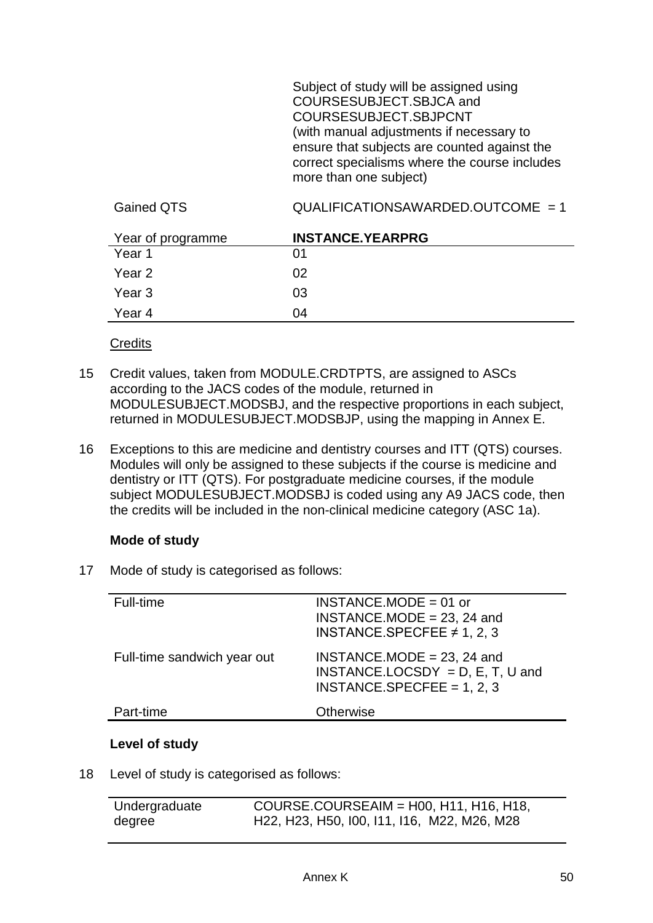Subject of study will be assigned using COURSESUBJECT.SBJCA and COURSESUBJECT.SBJPCNT (with manual adjustments if necessary to ensure that subjects are counted against the correct specialisms where the course includes more than one subject)

| Year of programme | <b>INSTANCE.YEARPRG</b> |
|-------------------|-------------------------|
| Year 1            | 01                      |
| Year 2            | 02                      |
| Year 3            | 03                      |
| Year 4            | 04                      |

Gained QTS GUALIFICATIONSAWARDED.OUTCOME = 1

#### **Credits**

- 15 Credit values, taken from MODULE.CRDTPTS, are assigned to ASCs according to the JACS codes of the module, returned in MODULESUBJECT.MODSBJ, and the respective proportions in each subject, returned in MODULESUBJECT.MODSBJP, using the mapping in Annex E.
- 16 Exceptions to this are medicine and dentistry courses and ITT (QTS) courses. Modules will only be assigned to these subjects if the course is medicine and dentistry or ITT (QTS). For postgraduate medicine courses, if the module subject MODULESUBJECT.MODSBJ is coded using any A9 JACS code, then the credits will be included in the non-clinical medicine category (ASC 1a).

#### **Mode of study**

17 Mode of study is categorised as follows:

| Full-time                   | $INSTANCE.MODE = 01$ or<br>INSTANCE.MODE = $23$ , 24 and<br>INSTANCE SPECFEE $\neq$ 1, 2, 3         |
|-----------------------------|-----------------------------------------------------------------------------------------------------|
| Full-time sandwich year out | $INSTANCE.MODE = 23, 24$ and<br>INSTANCE.LOCSDY = $D$ , E, T, U and<br>INSTANCE.SPECFEE = $1, 2, 3$ |
| Part-time                   | <b>Otherwise</b>                                                                                    |
|                             |                                                                                                     |

### **Level of study**

18 Level of study is categorised as follows:

| Undergraduate | COURSE.COURSEAIM = H00, H11, H16, H18,      |
|---------------|---------------------------------------------|
| degree        | H22, H23, H50, I00, I11, I16, M22, M26, M28 |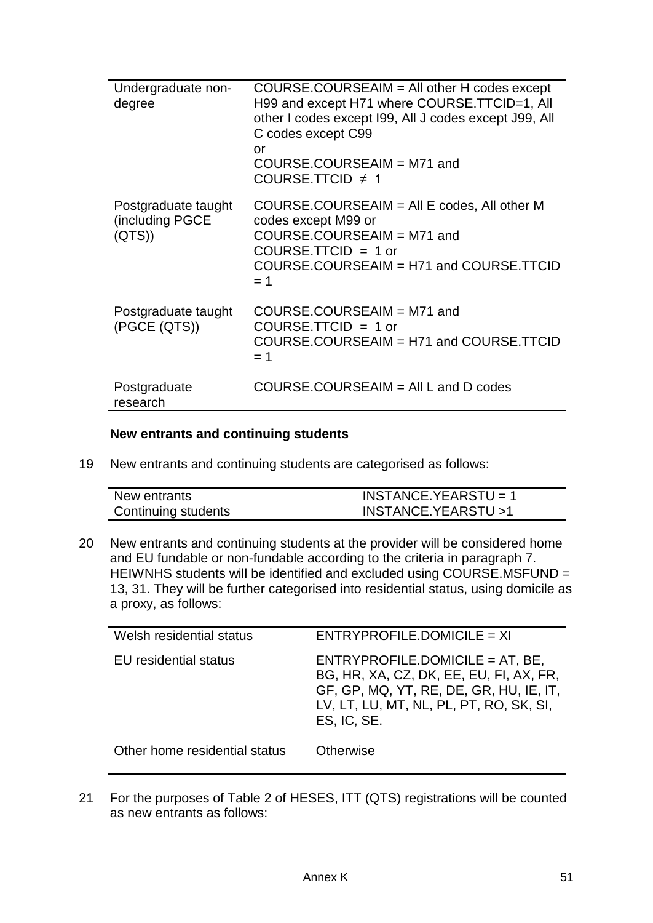| Undergraduate non-<br>degree                    | $COURSE. COURSEAIM = All other H codes except$<br>H99 and except H71 where COURSE. TTCID=1, All<br>other I codes except I99, All J codes except J99, All<br>C codes except C99<br>or<br>COURSE.COURSEAIM = M71 and<br>COURSE.TTCID $\neq$ 1 |
|-------------------------------------------------|---------------------------------------------------------------------------------------------------------------------------------------------------------------------------------------------------------------------------------------------|
| Postgraduate taught<br>(including PGCE<br>(QTS) | COURSE.COURSEAIM = All E codes, All other M<br>codes except M99 or<br>COURSE.COURSEAIM = M71 and<br>$COURSE. TTCID = 1 or$<br>COURSE.COURSEAIM = H71 and COURSE.TTCID<br>$= 1$                                                              |
| Postgraduate taught<br>(PGCE (QTS))             | COURSE.COURSEAIM = M71 and<br>$COUNSE.TTCID = 1 or$<br>COURSE.COURSEAIM = H71 and COURSE.TTCID<br>$= 1$                                                                                                                                     |
| Postgraduate<br>research                        | $COURSE. COURSEAIM = All L and D codes$                                                                                                                                                                                                     |

#### **New entrants and continuing students**

19 New entrants and continuing students are categorised as follows:

| New entrants        | $INSTANCE.YEARSTU = 1$ |
|---------------------|------------------------|
| Continuing students | INSTANCE.YEARSTU>1     |

20 New entrants and continuing students at the provider will be considered home and EU fundable or non-fundable according to the criteria in paragraph 7. HEIWNHS students will be identified and excluded using COURSE.MSFUND = 13, 31. They will be further categorised into residential status, using domicile as a proxy, as follows:

| $ENTRYPROFILE.DOMICILE = XI$                                                                                                                                                      |
|-----------------------------------------------------------------------------------------------------------------------------------------------------------------------------------|
| $ENTRYPROFILE.DOMICILE = AT, BE,$<br>BG, HR, XA, CZ, DK, EE, EU, FI, AX, FR,<br>GF, GP, MQ, YT, RE, DE, GR, HU, IE, IT,<br>LV, LT, LU, MT, NL, PL, PT, RO, SK, SI,<br>ES, IC, SE. |
| <b>Otherwise</b>                                                                                                                                                                  |
|                                                                                                                                                                                   |

21 For the purposes of Table 2 of HESES, ITT (QTS) registrations will be counted as new entrants as follows: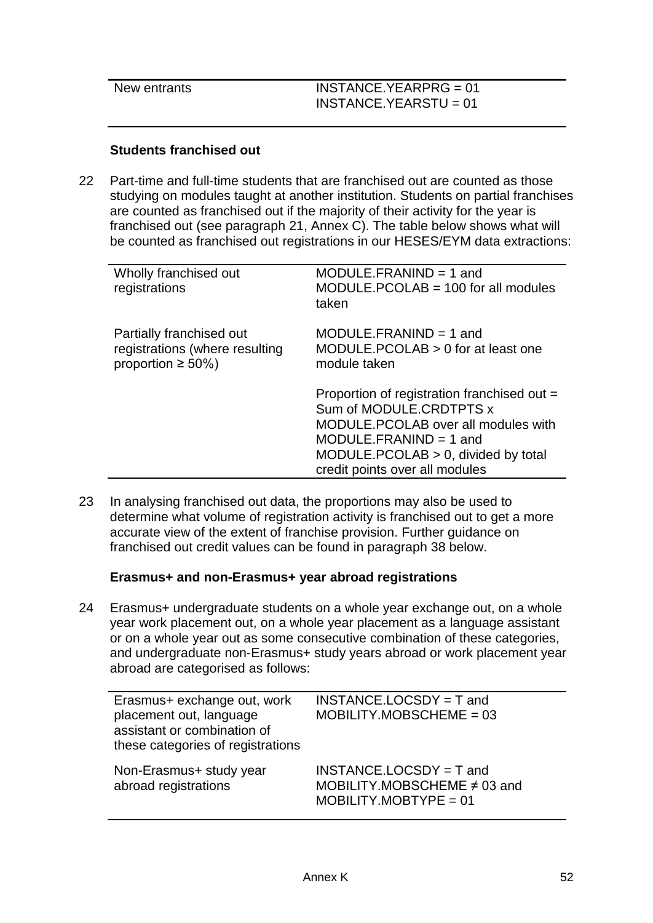| New entrants | $INSTANCE.YEARPRG = 01$ |
|--------------|-------------------------|
|              | $INSTANCE.YEARSTU = 01$ |
|              |                         |

#### **Students franchised out**

22 Part-time and full-time students that are franchised out are counted as those studying on modules taught at another institution. Students on partial franchises are counted as franchised out if the majority of their activity for the year is franchised out (see paragraph 21, Annex C). The table below shows what will be counted as franchised out registrations in our HESES/EYM data extractions:

| Wholly franchised out<br>registrations                                                 | $MODULE.FRANIND = 1$ and<br>$MODULE.PCOLAB = 100$ for all modules<br>taken                                                                                                                                             |
|----------------------------------------------------------------------------------------|------------------------------------------------------------------------------------------------------------------------------------------------------------------------------------------------------------------------|
| Partially franchised out<br>registrations (where resulting<br>proportion $\geq 50\%$ ) | $MODULE.FRANIND = 1$ and<br>MODULE.PCOLAB $> 0$ for at least one<br>module taken                                                                                                                                       |
|                                                                                        | Proportion of registration franchised out =<br>Sum of MODULE.CRDTPTS x<br>MODULE.PCOLAB over all modules with<br>$MODULE.FRAMIND = 1$ and<br>$MODULE. PCOLAB > 0$ , divided by total<br>credit points over all modules |

23 In analysing franchised out data, the proportions may also be used to determine what volume of registration activity is franchised out to get a more accurate view of the extent of franchise provision. Further guidance on franchised out credit values can be found in paragraph 38 below.

#### **Erasmus+ and non-Erasmus+ year abroad registrations**

24 Erasmus+ undergraduate students on a whole year exchange out, on a whole year work placement out, on a whole year placement as a language assistant or on a whole year out as some consecutive combination of these categories, and undergraduate non-Erasmus+ study years abroad or work placement year abroad are categorised as follows:

| Erasmus+ exchange out, work<br>placement out, language<br>assistant or combination of<br>these categories of registrations | $INSTANCE.LOCSDY = T$ and<br>$MOBILITY.MOBSCHEME = 03$                                   |
|----------------------------------------------------------------------------------------------------------------------------|------------------------------------------------------------------------------------------|
| Non-Erasmus+ study year<br>abroad registrations                                                                            | $INSTANCE.LOCSDY = T$ and<br>MOBILITY.MOBSCHEME $\neq$ 03 and<br>$MOBILITY.MOBTYPE = 01$ |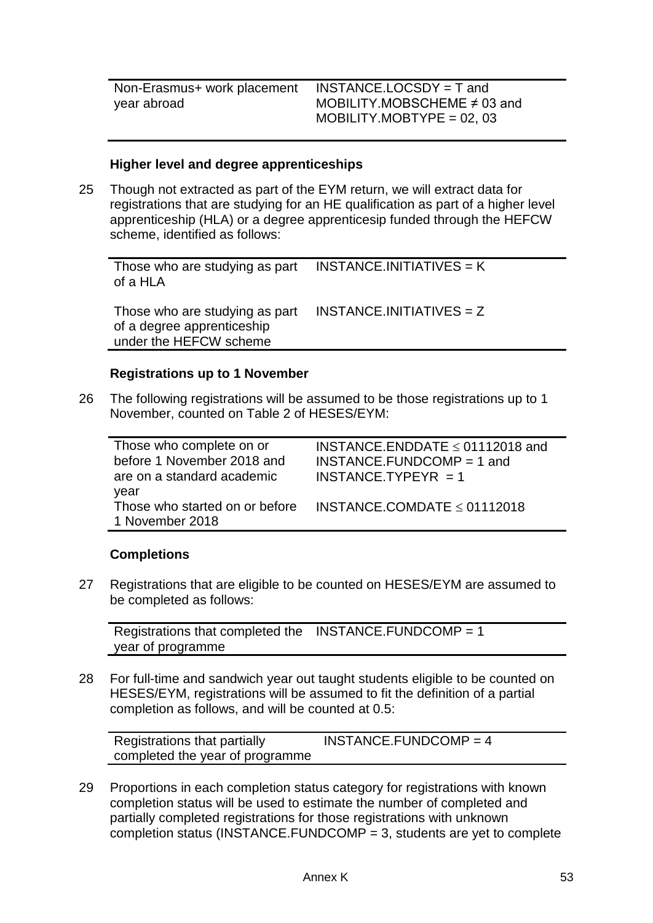INSTANCE.LOCSDY = T and MOBILITY.MOBSCHEME ≠ 03 and  $MOBILITY.MOBYPE = 02,03$ 

#### **Higher level and degree apprenticeships**

25 Though not extracted as part of the EYM return, we will extract data for registrations that are studying for an HE qualification as part of a higher level apprenticeship (HLA) or a degree apprenticesip funded through the HEFCW scheme, identified as follows:

Those who are studying as part of a HLA  $INSTANCE. INTIATIVES = K$ 

Those who are studying as part of a degree apprenticeship under the HEFCW scheme INSTANCE.INITIATIVES =  $7$ 

#### **Registrations up to 1 November**

26 The following registrations will be assumed to be those registrations up to 1 November, counted on Table 2 of HESES/EYM:

| Those who complete on or<br>before 1 November 2018 and | INSTANCE.ENDDATE $\leq$ 01112018 and<br>$INSTANCE.FUNDCOMP = 1$ and |
|--------------------------------------------------------|---------------------------------------------------------------------|
| are on a standard academic<br>year                     | $INSTANCE. TYPEYPR = 1$                                             |
| Those who started on or before<br>1 November 2018      | INSTANCE.COMDATE $\leq$ 01112018                                    |

#### **Completions**

27 Registrations that are eligible to be counted on HESES/EYM are assumed to be completed as follows:

Registrations that completed the INSTANCE.FUNDCOMP = 1 year of programme

28 For full-time and sandwich year out taught students eligible to be counted on HESES/EYM, registrations will be assumed to fit the definition of a partial completion as follows, and will be counted at 0.5:

| Registrations that partially    | INSTANCE.FUNDCOMP = $4$ |
|---------------------------------|-------------------------|
| completed the year of programme |                         |

29 Proportions in each completion status category for registrations with known completion status will be used to estimate the number of completed and partially completed registrations for those registrations with unknown completion status (INSTANCE.FUNDCOMP  $=$  3, students are yet to complete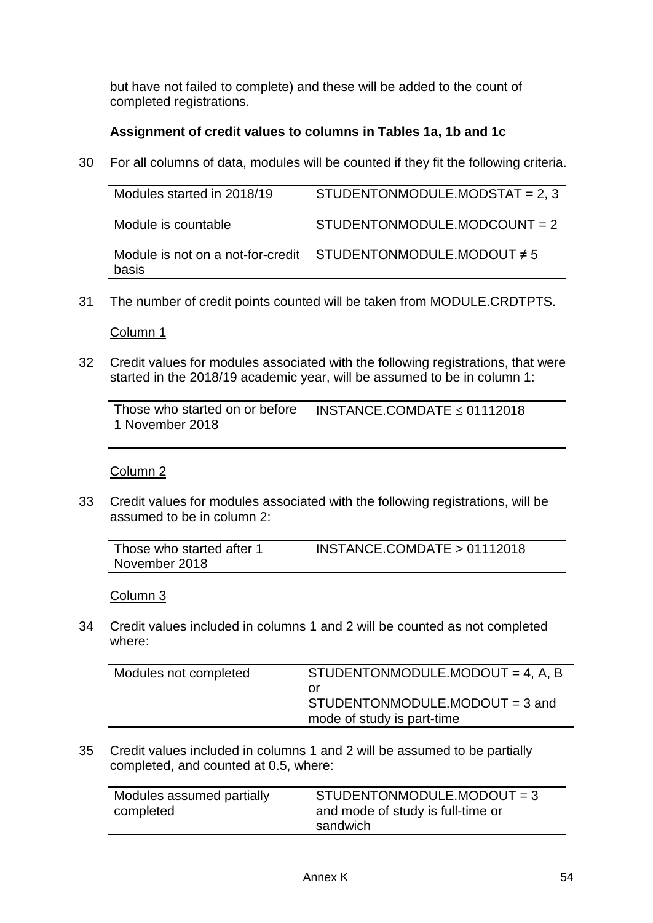but have not failed to complete) and these will be added to the count of completed registrations.

## **Assignment of credit values to columns in Tables 1a, 1b and 1c**

30 For all columns of data, modules will be counted if they fit the following criteria.

| Modules started in 2018/19 | STUDENTONMODULE.MODSTAT = $2, 3$                                   |
|----------------------------|--------------------------------------------------------------------|
| Module is countable        | STUDENTONMODULE.MODCOUNT = 2                                       |
| basis                      | Module is not on a not-for-credit $STUDENTONMODULE. MODOUT \neq 5$ |

31 The number of credit points counted will be taken from MODULE.CRDTPTS.

Column 1

32 Credit values for modules associated with the following registrations, that were started in the 2018/19 academic year, will be assumed to be in column 1:

| Those who started on or before | INSTANCE.COMDATE $\leq$ 01112018 |
|--------------------------------|----------------------------------|
| 1 November 2018                |                                  |

### Column 2

33 Credit values for modules associated with the following registrations, will be assumed to be in column 2:

| Those who started after 1 | $INSTANCE$ .COMDATE > 01112018 |
|---------------------------|--------------------------------|
| November 2018             |                                |

Column 3

34 Credit values included in columns 1 and 2 will be counted as not completed where:

| Modules not completed | STUDENTONMODULE.MODOUT = 4, A, B |
|-----------------------|----------------------------------|
|                       | or                               |
|                       | $STUDENTONMODULE.MODOUT = 3 and$ |
|                       | mode of study is part-time       |
|                       |                                  |

35 Credit values included in columns 1 and 2 will be assumed to be partially completed, and counted at 0.5, where:

| Modules assumed partially | STUDENTONMODULE.MODOUT = 3        |
|---------------------------|-----------------------------------|
| completed                 | and mode of study is full-time or |
|                           | sandwich                          |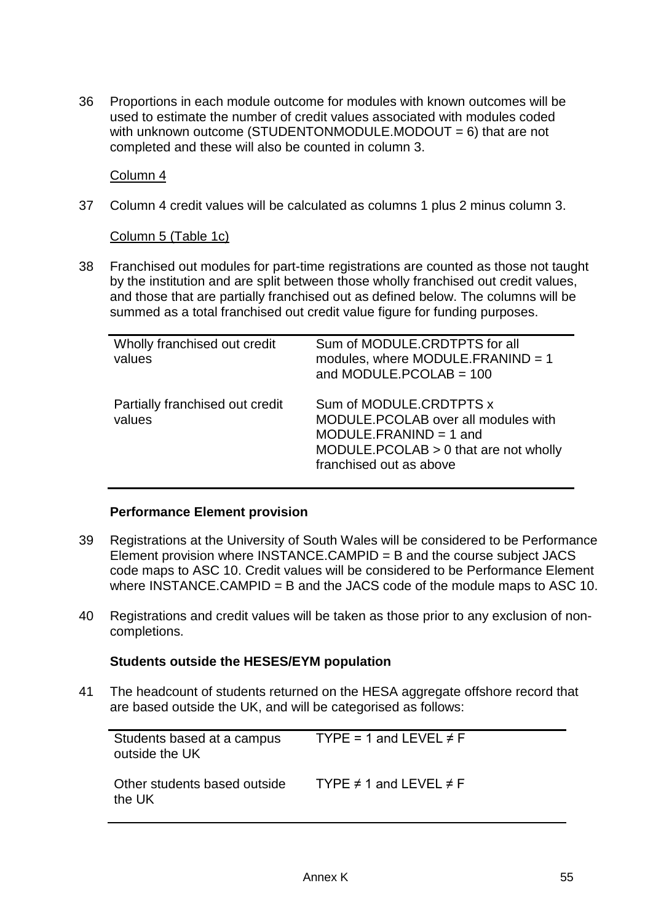36 Proportions in each module outcome for modules with known outcomes will be used to estimate the number of credit values associated with modules coded with unknown outcome (STUDENTONMODULE.MODOUT  $= 6$ ) that are not completed and these will also be counted in column 3.

Column 4

37 Column 4 credit values will be calculated as columns 1 plus 2 minus column 3.

Column 5 (Table 1c)

38 Franchised out modules for part-time registrations are counted as those not taught by the institution and are split between those wholly franchised out credit values, and those that are partially franchised out as defined below. The columns will be summed as a total franchised out credit value figure for funding purposes.

| Wholly franchised out credit<br>values    | Sum of MODULE.CRDTPTS for all<br>modules, where $MODULE.FRANIND = 1$<br>and MODULE.PCOLAB = $100$                                                                |
|-------------------------------------------|------------------------------------------------------------------------------------------------------------------------------------------------------------------|
| Partially franchised out credit<br>values | Sum of MODULE.CRDTPTS x<br>MODULE.PCOLAB over all modules with<br>$MODULE.FRANIND = 1$ and<br>$MODULE.PCOLAB > 0$ that are not wholly<br>franchised out as above |

#### **Performance Element provision**

- 39 Registrations at the University of South Wales will be considered to be Performance Element provision where INSTANCE.CAMPID = B and the course subject JACS code maps to ASC 10. Credit values will be considered to be Performance Element where INSTANCE.CAMPID = B and the JACS code of the module maps to ASC 10.
- 40 Registrations and credit values will be taken as those prior to any exclusion of noncompletions.

#### **Students outside the HESES/EYM population**

41 The headcount of students returned on the HESA aggregate offshore record that are based outside the UK, and will be categorised as follows:

| Students based at a campus<br>outside the UK | TYPE = 1 and LEVEL $\neq$ F      |
|----------------------------------------------|----------------------------------|
| Other students based outside<br>the UK       | TYPE $\neq$ 1 and LEVEL $\neq$ F |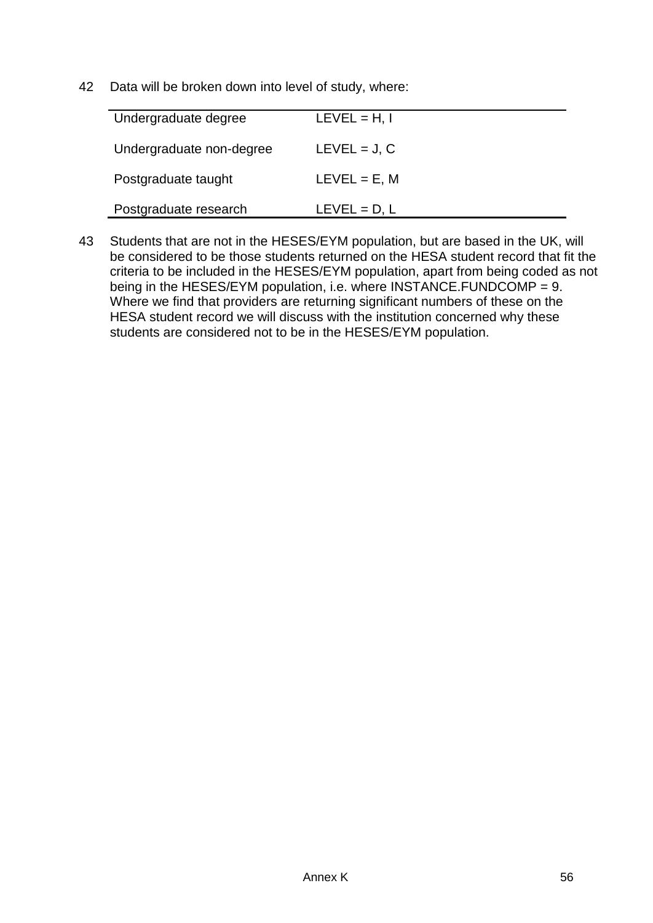42 Data will be broken down into level of study, where:

| Undergraduate degree     | $LEVEL = H, I$ |
|--------------------------|----------------|
| Undergraduate non-degree | $LEVEL = J, C$ |
| Postgraduate taught      | $LEVEL = E, M$ |
| Postgraduate research    | $LEVEL = D, L$ |

43 Students that are not in the HESES/EYM population, but are based in the UK, will be considered to be those students returned on the HESA student record that fit the criteria to be included in the HESES/EYM population, apart from being coded as not being in the HESES/EYM population, i.e. where INSTANCE.FUNDCOMP = 9. Where we find that providers are returning significant numbers of these on the HESA student record we will discuss with the institution concerned why these students are considered not to be in the HESES/EYM population.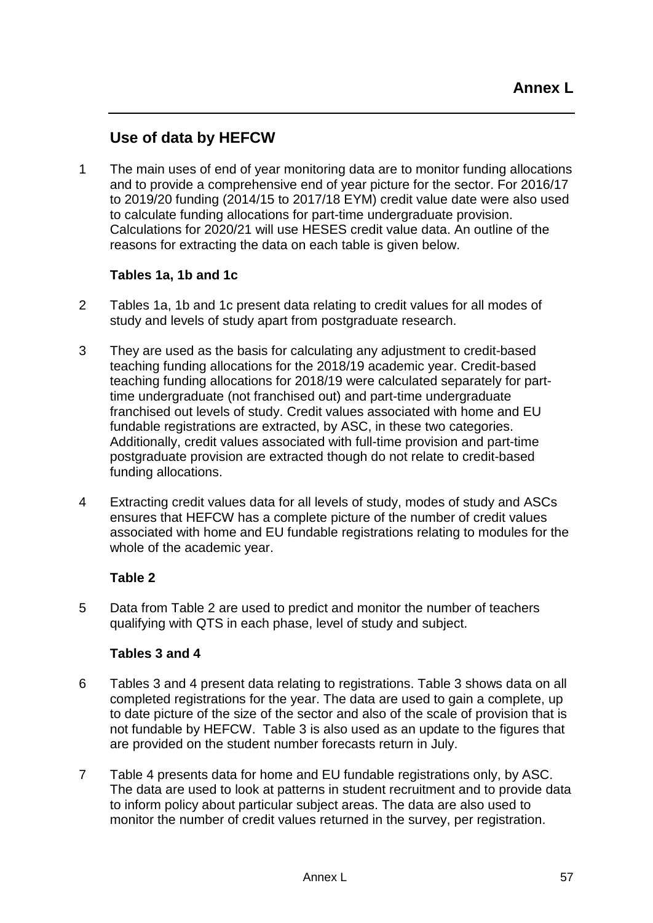## **Use of data by HEFCW**

1 The main uses of end of year monitoring data are to monitor funding allocations and to provide a comprehensive end of year picture for the sector. For 2016/17 to 2019/20 funding (2014/15 to 2017/18 EYM) credit value date were also used to calculate funding allocations for part-time undergraduate provision. Calculations for 2020/21 will use HESES credit value data. An outline of the reasons for extracting the data on each table is given below.

#### **Tables 1a, 1b and 1c**

- 2 Tables 1a, 1b and 1c present data relating to credit values for all modes of study and levels of study apart from postgraduate research.
- 3 They are used as the basis for calculating any adjustment to credit-based teaching funding allocations for the 2018/19 academic year. Credit-based teaching funding allocations for 2018/19 were calculated separately for parttime undergraduate (not franchised out) and part-time undergraduate franchised out levels of study. Credit values associated with home and EU fundable registrations are extracted, by ASC, in these two categories. Additionally, credit values associated with full-time provision and part-time postgraduate provision are extracted though do not relate to credit-based funding allocations.
- 4 Extracting credit values data for all levels of study, modes of study and ASCs ensures that HEFCW has a complete picture of the number of credit values associated with home and EU fundable registrations relating to modules for the whole of the academic year.

### **Table 2**

5 Data from Table 2 are used to predict and monitor the number of teachers qualifying with QTS in each phase, level of study and subject.

### **Tables 3 and 4**

- 6 Tables 3 and 4 present data relating to registrations. Table 3 shows data on all completed registrations for the year. The data are used to gain a complete, up to date picture of the size of the sector and also of the scale of provision that is not fundable by HEFCW. Table 3 is also used as an update to the figures that are provided on the student number forecasts return in July.
- 7 Table 4 presents data for home and EU fundable registrations only, by ASC. The data are used to look at patterns in student recruitment and to provide data to inform policy about particular subject areas. The data are also used to monitor the number of credit values returned in the survey, per registration.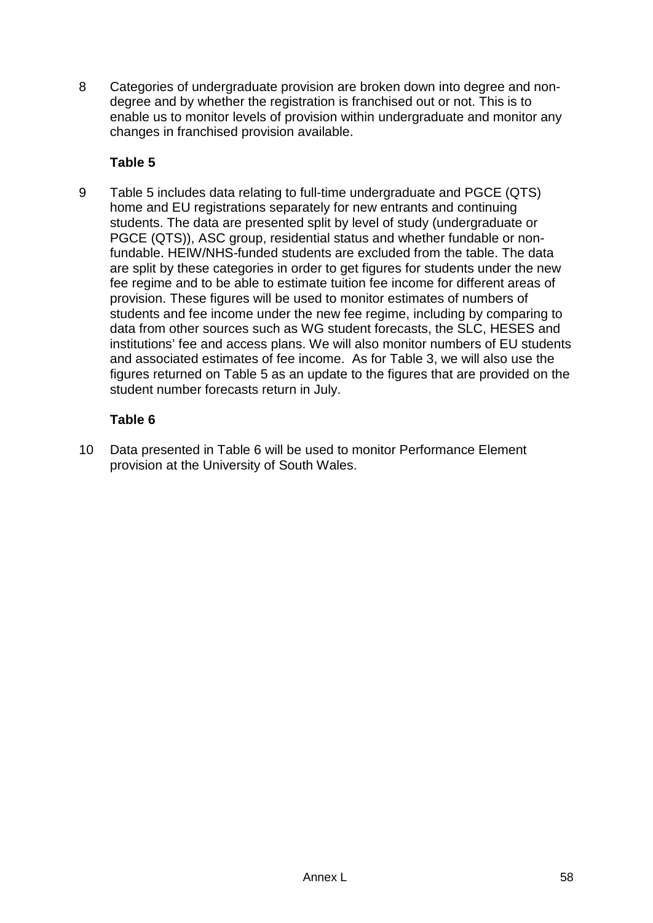8 Categories of undergraduate provision are broken down into degree and nondegree and by whether the registration is franchised out or not. This is to enable us to monitor levels of provision within undergraduate and monitor any changes in franchised provision available.

### **Table 5**

9 Table 5 includes data relating to full-time undergraduate and PGCE (QTS) home and EU registrations separately for new entrants and continuing students. The data are presented split by level of study (undergraduate or PGCE (QTS)), ASC group, residential status and whether fundable or nonfundable. HEIW/NHS-funded students are excluded from the table. The data are split by these categories in order to get figures for students under the new fee regime and to be able to estimate tuition fee income for different areas of provision. These figures will be used to monitor estimates of numbers of students and fee income under the new fee regime, including by comparing to data from other sources such as WG student forecasts, the SLC, HESES and institutions' fee and access plans. We will also monitor numbers of EU students and associated estimates of fee income. As for Table 3, we will also use the figures returned on Table 5 as an update to the figures that are provided on the student number forecasts return in July.

## **Table 6**

10 Data presented in Table 6 will be used to monitor Performance Element provision at the University of South Wales.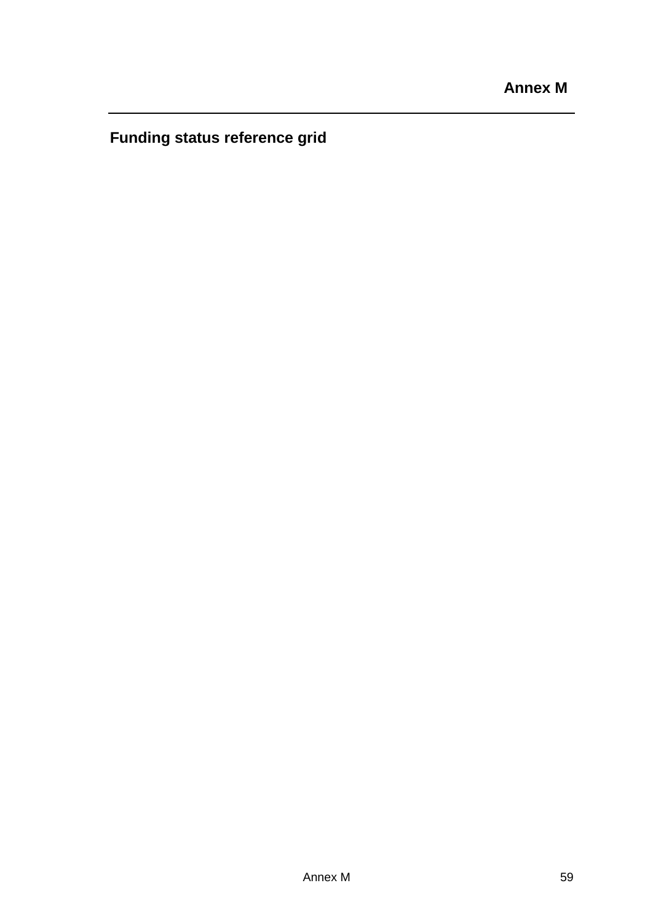**Funding status reference grid**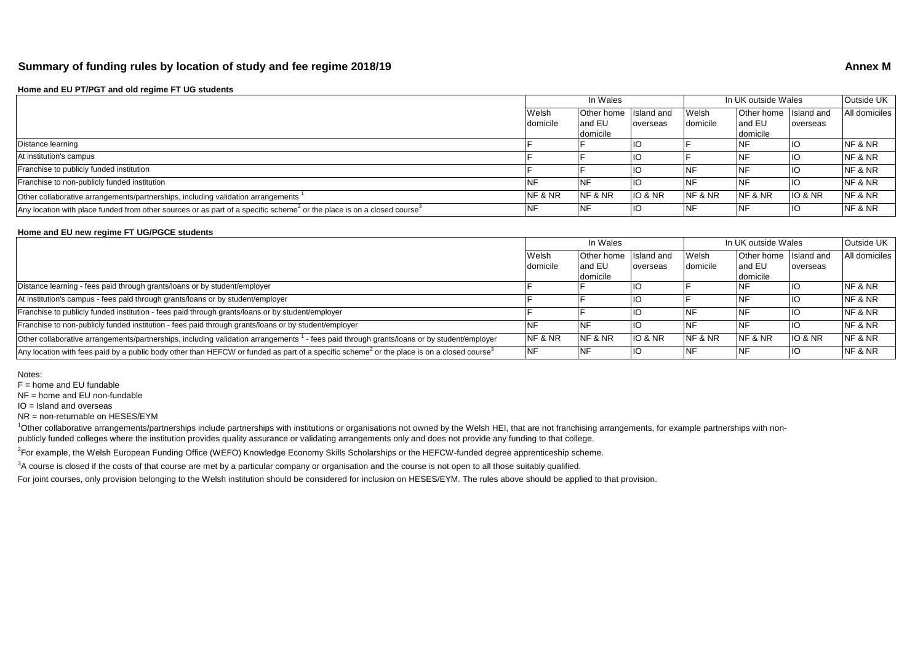#### **Summary of funding rules by location of study and fee regime 2018/19 Annex M Annex M**

#### **Home and EU PT/PGT and old regime FT UG students**

|                                                                                                                                                | In Wales        |            | In UK outside Wales |                    |                       | lOutside UK l      |               |
|------------------------------------------------------------------------------------------------------------------------------------------------|-----------------|------------|---------------------|--------------------|-----------------------|--------------------|---------------|
|                                                                                                                                                | Welsh           | Other home | Island and          | Welsh              | Other home Island and |                    | All domiciles |
|                                                                                                                                                | <b>domicile</b> | land EU    | overseas            | domicile           | land EU               | overseas           |               |
|                                                                                                                                                |                 | domicile   |                     |                    | domicile              |                    |               |
| Distance learning                                                                                                                              |                 |            |                     |                    |                       |                    | NF & NR       |
| At institution's campus                                                                                                                        |                 |            |                     |                    |                       |                    | NF & NR       |
| Franchise to publicly funded institution                                                                                                       |                 |            |                     |                    |                       |                    | NF & NR       |
| Franchise to non-publicly funded institution                                                                                                   |                 |            |                     |                    |                       |                    | NF & NR       |
| Other collaborative arrangements/partnerships, including validation arrangements                                                               | NF & NR         | NF & NR    | <b>IO &amp; NR</b>  | <b>NF &amp; NR</b> | NF & NR               | <b>IO &amp; NR</b> | NF & NR       |
| Any location with place funded from other sources or as part of a specific scheme <sup>2</sup> or the place is on a closed course <sup>3</sup> |                 |            |                     |                    |                       |                    | NF & NR       |

#### **Home and EU new regime FT UG/PGCE students**

|                                                                                                                                                                   | In Wales |            | In UK outside Wales |          |                       | Outside UK |               |
|-------------------------------------------------------------------------------------------------------------------------------------------------------------------|----------|------------|---------------------|----------|-----------------------|------------|---------------|
|                                                                                                                                                                   | Welsh    | Other home | Island and          | Welsh    | Other home Island and |            | All domiciles |
|                                                                                                                                                                   | domicile | and EU     | overseas            | domicile | land EU               | overseas   |               |
|                                                                                                                                                                   |          | domicile   |                     |          | domicile              |            |               |
| Distance learning - fees paid through grants/loans or by student/employer                                                                                         |          |            |                     |          | <b>NF</b>             | IC         | NF & NR       |
| At institution's campus - fees paid through grants/loans or by student/employer                                                                                   |          |            |                     |          | <b>NF</b>             |            | NF & NR       |
| Franchise to publicly funded institution - fees paid through grants/loans or by student/employer                                                                  |          |            |                     |          | <b>NF</b>             |            | NF & NR       |
| Franchise to non-publicly funded institution - fees paid through grants/loans or by student/employer                                                              |          |            |                     |          | <b>NF</b>             |            | NF & NR       |
| Other collaborative arrangements/partnerships, including validation arrangements <sup>1</sup> - fees paid through grants/loans or by student/employer             | NF & NR  | NF & NR    | IO & NR             | NF & NR  | NF & NR               | IO & NR    | NF & NR       |
| Any location with fees paid by a public body other than HEFCW or funded as part of a specific scheme <sup>2</sup> or the place is on a closed course <sup>3</sup> | NF       | NF         | ПC                  |          | <b>INF</b>            | IIO.       | NF & NR       |

Notes:

 $F =$  home and EU fundable

NF = home and EU non-fundable

IO = Island and overseas

NR = non-returnable on HESES/EYM

<sup>1</sup>Other collaborative arrangements/partnerships include partnerships with institutions or organisations not owned by the Welsh HEI, that are not franchising arrangements, for example partnerships with nonpublicly funded colleges where the institution provides quality assurance or validating arrangements only and does not provide any funding to that college.

<sup>2</sup>For example, the Welsh European Funding Office (WEFO) Knowledge Economy Skills Scholarships or the HEFCW-funded degree apprenticeship scheme.

 $3A$  course is closed if the costs of that course are met by a particular company or organisation and the course is not open to all those suitably qualified.

For joint courses, only provision belonging to the Welsh institution should be considered for inclusion on HESES/EYM. The rules above should be applied to that provision.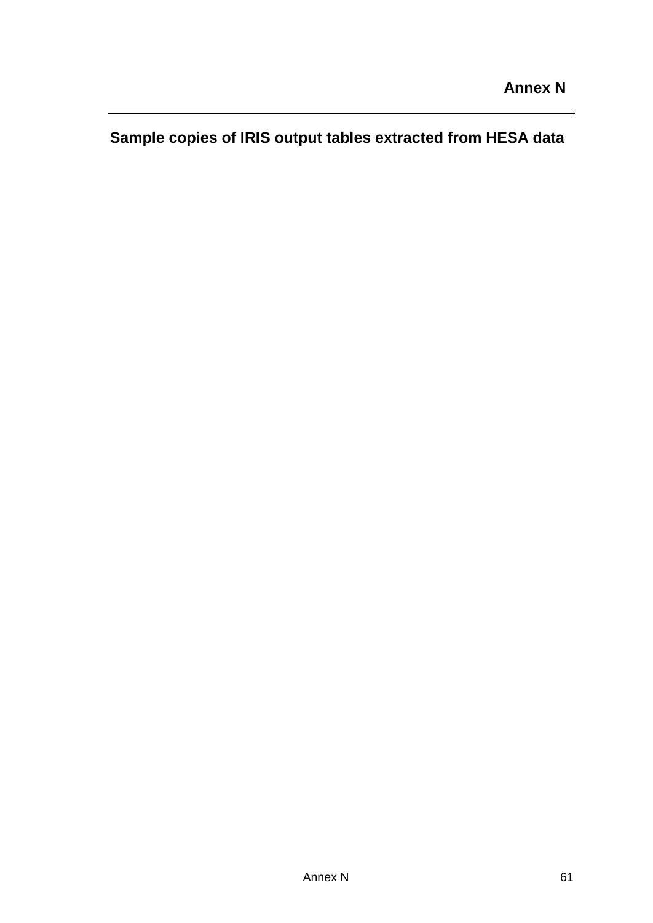**Sample copies of IRIS output tables extracted from HESA data**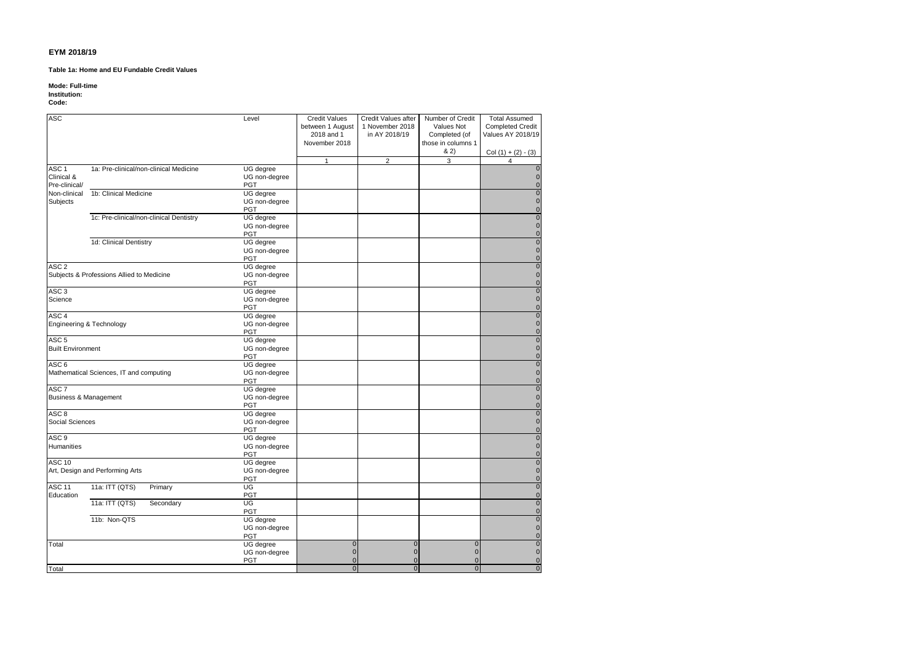#### **Table 1a: Home and EU Fundable Credit Values**

#### **Mode: Full-time**

#### **Institution:**

#### **Code:**

| <b>ASC</b>                       |                                           | Level                | <b>Credit Values</b> | Credit Values after | Number of Credit   | <b>Total Assumed</b>                   |
|----------------------------------|-------------------------------------------|----------------------|----------------------|---------------------|--------------------|----------------------------------------|
|                                  |                                           |                      | between 1 August     | 1 November 2018     | Values Not         | <b>Completed Credit</b>                |
|                                  |                                           |                      | 2018 and 1           | in AY 2018/19       | Completed (of      | Values AY 2018/19                      |
|                                  |                                           |                      | November 2018        |                     | those in columns 1 |                                        |
|                                  |                                           |                      |                      |                     | 82)                | $Col (1) + (2) - (3)$                  |
|                                  |                                           |                      | $\mathbf{1}$         | $\overline{2}$      | 3                  | $\overline{4}$                         |
| ASC <sub>1</sub>                 | 1a: Pre-clinical/non-clinical Medicine    | UG degree            |                      |                     |                    | $\mathbf 0$                            |
| Clinical &                       |                                           | UG non-degree        |                      |                     |                    | $\mathbf 0$                            |
| Pre-clinical/                    |                                           | PGT                  |                      |                     |                    | $\mathbf 0$                            |
| Non-clinical                     | 1b: Clinical Medicine                     | UG degree            |                      |                     |                    | $\pmb{0}$                              |
| Subjects                         |                                           | UG non-degree        |                      |                     |                    | $\mathbf 0$                            |
|                                  |                                           | PGT                  |                      |                     |                    | $\pmb{0}$                              |
|                                  | 1c: Pre-clinical/non-clinical Dentistry   | UG degree            |                      |                     |                    | $\overline{0}$                         |
|                                  |                                           | UG non-degree        |                      |                     |                    | $\pmb{0}$                              |
|                                  |                                           | PGT                  |                      |                     |                    | $\pmb{\mathsf{O}}$                     |
|                                  | 1d: Clinical Dentistry                    | UG degree            |                      |                     |                    | $\overline{0}$                         |
|                                  |                                           | UG non-degree        |                      |                     |                    | $\pmb{0}$                              |
|                                  |                                           | <b>PGT</b>           |                      |                     |                    | $\mathbf 0$                            |
| ASC <sub>2</sub>                 |                                           | UG degree            |                      |                     |                    | $\overline{0}$                         |
|                                  | Subjects & Professions Allied to Medicine | UG non-degree        |                      |                     |                    | $\pmb{0}$                              |
|                                  |                                           | <b>PGT</b>           |                      |                     |                    | $\pmb{0}$                              |
| ASC <sub>3</sub>                 |                                           | UG degree            |                      |                     |                    | $\pmb{0}$                              |
| Science                          |                                           | UG non-degree        |                      |                     |                    | $\pmb{\mathsf{O}}$                     |
|                                  |                                           | PGT                  |                      |                     |                    | $\pmb{0}$                              |
| ASC <sub>4</sub>                 |                                           | UG degree            |                      |                     |                    | $\overline{0}$<br>$\pmb{\mathsf{O}}$   |
|                                  | Engineering & Technology                  | UG non-degree<br>PGT |                      |                     |                    | $\pmb{0}$                              |
| ASC <sub>5</sub>                 |                                           | UG degree            |                      |                     |                    | $\pmb{0}$                              |
| <b>Built Environment</b>         |                                           | UG non-degree        |                      |                     |                    | $\mathbf 0$                            |
|                                  |                                           | PGT                  |                      |                     |                    | $\pmb{\mathsf{O}}$                     |
| ASC <sub>6</sub>                 |                                           | UG degree            |                      |                     |                    | $\overline{0}$                         |
|                                  | Mathematical Sciences, IT and computing   | UG non-degree        |                      |                     |                    | $\pmb{0}$                              |
|                                  |                                           | PGT                  |                      |                     |                    | $\pmb{0}$                              |
| ASC <sub>7</sub>                 |                                           | UG degree            |                      |                     |                    | $\overline{0}$                         |
| <b>Business &amp; Management</b> |                                           | UG non-degree        |                      |                     |                    | $\pmb{0}$                              |
|                                  |                                           | PGT                  |                      |                     |                    | $\pmb{0}$                              |
| ASC <sub>8</sub>                 |                                           | UG degree            |                      |                     |                    | $\overline{0}$                         |
| Social Sciences                  |                                           | UG non-degree        |                      |                     |                    | $\mathsf{O}\xspace$                    |
|                                  |                                           | PGT                  |                      |                     |                    | $\mathbf 0$                            |
| ASC <sub>9</sub>                 |                                           | UG degree            |                      |                     |                    | $\overline{0}$                         |
| <b>Humanities</b>                |                                           | UG non-degree        |                      |                     |                    | $\mathsf{O}\xspace$                    |
|                                  |                                           | PGT                  |                      |                     |                    | $\pmb{\mathsf{O}}$                     |
| <b>ASC 10</b>                    |                                           | UG degree            |                      |                     |                    | $\overline{0}$                         |
|                                  | Art, Design and Performing Arts           | UG non-degree        |                      |                     |                    | $\mathsf{O}\xspace$                    |
|                                  |                                           | PGT                  |                      |                     |                    | $\pmb{0}$                              |
| <b>ASC 11</b>                    | 11a: ITT (QTS)<br>Primary                 | UG                   |                      |                     |                    | $\overline{0}$                         |
| Education                        |                                           | PGT                  |                      |                     |                    | $\mathsf{O}\xspace$                    |
|                                  | 11a: ITT (QTS)<br>Secondary               | UG<br>PGT            |                      |                     |                    | $\overline{\textbf{0}}$<br>$\mathbf 0$ |
|                                  | 11b: Non-QTS                              | UG degree            |                      |                     |                    | $\overline{0}$                         |
|                                  |                                           | UG non-degree        |                      |                     |                    | $\mathbf 0$                            |
|                                  |                                           | PGT                  |                      |                     |                    | $\mathbf 0$                            |
| Total                            |                                           | <b>UG</b> degree     | $\mathbf 0$          | $\mathbf 0$         | $\overline{0}$     | $\pmb{0}$                              |
|                                  |                                           | UG non-degree        | $\mathbf 0$          | $\mathbf 0$         | $\mathbf 0$        | $\mathbf 0$                            |
|                                  |                                           | PGT                  | $\mathbf 0$          | $\Omega$            | $\overline{0}$     | $\mathbf 0$                            |
| Total                            |                                           |                      | $\mathbf{0}$         | $\overline{0}$      | $\overline{0}$     | $\overline{0}$                         |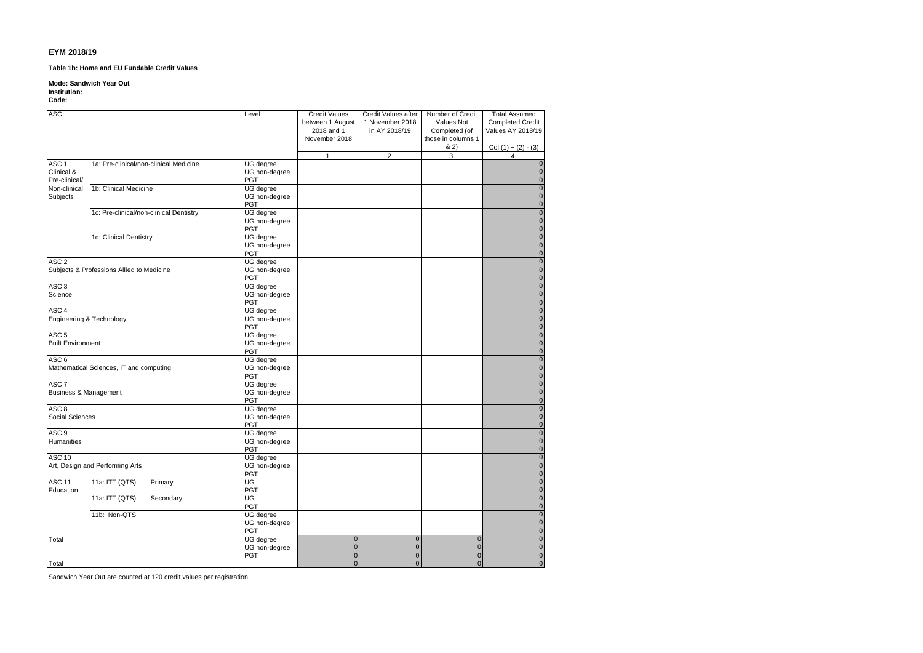**Table 1b: Home and EU Fundable Credit Values**

#### **Mode: Sandwich Year Out**

#### **Institution:**

**Code:**

| <b>ASC</b>               |                                           | Level                       | <b>Credit Values</b> | Credit Values after | Number of Credit   | <b>Total Assumed</b>       |
|--------------------------|-------------------------------------------|-----------------------------|----------------------|---------------------|--------------------|----------------------------|
|                          |                                           |                             | between 1 August     | 1 November 2018     | Values Not         | <b>Completed Credit</b>    |
|                          |                                           |                             | 2018 and 1           | in AY 2018/19       | Completed (of      | Values AY 2018/19          |
|                          |                                           |                             | November 2018        |                     | those in columns 1 |                            |
|                          |                                           |                             |                      |                     | & 2)               | Col $(1) + (2) - (3)$      |
|                          |                                           |                             | $\mathbf{1}$         | $\overline{2}$      | 3                  | $\overline{4}$             |
| ASC <sub>1</sub>         | 1a: Pre-clinical/non-clinical Medicine    | UG degree                   |                      |                     |                    | $\mathbf{0}$               |
| Clinical &               |                                           | UG non-degree               |                      |                     |                    | $\pmb{0}$                  |
| Pre-clinical/            |                                           | <b>PGT</b>                  |                      |                     |                    | $\overline{0}$             |
| Non-clinical             | 1b: Clinical Medicine                     | UG degree                   |                      |                     |                    | $\overline{0}$             |
| Subjects                 |                                           | UG non-degree               |                      |                     |                    | $\overline{0}$             |
|                          |                                           | <b>PGT</b>                  |                      |                     |                    | $\mathbf 0$                |
|                          | 1c: Pre-clinical/non-clinical Dentistry   | UG degree                   |                      |                     |                    | $\mathbf 0$                |
|                          |                                           | UG non-degree               |                      |                     |                    | $\mathbf 0$                |
|                          |                                           | <b>PGT</b>                  |                      |                     |                    | $\pmb{0}$                  |
|                          | 1d: Clinical Dentistry                    | UG degree                   |                      |                     |                    | $\pmb{0}$                  |
|                          |                                           | UG non-degree<br><b>PGT</b> |                      |                     |                    | $\mathbf 0$<br>$\mathbf 0$ |
| ASC <sub>2</sub>         |                                           | UG degree                   |                      |                     |                    | $\mathbf 0$                |
|                          | Subjects & Professions Allied to Medicine | UG non-degree               |                      |                     |                    | $\overline{0}$             |
|                          |                                           | <b>PGT</b>                  |                      |                     |                    | $\mathbf 0$                |
| ASC <sub>3</sub>         |                                           | UG degree                   |                      |                     |                    | $\mathbf 0$                |
| Science                  |                                           | UG non-degree               |                      |                     |                    | $\mathbf 0$                |
|                          |                                           | <b>PGT</b>                  |                      |                     |                    | $\mathbf 0$                |
| ASC <sub>4</sub>         |                                           | UG degree                   |                      |                     |                    | $\bf{0}$                   |
|                          | Engineering & Technology                  | UG non-degree               |                      |                     |                    | $\mathbf 0$                |
|                          |                                           | <b>PGT</b>                  |                      |                     |                    | $\mathbf 0$                |
| ASC <sub>5</sub>         |                                           | UG degree                   |                      |                     |                    | $\mathbf 0$                |
| <b>Built Environment</b> |                                           | UG non-degree               |                      |                     |                    | $\mathbf 0$                |
|                          |                                           | <b>PGT</b>                  |                      |                     |                    | $\mathbf 0$                |
| ASC <sub>6</sub>         |                                           | UG degree                   |                      |                     |                    | $\bullet$                  |
|                          | Mathematical Sciences, IT and computing   | UG non-degree               |                      |                     |                    | $\mathbf 0$                |
|                          |                                           | <b>PGT</b>                  |                      |                     |                    | $\mathbf 0$                |
| ASC <sub>7</sub>         |                                           | UG degree                   |                      |                     |                    | $\mathbf 0$                |
| Business & Management    |                                           | UG non-degree               |                      |                     |                    | $\mathbf 0$                |
|                          |                                           | <b>PGT</b>                  |                      |                     |                    | $\mathbf 0$                |
| ASC <sub>8</sub>         |                                           | UG degree                   |                      |                     |                    | $\mathbf 0$                |
| Social Sciences          |                                           | UG non-degree               |                      |                     |                    | $\mathbf 0$                |
|                          |                                           | <b>PGT</b>                  |                      |                     |                    | $\overline{0}$             |
| ASC <sub>9</sub>         |                                           | UG degree                   |                      |                     |                    | $\mathbf 0$                |
| <b>Humanities</b>        |                                           | UG non-degree<br><b>PGT</b> |                      |                     |                    | $\mathbf 0$<br>$\mathbf 0$ |
| ASC 10                   |                                           | UG degree                   |                      |                     |                    | $\overline{0}$             |
|                          | Art, Design and Performing Arts           | UG non-degree               |                      |                     |                    | $\mathbf 0$                |
|                          |                                           | <b>PGT</b>                  |                      |                     |                    | $\mathbf 0$                |
| ASC <sub>11</sub>        | 11a: ITT (QTS)<br>Primary                 | UG                          |                      |                     |                    | $\mathbf 0$                |
| Education                |                                           | PGT                         |                      |                     |                    | $\pmb{0}$                  |
|                          | 11a: ITT (QTS)<br>Secondary               | UG                          |                      |                     |                    | $\overline{\mathbf{0}}$    |
|                          |                                           | <b>PGT</b>                  |                      |                     |                    | $\pmb{0}$                  |
|                          | 11b: Non-QTS                              | UG degree                   |                      |                     |                    | $\bf{0}$                   |
|                          |                                           | UG non-degree               |                      |                     |                    | $\mathbf 0$                |
|                          |                                           | <b>PGT</b>                  |                      |                     |                    | $\pmb{0}$                  |
| Total                    |                                           | UG degree                   | $\mathbf 0$          | $\mathbf 0$         | $\mathbf 0$        | $\overline{\mathbf{0}}$    |
|                          |                                           | UG non-degree               | $\mathbf 0$          | $\mathbf 0$         | $\mathbf{0}$       | $\mathbf 0$                |
|                          |                                           | <b>PGT</b>                  | $\overline{0}$       | $\mathbf 0$         | $\mathbf{0}$       | $\mathbf 0$                |
| Total                    |                                           |                             | $\mathbf{0}$         | $\overline{0}$      | $\overline{0}$     | $\mathbf{0}$               |

Sandwich Year Out are counted at 120 credit values per registration.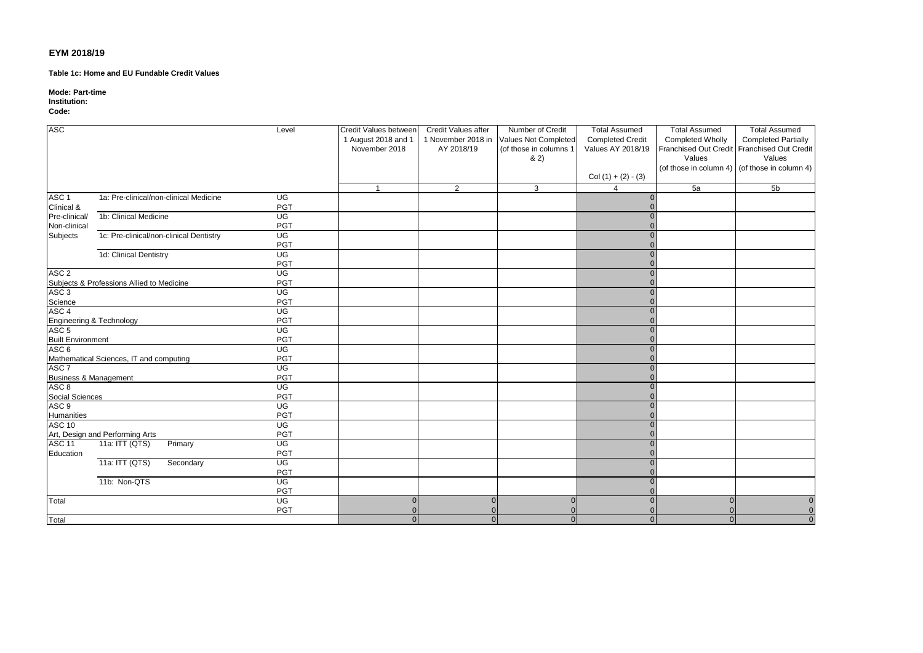**Table 1c: Home and EU Fundable Credit Values**

**Mode: Part-time**

#### **Institution:**

**Code:**

| <b>ASC</b>                       |                                           | Level                             | Credit Values between | Credit Values after | Number of Credit                        | <b>Total Assumed</b>    | <b>Total Assumed</b>    | <b>Total Assumed</b>                          |
|----------------------------------|-------------------------------------------|-----------------------------------|-----------------------|---------------------|-----------------------------------------|-------------------------|-------------------------|-----------------------------------------------|
|                                  |                                           |                                   | 1 August 2018 and 1   |                     | 1 November 2018 in Values Not Completed | <b>Completed Credit</b> | <b>Completed Wholly</b> | <b>Completed Partially</b>                    |
|                                  |                                           |                                   | November 2018         | AY 2018/19          | (of those in columns 1                  | Values AY 2018/19       |                         | Franchised Out Credit Franchised Out Credit   |
|                                  |                                           |                                   |                       |                     | 82)                                     |                         | Values                  | Values                                        |
|                                  |                                           |                                   |                       |                     |                                         |                         |                         | (of those in column 4) (of those in column 4) |
|                                  |                                           |                                   |                       |                     |                                         | Col $(1) + (2) - (3)$   |                         |                                               |
|                                  |                                           |                                   | $\overline{1}$        | 2                   | 3                                       | 4                       | 5a                      | 5 <sub>b</sub>                                |
| ASC <sub>1</sub>                 | 1a: Pre-clinical/non-clinical Medicine    | UG                                |                       |                     |                                         |                         |                         |                                               |
| Clinical &                       |                                           | PGT                               |                       |                     |                                         |                         |                         |                                               |
| Pre-clinical/                    | 1b: Clinical Medicine                     | UG                                |                       |                     |                                         |                         |                         |                                               |
| Non-clinical                     |                                           | PGT                               |                       |                     |                                         |                         |                         |                                               |
| Subjects                         | 1c: Pre-clinical/non-clinical Dentistry   | UG                                |                       |                     |                                         |                         |                         |                                               |
|                                  |                                           | <b>PGT</b>                        |                       |                     |                                         |                         |                         |                                               |
|                                  | 1d: Clinical Dentistry                    | $\overline{\mathsf{U}\mathsf{G}}$ |                       |                     |                                         |                         |                         |                                               |
|                                  |                                           | PGT                               |                       |                     |                                         |                         |                         |                                               |
| ASC <sub>2</sub>                 |                                           | UG                                |                       |                     |                                         |                         |                         |                                               |
|                                  | Subjects & Professions Allied to Medicine | PGT                               |                       |                     |                                         |                         |                         |                                               |
| ASC <sub>3</sub>                 |                                           | UG                                |                       |                     |                                         |                         |                         |                                               |
| Science                          |                                           | PGT                               |                       |                     |                                         |                         |                         |                                               |
| ASC <sub>4</sub>                 |                                           | UG                                |                       |                     |                                         |                         |                         |                                               |
| Engineering & Technology         |                                           | PGT                               |                       |                     |                                         |                         |                         |                                               |
| ASC <sub>5</sub>                 |                                           | $\overline{\mathsf{U}\mathsf{G}}$ |                       |                     |                                         |                         |                         |                                               |
| <b>Built Environment</b>         |                                           | PGT                               |                       |                     |                                         |                         |                         |                                               |
| ASC <sub>6</sub>                 |                                           | UG                                |                       |                     |                                         |                         |                         |                                               |
|                                  | Mathematical Sciences, IT and computing   | PGT                               |                       |                     |                                         |                         |                         |                                               |
| ASC <sub>7</sub>                 |                                           | UG                                |                       |                     |                                         |                         |                         |                                               |
| <b>Business &amp; Management</b> |                                           | PGT                               |                       |                     |                                         |                         |                         |                                               |
| ASC <sub>8</sub>                 |                                           | UG                                |                       |                     |                                         |                         |                         |                                               |
| Social Sciences                  |                                           | <b>PGT</b>                        |                       |                     |                                         |                         |                         |                                               |
| ASC <sub>9</sub>                 |                                           | $\overline{\mathsf{U}\mathsf{G}}$ |                       |                     |                                         |                         |                         |                                               |
| Humanities                       |                                           | PGT                               |                       |                     |                                         |                         |                         |                                               |
| <b>ASC 10</b>                    |                                           | UG                                |                       |                     |                                         |                         |                         |                                               |
|                                  | Art, Design and Performing Arts           | PGT                               |                       |                     |                                         |                         |                         |                                               |
| ASC <sub>11</sub>                | 11a: ITT (QTS)<br>Primary                 | $\overline{\mathsf{U}\mathsf{G}}$ |                       |                     |                                         |                         |                         |                                               |
| Education                        |                                           | PGT                               |                       |                     |                                         |                         |                         |                                               |
|                                  | 11a: ITT (QTS)<br>Secondary               | UG                                |                       |                     |                                         |                         |                         |                                               |
|                                  |                                           | PGT                               |                       |                     |                                         |                         |                         |                                               |
|                                  | 11b: Non-QTS                              | UG                                |                       |                     |                                         |                         |                         |                                               |
|                                  |                                           | <b>PGT</b>                        |                       |                     |                                         |                         |                         |                                               |
| Total                            |                                           | UG                                | $\Omega$              | $\Omega$            | $\Omega$                                |                         | $\Omega$                | $\Omega$                                      |
|                                  |                                           | <b>PGT</b>                        |                       |                     |                                         |                         |                         | $\overline{0}$                                |
| Total                            |                                           |                                   | $\Omega$              | $\Omega$            |                                         |                         |                         | $\Omega$                                      |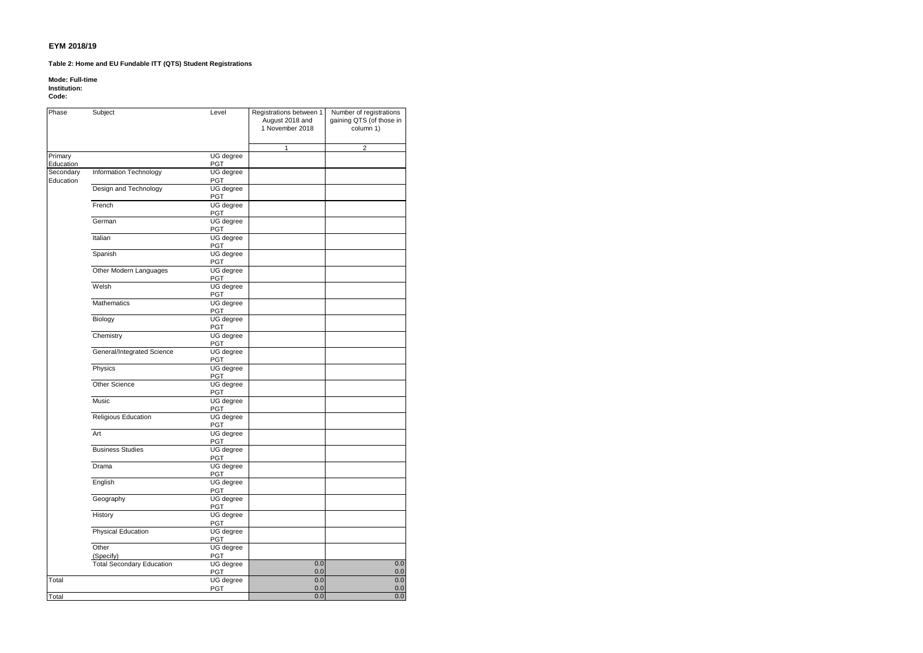#### **Table 2: Home and EU Fundable ITT (QTS) Student Registrations**

#### **Mode: Full-time**

**Institution:**

#### **Code:**

| Phase     | Subject                          | Level                   | Registrations between 1<br>August 2018 and<br>1 November 2018 | Number of registrations<br>gaining QTS (of those in<br>column 1) |
|-----------|----------------------------------|-------------------------|---------------------------------------------------------------|------------------------------------------------------------------|
|           |                                  |                         | 1                                                             | $\overline{c}$                                                   |
| Primary   |                                  | UG degree               |                                                               |                                                                  |
| Education |                                  | <b>PGT</b>              |                                                               |                                                                  |
| Secondary | Information Technology           | UG degree               |                                                               |                                                                  |
| Education |                                  | PGT                     |                                                               |                                                                  |
|           | Design and Technology            | UG degree               |                                                               |                                                                  |
|           |                                  | PGT                     |                                                               |                                                                  |
|           | French                           | <b>UG</b> degree        |                                                               |                                                                  |
|           | German                           | PGT<br>UG degree        |                                                               |                                                                  |
|           |                                  | <b>PGT</b>              |                                                               |                                                                  |
|           | Italian                          | UG degree               |                                                               |                                                                  |
|           |                                  | PGT                     |                                                               |                                                                  |
|           | Spanish                          | UG degree               |                                                               |                                                                  |
|           |                                  | <b>PGT</b>              |                                                               |                                                                  |
|           | Other Modern Languages           | UG degree               |                                                               |                                                                  |
|           |                                  | <b>PGT</b>              |                                                               |                                                                  |
|           | Welsh                            | UG degree               |                                                               |                                                                  |
|           |                                  | PGT                     |                                                               |                                                                  |
|           | Mathematics                      | UG degree               |                                                               |                                                                  |
|           |                                  | PGT                     |                                                               |                                                                  |
|           | Biology                          | UG degree               |                                                               |                                                                  |
|           | Chemistry                        | <b>PGT</b><br>UG degree |                                                               |                                                                  |
|           |                                  | PGT                     |                                                               |                                                                  |
|           | General/Integrated Science       | UG degree               |                                                               |                                                                  |
|           |                                  | PGT                     |                                                               |                                                                  |
|           | Physics                          | UG degree               |                                                               |                                                                  |
|           |                                  | PGT                     |                                                               |                                                                  |
|           | <b>Other Science</b>             | UG degree               |                                                               |                                                                  |
|           |                                  | PGT                     |                                                               |                                                                  |
|           | <b>Music</b>                     | UG degree               |                                                               |                                                                  |
|           |                                  | <b>PGT</b>              |                                                               |                                                                  |
|           | Religious Education              | UG degree               |                                                               |                                                                  |
|           | Art                              | PGT                     |                                                               |                                                                  |
|           |                                  | UG degree<br><b>PGT</b> |                                                               |                                                                  |
|           | <b>Business Studies</b>          | UG degree               |                                                               |                                                                  |
|           |                                  | PGT                     |                                                               |                                                                  |
|           | Drama                            | UG degree               |                                                               |                                                                  |
|           |                                  | PGT                     |                                                               |                                                                  |
|           | English                          | UG degree               |                                                               |                                                                  |
|           |                                  | <b>PGT</b>              |                                                               |                                                                  |
|           | Geography                        | UG degree               |                                                               |                                                                  |
|           |                                  | PGT                     |                                                               |                                                                  |
|           | History                          | UG degree               |                                                               |                                                                  |
|           |                                  | PGT                     |                                                               |                                                                  |
|           | <b>Physical Education</b>        | UG degree<br>PGT        |                                                               |                                                                  |
|           | Other                            | UG degree               |                                                               |                                                                  |
|           | (Specify)                        | <b>PGT</b>              |                                                               |                                                                  |
|           | <b>Total Secondary Education</b> | UG degree               | 0.0                                                           | 0.0                                                              |
|           |                                  | PGT                     | 0.0                                                           | 0.0                                                              |
| Total     |                                  | UG degree               | 0.0                                                           | 0.0                                                              |
|           |                                  | PGT                     | 0.0                                                           | 0.0                                                              |
| Total     |                                  |                         | 0.0                                                           | 0.0                                                              |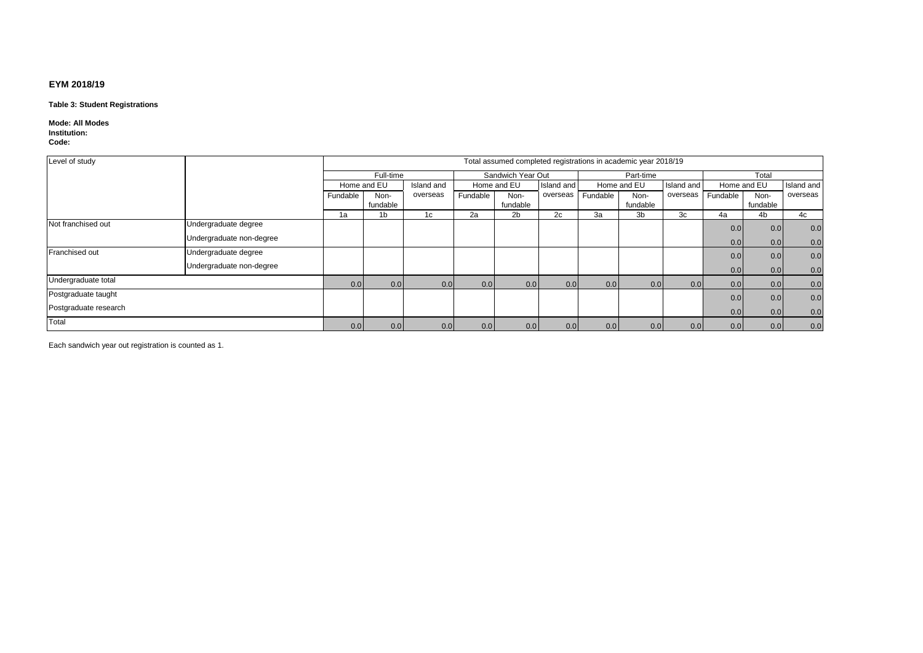#### **Table 3: Student Registrations**

#### **Mode: All Modes Institution:**

**Code:**

| Level of study        |                          |             | Total assumed completed registrations in academic year 2018/19 |            |             |                   |            |          |             |            |             |          |            |
|-----------------------|--------------------------|-------------|----------------------------------------------------------------|------------|-------------|-------------------|------------|----------|-------------|------------|-------------|----------|------------|
|                       |                          |             | Full-time                                                      |            |             | Sandwich Year Out |            |          | Part-time   |            | Total       |          |            |
|                       |                          | Home and EU |                                                                | Island and | Home and EU |                   | Island and |          | Home and EU | Island and | Home and EU |          | Island and |
|                       |                          | Fundable    | Non-                                                           | overseas   | Fundable    | Non-              | overseas   | Fundable | Non-        | overseas   | Fundable    | Non-     | overseas   |
|                       |                          |             | fundable                                                       |            |             | fundable          |            |          | fundable    |            |             | fundable |            |
|                       |                          | 1a          | 1 <sub>b</sub>                                                 | 1c         | 2a          | 2b                | 2c         | 3a       | 3b          | 3c         | 4a          | 4b       | 4c         |
| Not franchised out    | Undergraduate degree     |             |                                                                |            |             |                   |            |          |             |            | 0.0         | 0.0      | 0.0        |
|                       | Undergraduate non-degree |             |                                                                |            |             |                   |            |          |             |            | 0.0         | 0.0      | 0.0        |
| Franchised out        | Undergraduate degree     |             |                                                                |            |             |                   |            |          |             |            | 0.0         | 0.0      | 0.0        |
|                       | Undergraduate non-degree |             |                                                                |            |             |                   |            |          |             |            | 0.0         | 0.0      | 0.0        |
| Undergraduate total   |                          | 0.0         | 0.0                                                            | 0.0        | 0.0         | 0.0               | 0.0        | 0.0      | 0.0         | 0.0        | 0.0         | 0.0      | 0.0        |
| Postgraduate taught   |                          |             |                                                                |            |             |                   |            |          |             |            | 0.0         | 0.0      | 0.0        |
| Postgraduate research |                          |             |                                                                |            |             |                   |            |          |             |            | 0.0         | 0.0      | 0.0        |
| Total                 |                          | 0.0         | 0.0                                                            | 0.0        | 0.0         | 0.0               | 0.0        | 0.0      | 0.0         | 0.0        | 0.0         | 0.0      | 0.0        |

Each sandwich year out registration is counted as 1.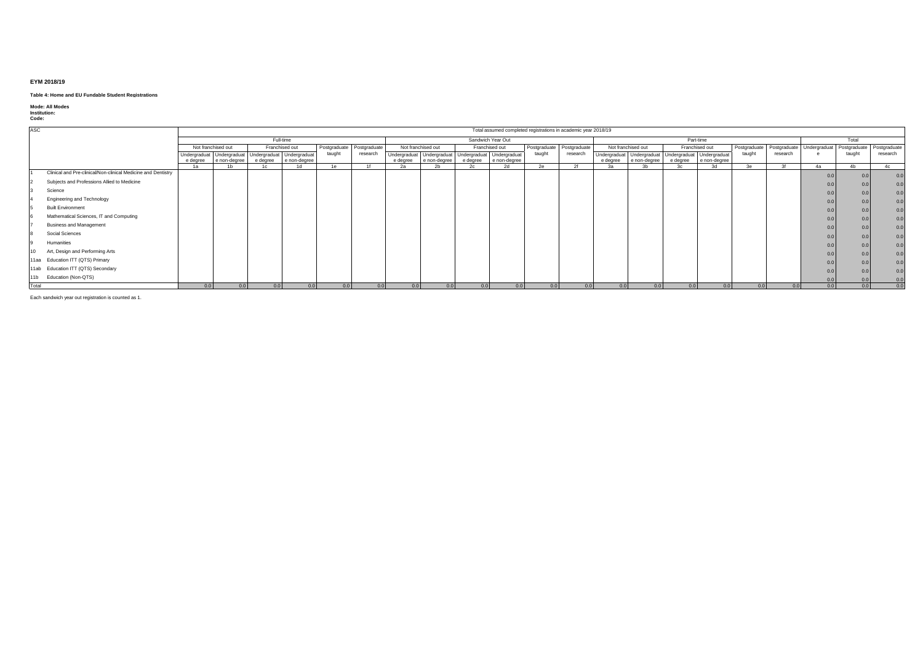#### **Table 4: Home and EU Fundable Student Registrations**

# **Mode: All Modes Institution: Code:**

| ASC   |                                                               |                            |                                                     |                |                               |        |                           |                             |                                                     |                |                                | Total assumed completed registrations in academic year 2018/19 |              |                |                                                     |                            |                    |              |          |                           |              |                   |
|-------|---------------------------------------------------------------|----------------------------|-----------------------------------------------------|----------------|-------------------------------|--------|---------------------------|-----------------------------|-----------------------------------------------------|----------------|--------------------------------|----------------------------------------------------------------|--------------|----------------|-----------------------------------------------------|----------------------------|--------------------|--------------|----------|---------------------------|--------------|-------------------|
|       |                                                               |                            |                                                     |                | Full-time                     |        |                           |                             |                                                     |                | Sandwich Year Out              |                                                                |              |                |                                                     |                            | Part-time          |              |          |                           | Total        |                   |
|       |                                                               |                            | Not franchised out                                  |                | Franchised out                |        | Postgraduate Postgraduate |                             | Not franchised out                                  |                | Franchised out                 | Postgraduate                                                   | Postgraduate |                | Not franchised out                                  |                            | Franchised out     | Postgraduate |          | Postgraduate Undergraduat | Postgraduate | Postgraduate      |
|       |                                                               |                            | Undergraduat Undergraduat Undergraduat Undergraduat |                |                               | taught | research                  |                             | Undergraduat Undergraduat Undergraduat Undergraduat |                |                                | taught                                                         | research     |                | Undergraduat Undergraduat Undergraduat Undergraduat |                            |                    | taught       | research |                           | taught       | research          |
|       |                                                               | e degree<br>1 <sub>2</sub> | e non-degree<br>1 <sub>h</sub>                      | 1 <sub>n</sub> | e degree   e non-degree<br>1d | 1e     |                           | e degree<br>20 <sub>0</sub> | e non-degree<br>$n_{\rm L}$                         | e dearee<br>2c | e non-degree<br>2 <sub>q</sub> | 2a                                                             |              | 2 <sub>n</sub> | e degree   e non-degree<br>2 <sup>h</sup>           | e degree<br>2 <sub>n</sub> | e non-degree<br>3d | $^{2}$       | $\Omega$ | 4a                        | 4h           | $A_{\mathcal{C}}$ |
|       | Clinical and Pre-clinical/Non-clinical Medicine and Dentistry |                            |                                                     |                |                               |        |                           |                             |                                                     |                |                                |                                                                |              |                |                                                     |                            |                    |              |          | 0.0                       |              |                   |
|       | Subjects and Professions Allied to Medicine                   |                            |                                                     |                |                               |        |                           |                             |                                                     |                |                                |                                                                |              |                |                                                     |                            |                    |              |          | 0.0                       |              |                   |
|       | Science                                                       |                            |                                                     |                |                               |        |                           |                             |                                                     |                |                                |                                                                |              |                |                                                     |                            |                    |              |          | 0.0                       |              | 0.0               |
|       | Engineering and Technology                                    |                            |                                                     |                |                               |        |                           |                             |                                                     |                |                                |                                                                |              |                |                                                     |                            |                    |              |          | 0.0                       |              | 0.0               |
|       | <b>Built Environment</b>                                      |                            |                                                     |                |                               |        |                           |                             |                                                     |                |                                |                                                                |              |                |                                                     |                            |                    |              |          | 0.0                       |              | 0.0               |
|       | Mathematical Sciences, IT and Computing                       |                            |                                                     |                |                               |        |                           |                             |                                                     |                |                                |                                                                |              |                |                                                     |                            |                    |              |          | 0.0                       |              | 0.0               |
|       | <b>Business and Management</b>                                |                            |                                                     |                |                               |        |                           |                             |                                                     |                |                                |                                                                |              |                |                                                     |                            |                    |              |          | 0.0                       |              | 0.0               |
|       | Social Sciences                                               |                            |                                                     |                |                               |        |                           |                             |                                                     |                |                                |                                                                |              |                |                                                     |                            |                    |              |          | 0.0                       |              | 0.0               |
|       | Humanities                                                    |                            |                                                     |                |                               |        |                           |                             |                                                     |                |                                |                                                                |              |                |                                                     |                            |                    |              |          | 0.0                       |              | 0.0               |
|       | Art, Design and Performing Arts                               |                            |                                                     |                |                               |        |                           |                             |                                                     |                |                                |                                                                |              |                |                                                     |                            |                    |              |          | 0.0                       |              | 0.0               |
|       | 11aa Education ITT (QTS) Primary                              |                            |                                                     |                |                               |        |                           |                             |                                                     |                |                                |                                                                |              |                |                                                     |                            |                    |              |          | 0.0                       |              | 0.0               |
|       | 11ab Education ITT (QTS) Secondary                            |                            |                                                     |                |                               |        |                           |                             |                                                     |                |                                |                                                                |              |                |                                                     |                            |                    |              |          | 0.0                       |              | 0.0               |
| 11 b  | Education (Non-QTS)                                           |                            |                                                     |                |                               |        |                           |                             |                                                     |                |                                |                                                                |              |                |                                                     |                            |                    |              |          | 0.0                       |              | 0.0               |
| Total |                                                               | 0.0                        | 0.0                                                 | 0.0            | 0.0                           | 0.0    | 0.0                       | 0.0                         | 0.0                                                 | 0.0            | 0.0 <sub>1</sub>               | 0.0                                                            | 0.01         | 0.0            | 0.0                                                 | 0.0                        | 0.0                | 0.0          | 0.0      | 0.0                       | 0.0          | 0.0               |

Each sandwich year out registration is counted as 1.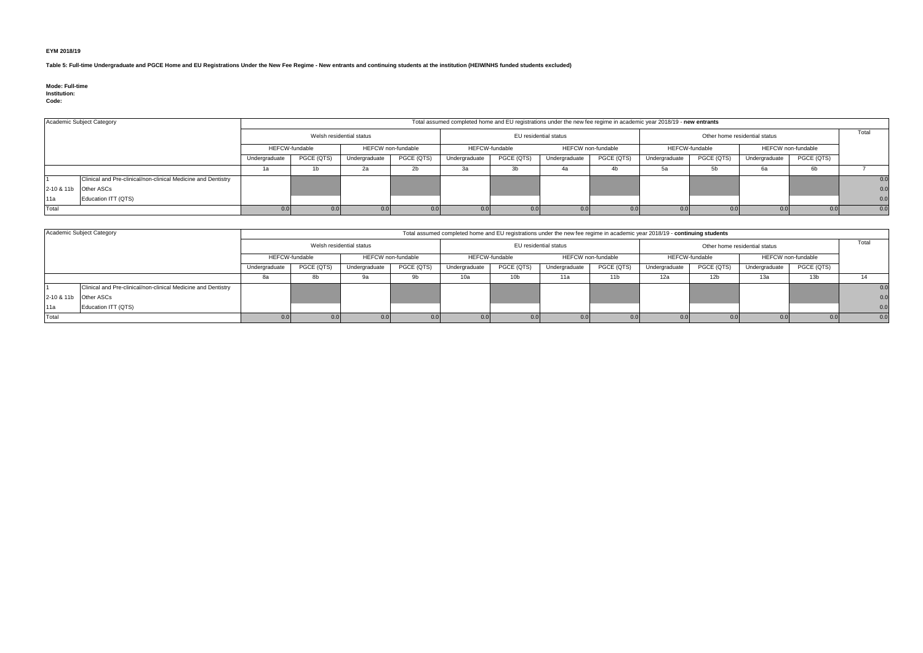**Table 5: Full-time Undergraduate and PGCE Home and EU Registrations Under the New Fee Regime - New entrants and continuing students at the institution (HEIW/NHS funded students excluded)**

#### **Mode: Full-time Institution:**

**Code:**

|       | Academic Subject Category                                     | Total assumed completed home and EU registrations under the new fee regime in academic year 2018/19 - new entrants |                                                    |                  |                                             |               |                       |               |                                                    |               |                               |               |            |     |
|-------|---------------------------------------------------------------|--------------------------------------------------------------------------------------------------------------------|----------------------------------------------------|------------------|---------------------------------------------|---------------|-----------------------|---------------|----------------------------------------------------|---------------|-------------------------------|---------------|------------|-----|
|       |                                                               | Welsh residential status                                                                                           |                                                    |                  |                                             |               | EU residential status |               |                                                    |               | Other home residential status |               |            |     |
|       |                                                               |                                                                                                                    | <b>HEFCW</b> non-fundable<br><b>HEFCW-fundable</b> |                  | <b>HEFCW-fundable</b><br>HEFCW non-fundable |               |                       |               | <b>HEFCW</b> non-fundable<br><b>HEFCW-fundable</b> |               |                               |               |            |     |
|       |                                                               | Undergraduate                                                                                                      | PGCE (QTS)                                         | Undergraduate    | PGCE (QTS)                                  | Undergraduate | PGCE (QTS)            | Undergraduate | PGCE (QTS)                                         | Undergraduate | PGCE (QTS)                    | Undergraduate | PGCE (QTS) |     |
|       |                                                               |                                                                                                                    |                                                    | 2а               |                                             | За            |                       | 4a            | 4ľ                                                 |               |                               | 6а            | -6b        |     |
|       | Clinical and Pre-clinical/non-clinical Medicine and Dentistry |                                                                                                                    |                                                    |                  |                                             |               |                       |               |                                                    |               |                               |               |            | 0.0 |
|       | 2-10 & 11b Other ASCs                                         |                                                                                                                    |                                                    |                  |                                             |               |                       |               |                                                    |               |                               |               |            | 0.0 |
| 11a   | Education ITT (QTS)                                           |                                                                                                                    |                                                    |                  |                                             |               |                       |               |                                                    |               |                               |               |            | 0.0 |
| Total |                                                               |                                                                                                                    | 0.01                                               | 0.0 <sub>1</sub> | 0.0                                         |               |                       |               | 0.0                                                |               |                               |               |            | 0.0 |

|                       | Academic Subject Category                                     | Total assumed completed home and EU registrations under the new fee regime in academic year 2018/19 - continuing students |                                             |               |                                      |               |                       |                                                    |                               |               |            |               |                 |     |
|-----------------------|---------------------------------------------------------------|---------------------------------------------------------------------------------------------------------------------------|---------------------------------------------|---------------|--------------------------------------|---------------|-----------------------|----------------------------------------------------|-------------------------------|---------------|------------|---------------|-----------------|-----|
|                       |                                                               | Welsh residential status                                                                                                  |                                             |               |                                      |               | EU residential status |                                                    | Other home residential status |               |            |               | Total           |     |
|                       |                                                               |                                                                                                                           | <b>HEFCW-fundable</b><br>HEFCW non-fundable |               | HEFCW-fundable<br>HEFCW non-fundable |               |                       | <b>HEFCW</b> non-fundable<br><b>HEFCW-fundable</b> |                               |               |            |               |                 |     |
|                       |                                                               | Undergraduate                                                                                                             | PGCE (QTS)                                  | Undergraduate | PGCE (QTS)                           | Undergraduate | PGCE (QTS)            | Undergraduate                                      | PGCE (QTS)                    | Undergraduate | PGCE (QTS) | Undergraduate | PGCE (QTS)      |     |
|                       |                                                               |                                                                                                                           |                                             | 9а            |                                      | 10a           | 10 <sub>b</sub>       | 11a                                                | 11 <sub>b</sub>               | 12a           |            | 13а           | 13 <sub>b</sub> |     |
|                       | Clinical and Pre-clinical/non-clinical Medicine and Dentistry |                                                                                                                           |                                             |               |                                      |               |                       |                                                    |                               |               |            |               |                 | 0.0 |
| 2-10 & 11b Other ASCs |                                                               |                                                                                                                           |                                             |               |                                      |               |                       |                                                    |                               |               |            |               |                 | 0.0 |
| 11a                   | Education ITT (QTS)                                           |                                                                                                                           |                                             |               |                                      |               |                       |                                                    |                               |               |            |               |                 | 0.0 |
| Total                 |                                                               |                                                                                                                           |                                             |               |                                      |               |                       |                                                    |                               |               |            |               |                 | 0.0 |